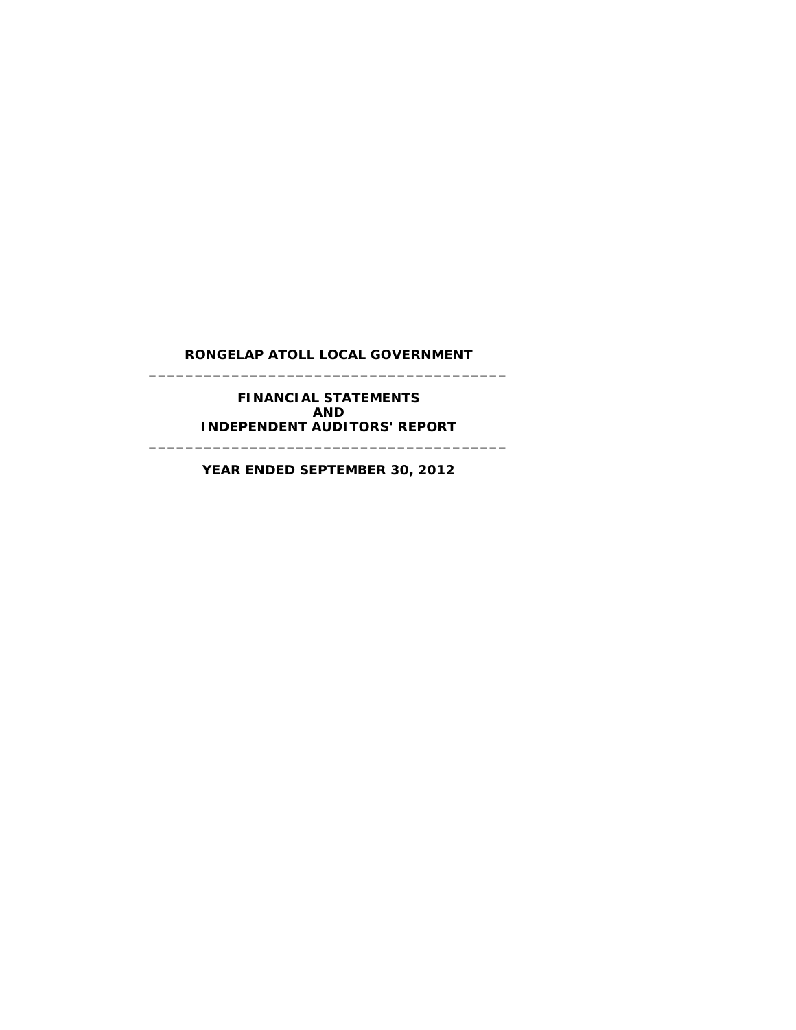#### **RONGELAP ATOLL LOCAL GOVERNMENT \_\_\_\_\_\_\_\_\_\_\_\_\_\_\_\_\_\_\_\_\_\_\_\_\_\_\_\_\_\_\_\_\_\_\_\_\_\_\_**

**FINANCIAL STATEMENTS AND INDEPENDENT AUDITORS' REPORT**

**YEAR ENDED SEPTEMBER 30, 2012**

**\_\_\_\_\_\_\_\_\_\_\_\_\_\_\_\_\_\_\_\_\_\_\_\_\_\_\_\_\_\_\_\_\_\_\_\_\_\_\_**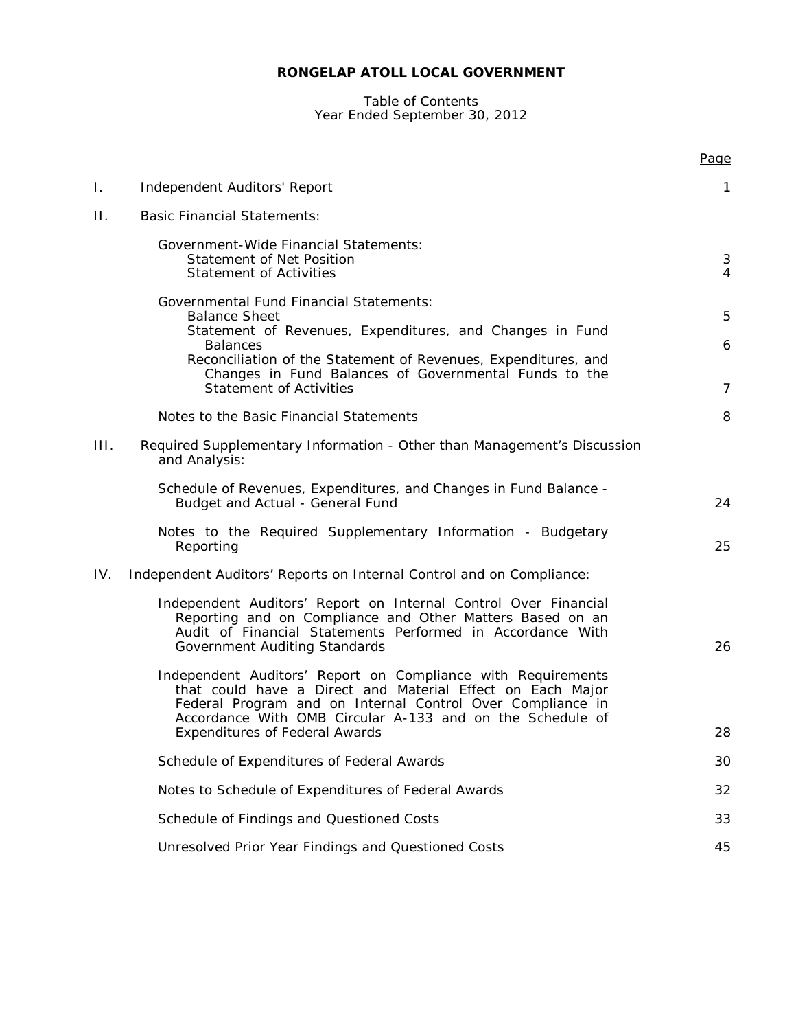### Table of Contents Year Ended September 30, 2012

|      |                                                                                                                                                                                                                                                                                                                    | Page                |
|------|--------------------------------------------------------------------------------------------------------------------------------------------------------------------------------------------------------------------------------------------------------------------------------------------------------------------|---------------------|
| Ι.   | Independent Auditors' Report                                                                                                                                                                                                                                                                                       | $\mathbf{1}$        |
| П.   | <b>Basic Financial Statements:</b>                                                                                                                                                                                                                                                                                 |                     |
|      | Government-Wide Financial Statements:<br>Statement of Net Position<br><b>Statement of Activities</b>                                                                                                                                                                                                               | 3<br>$\overline{4}$ |
|      | <b>Governmental Fund Financial Statements:</b><br><b>Balance Sheet</b><br>Statement of Revenues, Expenditures, and Changes in Fund<br><b>Balances</b><br>Reconciliation of the Statement of Revenues, Expenditures, and<br>Changes in Fund Balances of Governmental Funds to the<br><b>Statement of Activities</b> | 5<br>6<br>7         |
|      | Notes to the Basic Financial Statements                                                                                                                                                                                                                                                                            | 8                   |
| III. | Required Supplementary Information - Other than Management's Discussion<br>and Analysis:                                                                                                                                                                                                                           |                     |
|      | Schedule of Revenues, Expenditures, and Changes in Fund Balance -<br>Budget and Actual - General Fund                                                                                                                                                                                                              | 24                  |
|      | Notes to the Required Supplementary Information - Budgetary<br>Reporting                                                                                                                                                                                                                                           | 25                  |
| IV.  | Independent Auditors' Reports on Internal Control and on Compliance:                                                                                                                                                                                                                                               |                     |
|      | Independent Auditors' Report on Internal Control Over Financial<br>Reporting and on Compliance and Other Matters Based on an<br>Audit of Financial Statements Performed in Accordance With<br>Government Auditing Standards                                                                                        | 26                  |
|      | Independent Auditors' Report on Compliance with Requirements<br>that could have a Direct and Material Effect on Each Major<br>Federal Program and on Internal Control Over Compliance in<br>Accordance With OMB Circular A-133 and on the Schedule of                                                              |                     |
|      | <b>Expenditures of Federal Awards</b>                                                                                                                                                                                                                                                                              | 28                  |
|      | Schedule of Expenditures of Federal Awards                                                                                                                                                                                                                                                                         | 30                  |
|      | Notes to Schedule of Expenditures of Federal Awards                                                                                                                                                                                                                                                                | 32                  |
|      | Schedule of Findings and Questioned Costs                                                                                                                                                                                                                                                                          | 33                  |
|      | Unresolved Prior Year Findings and Questioned Costs                                                                                                                                                                                                                                                                | 45                  |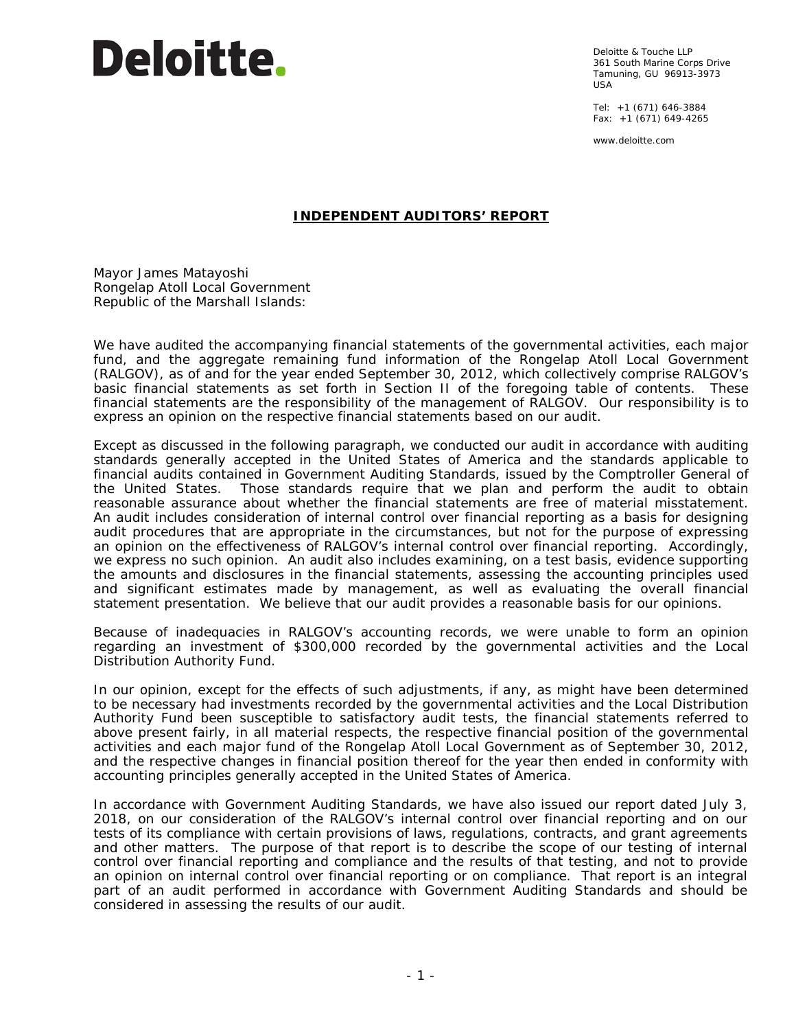Deloitte & Touche LLP 361 South Marine Corps Drive Tamuning, GU 96913-3973 USA

Tel: +1 (671) 646-3884 Fax: +1 (671) 649-4265

www.deloitte.com

## **INDEPENDENT AUDITORS' REPORT**

Mayor James Matayoshi Rongelap Atoll Local Government Republic of the Marshall Islands:

We have audited the accompanying financial statements of the governmental activities, each major fund, and the aggregate remaining fund information of the Rongelap Atoll Local Government (RALGOV), as of and for the year ended September 30, 2012, which collectively comprise RALGOV's basic financial statements as set forth in Section II of the foregoing table of contents. These financial statements are the responsibility of the management of RALGOV. Our responsibility is to express an opinion on the respective financial statements based on our audit.

Except as discussed in the following paragraph, we conducted our audit in accordance with auditing standards generally accepted in the United States of America and the standards applicable to financial audits contained in *Government Auditing Standards*, issued by the Comptroller General of Those standards require that we plan and perform the audit to obtain reasonable assurance about whether the financial statements are free of material misstatement. An audit includes consideration of internal control over financial reporting as a basis for designing audit procedures that are appropriate in the circumstances, but not for the purpose of expressing an opinion on the effectiveness of RALGOV's internal control over financial reporting. Accordingly, we express no such opinion. An audit also includes examining, on a test basis, evidence supporting the amounts and disclosures in the financial statements, assessing the accounting principles used and significant estimates made by management, as well as evaluating the overall financial statement presentation. We believe that our audit provides a reasonable basis for our opinions.

Because of inadequacies in RALGOV's accounting records, we were unable to form an opinion regarding an investment of \$300,000 recorded by the governmental activities and the Local Distribution Authority Fund.

In our opinion, except for the effects of such adjustments, if any, as might have been determined to be necessary had investments recorded by the governmental activities and the Local Distribution Authority Fund been susceptible to satisfactory audit tests, the financial statements referred to above present fairly, in all material respects, the respective financial position of the governmental activities and each major fund of the Rongelap Atoll Local Government as of September 30, 2012, and the respective changes in financial position thereof for the year then ended in conformity with accounting principles generally accepted in the United States of America.

In accordance with *Government Auditing Standards*, we have also issued our report dated July 3, 2018, on our consideration of the RALGOV's internal control over financial reporting and on our tests of its compliance with certain provisions of laws, regulations, contracts, and grant agreements and other matters. The purpose of that report is to describe the scope of our testing of internal control over financial reporting and compliance and the results of that testing, and not to provide an opinion on internal control over financial reporting or on compliance. That report is an integral part of an audit performed in accordance with *Government Auditing Standards* and should be considered in assessing the results of our audit.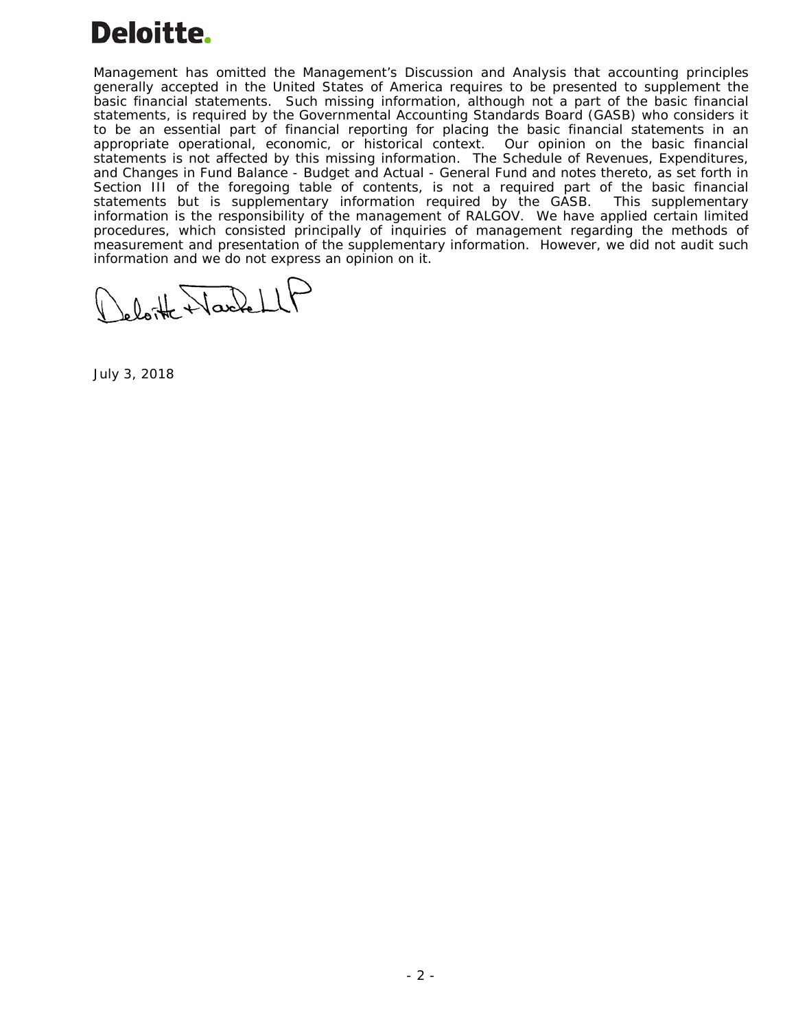

Management has omitted the Management's Discussion and Analysis that accounting principles generally accepted in the United States of America requires to be presented to supplement the basic financial statements. Such missing information, although not a part of the basic financial statements, is required by the Governmental Accounting Standards Board (GASB) who considers it to be an essential part of financial reporting for placing the basic financial statements in an appropriate operational, economic, or historical context. Our opinion on the basic financial statements is not affected by this missing information. The Schedule of Revenues, Expenditures, and Changes in Fund Balance - Budget and Actual - General Fund and notes thereto, as set forth in Section III of the foregoing table of contents, is not a required part of the basic financial statements but is supplementary information required by the GASB. This supplementary information is the responsibility of the management of RALGOV. We have applied certain limited procedures, which consisted principally of inquiries of management regarding the methods of measurement and presentation of the supplementary information. However, we did not audit such information and we do not express an opinion on it.

lette Harlet

July 3, 2018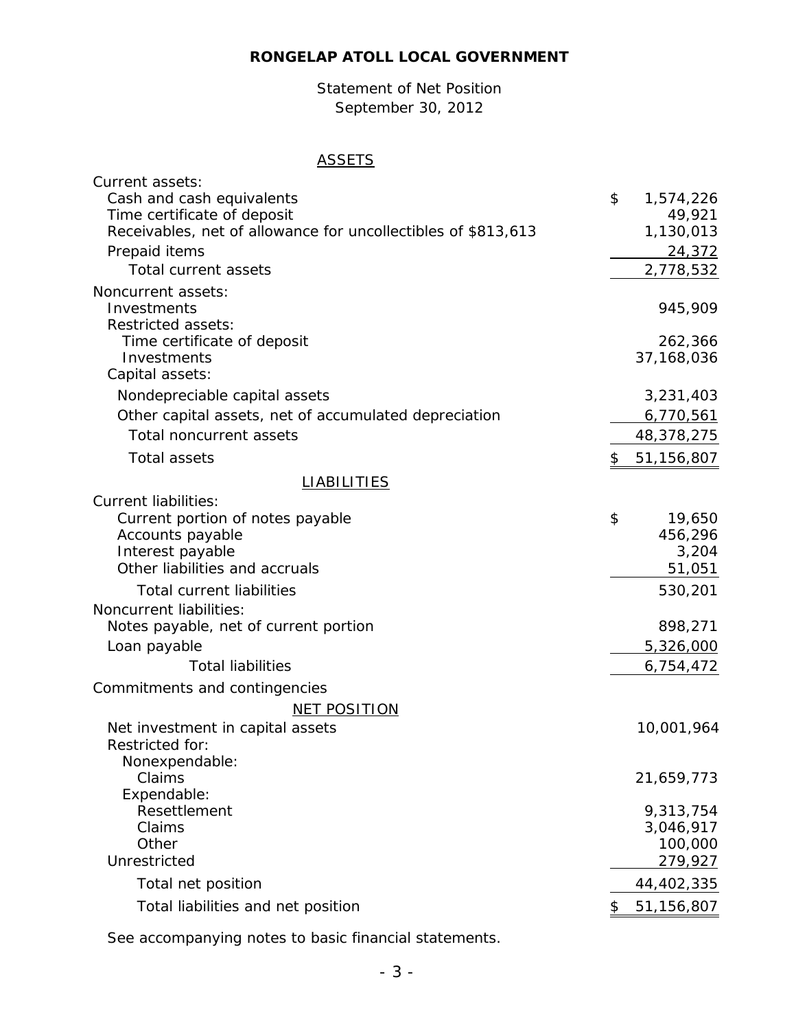Statement of Net Position September 30, 2012

# **ASSETS**

| Current assets:                                               |                      |
|---------------------------------------------------------------|----------------------|
| Cash and cash equivalents                                     | \$<br>1,574,226      |
| Time certificate of deposit                                   | 49,921               |
| Receivables, net of allowance for uncollectibles of \$813,613 | 1,130,013            |
| Prepaid items                                                 | 24,372               |
| Total current assets                                          | 2,778,532            |
| Noncurrent assets:                                            |                      |
| Investments                                                   | 945,909              |
| Restricted assets:<br>Time certificate of deposit             | 262,366              |
| Investments                                                   | 37,168,036           |
| Capital assets:                                               |                      |
| Nondepreciable capital assets                                 | 3,231,403            |
| Other capital assets, net of accumulated depreciation         | 6,770,561            |
| <b>Total noncurrent assets</b>                                | 48,378,275           |
| <b>Total assets</b>                                           | \$<br>51,156,807     |
| <b>LIABILITIES</b>                                            |                      |
| <b>Current liabilities:</b>                                   |                      |
| Current portion of notes payable                              | \$<br>19,650         |
| Accounts payable                                              | 456,296              |
| Interest payable                                              | 3,204                |
| Other liabilities and accruals                                | 51,051               |
| <b>Total current liabilities</b>                              | 530,201              |
| Noncurrent liabilities:                                       |                      |
| Notes payable, net of current portion                         | 898,271              |
| Loan payable                                                  | 5,326,000            |
| <b>Total liabilities</b>                                      | 6,754,472            |
| Commitments and contingencies                                 |                      |
| NET POSITION                                                  |                      |
| Net investment in capital assets                              | 10,001,964           |
| Restricted for:                                               |                      |
| Nonexpendable:                                                |                      |
| Claims                                                        | 21,659,773           |
| Expendable:                                                   |                      |
| Resettlement<br>Claims                                        | 9,313,754            |
| Other                                                         | 3,046,917<br>100,000 |
| Unrestricted                                                  | 279,927              |
| Total net position                                            |                      |
|                                                               | 44,402,335           |
| Total liabilities and net position                            | \$<br>51,156,807     |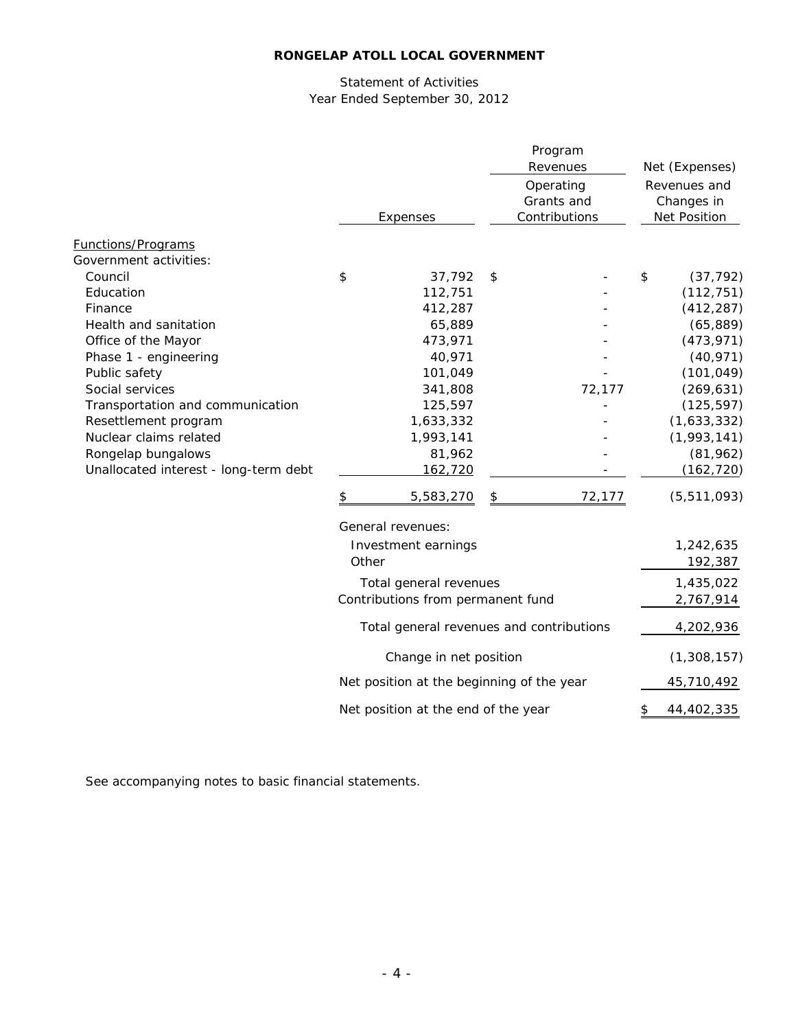# Statement of Activities Year Ended September 30, 2012

|                                       |                        |                                           |                                          | Program<br>Revenues |                                            | Net (Expenses) |
|---------------------------------------|------------------------|-------------------------------------------|------------------------------------------|---------------------|--------------------------------------------|----------------|
|                                       | Expenses               |                                           | Operating<br>Grants and<br>Contributions |                     | Revenues and<br>Changes in<br>Net Position |                |
| <b>Functions/Programs</b>             |                        |                                           |                                          |                     |                                            |                |
| Government activities:                |                        |                                           |                                          |                     |                                            |                |
| Council                               | \$                     | 37,792                                    | \$                                       |                     | \$                                         | (37, 792)      |
| Education                             |                        | 112,751                                   |                                          |                     |                                            | (112, 751)     |
| Finance                               |                        | 412,287                                   |                                          |                     |                                            | (412, 287)     |
| Health and sanitation                 |                        | 65,889                                    |                                          |                     |                                            | (65, 889)      |
| Office of the Mayor                   |                        | 473,971                                   |                                          |                     |                                            | (473, 971)     |
| Phase 1 - engineering                 |                        | 40,971                                    |                                          |                     |                                            | (40, 971)      |
| Public safety                         |                        | 101,049                                   |                                          |                     |                                            | (101, 049)     |
| Social services                       |                        | 341,808                                   |                                          | 72,177              |                                            | (269, 631)     |
| Transportation and communication      |                        | 125,597                                   |                                          |                     |                                            | (125, 597)     |
| Resettlement program                  |                        | 1,633,332                                 |                                          |                     |                                            | (1,633,332)    |
| Nuclear claims related                |                        | 1,993,141                                 |                                          |                     |                                            | (1,993,141)    |
| Rongelap bungalows                    |                        | 81,962                                    |                                          |                     |                                            | (81,962)       |
| Unallocated interest - long-term debt |                        | 162,720                                   |                                          |                     |                                            | (162, 720)     |
|                                       | \$                     | 5,583,270                                 | \$                                       | 72,177              |                                            | (5,511,093)    |
|                                       |                        | General revenues:                         |                                          |                     |                                            |                |
|                                       |                        | Investment earnings                       |                                          |                     |                                            | 1,242,635      |
|                                       | Other                  |                                           |                                          |                     |                                            | 192,387        |
|                                       |                        | Total general revenues                    |                                          |                     |                                            | 1,435,022      |
|                                       |                        | Contributions from permanent fund         |                                          |                     |                                            | 2,767,914      |
|                                       |                        |                                           |                                          |                     |                                            |                |
|                                       |                        | Total general revenues and contributions  |                                          |                     |                                            | 4,202,936      |
|                                       | Change in net position |                                           |                                          |                     |                                            | (1, 308, 157)  |
|                                       |                        | Net position at the beginning of the year |                                          |                     |                                            | 45,710,492     |
|                                       |                        | Net position at the end of the year       |                                          |                     | $\overline{\mathcal{F}}$                   | 44,402,335     |
|                                       |                        |                                           |                                          |                     |                                            |                |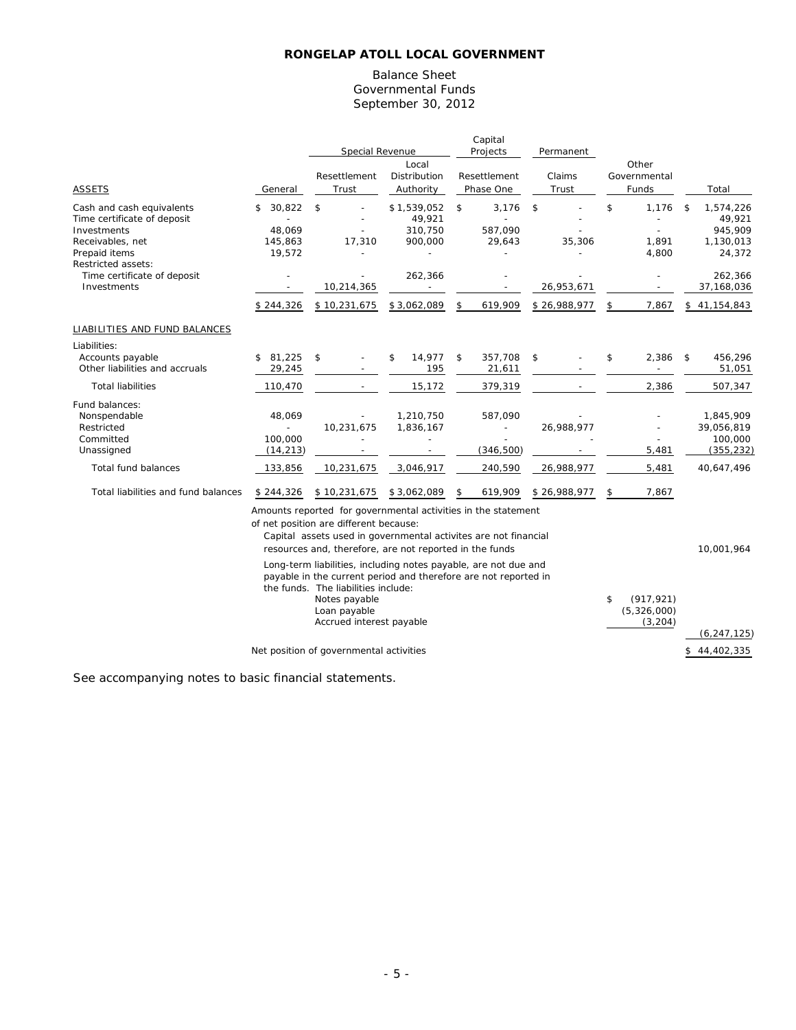#### Balance Sheet Governmental Funds September 30, 2012

|                                                                                                                                                                   |                                             | Special Revenue                                                                                                                                                                                                                                                                      |                                                        | Capital<br>Projects                               | Permanent                  |                                                           |                                                                        |
|-------------------------------------------------------------------------------------------------------------------------------------------------------------------|---------------------------------------------|--------------------------------------------------------------------------------------------------------------------------------------------------------------------------------------------------------------------------------------------------------------------------------------|--------------------------------------------------------|---------------------------------------------------|----------------------------|-----------------------------------------------------------|------------------------------------------------------------------------|
| <b>ASSETS</b>                                                                                                                                                     | General                                     | Resettlement<br>Trust                                                                                                                                                                                                                                                                | Local<br>Distribution<br>Authority                     | Resettlement<br>Phase One                         | Claims<br>Trust            | Other<br>Governmental<br>Funds                            | Total                                                                  |
| Cash and cash equivalents<br>Time certificate of deposit<br>Investments<br>Receivables, net<br>Prepaid items<br>Restricted assets:<br>Time certificate of deposit | 30,822<br>\$<br>48,069<br>145,863<br>19,572 | \$<br>17,310                                                                                                                                                                                                                                                                         | \$1,539,052<br>49,921<br>310,750<br>900,000<br>262,366 | 3,176<br>\$<br>587,090<br>29,643                  | \$<br>35,306               | \$<br>1,176<br>$\overline{\phantom{a}}$<br>1,891<br>4,800 | 1,574,226<br>\$<br>49,921<br>945,909<br>1,130,013<br>24,372<br>262,366 |
| Investments                                                                                                                                                       | \$244,326                                   | 10,214,365<br>\$10,231,675                                                                                                                                                                                                                                                           | $\overline{\phantom{a}}$<br>\$3,062,089                | \$<br>619,909                                     | 26,953,671<br>\$26,988,977 | 7,867<br>\$                                               | 37,168,036<br>\$<br>41,154,843                                         |
| LIABILITIES AND FUND BALANCES                                                                                                                                     |                                             |                                                                                                                                                                                                                                                                                      |                                                        |                                                   |                            |                                                           |                                                                        |
| Liabilities:<br>Accounts payable<br>Other liabilities and accruals                                                                                                | \$81,225<br>29,245                          | \$                                                                                                                                                                                                                                                                                   | 14,977<br>\$<br>195                                    | 357,708<br>\$<br>21,611                           | \$                         | 2,386<br>\$                                               | 456,296<br>\$<br>51,051                                                |
| <b>Total liabilities</b>                                                                                                                                          | 110,470                                     |                                                                                                                                                                                                                                                                                      | 15,172                                                 | 379,319                                           |                            | 2,386                                                     | 507,347                                                                |
| Fund balances:<br>Nonspendable<br>Restricted<br>Committed<br>Unassigned                                                                                           | 48,069<br>100,000<br>(14, 213)              | 10,231,675<br>$\overline{\phantom{a}}$                                                                                                                                                                                                                                               | 1,210,750<br>1,836,167                                 | 587,090<br>$\overline{\phantom{m}}$<br>(346, 500) | 26,988,977                 | 5,481                                                     | 1,845,909<br>39,056,819<br>100,000<br>(355, 232)                       |
| Total fund balances                                                                                                                                               | 133,856                                     | 10,231,675                                                                                                                                                                                                                                                                           | 3,046,917                                              | 240,590                                           | 26,988,977                 | 5,481                                                     | 40,647,496                                                             |
| Total liabilities and fund balances                                                                                                                               | \$244,326                                   | \$10,231,675<br>Amounts reported for governmental activities in the statement<br>of net position are different because:<br>Capital assets used in governmental activites are not financial<br>resources and, therefore, are not reported in the funds                                | \$3,062,089                                            | 619,909<br>\$                                     | \$26,988,977               | 7,867<br>\$                                               | 10,001,964                                                             |
|                                                                                                                                                                   |                                             | Long-term liabilities, including notes payable, are not due and<br>payable in the current period and therefore are not reported in<br>the funds. The liabilities include:<br>Notes payable<br>(917, 921)<br>\$<br>(5,326,000)<br>Loan payable<br>Accrued interest payable<br>(3,204) |                                                        |                                                   |                            |                                                           | (6, 247, 125)                                                          |
|                                                                                                                                                                   |                                             | Net position of governmental activities                                                                                                                                                                                                                                              |                                                        |                                                   |                            |                                                           | \$44,402,335                                                           |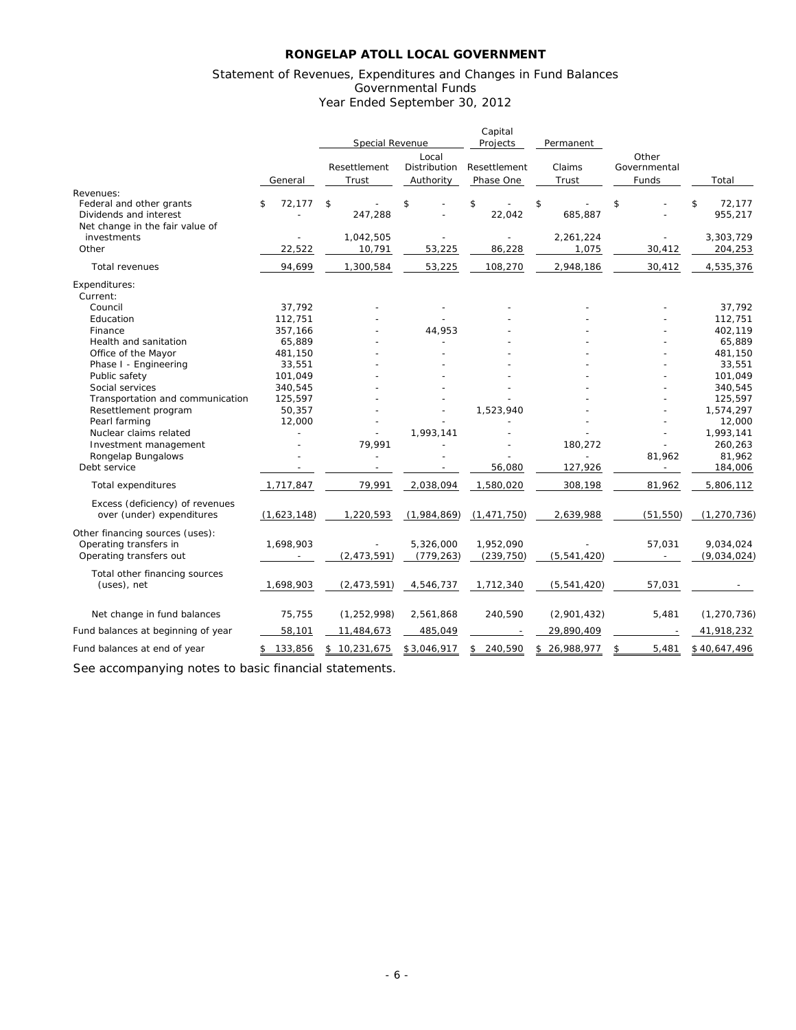#### Statement of Revenues, Expenditures and Changes in Fund Balances Governmental Funds Year Ended September 30, 2012

|                                                                                                    |                   | Special Revenue       |                                    | Capital<br>Projects       | Permanent          |                                |                          |
|----------------------------------------------------------------------------------------------------|-------------------|-----------------------|------------------------------------|---------------------------|--------------------|--------------------------------|--------------------------|
|                                                                                                    | General           | Resettlement<br>Trust | Local<br>Distribution<br>Authority | Resettlement<br>Phase One | Claims<br>Trust    | Other<br>Governmental<br>Funds | Total                    |
| Revenues:<br>Federal and other grants<br>Dividends and interest<br>Net change in the fair value of | 72,177<br>\$      | \$<br>247,288         | \$                                 | \$<br>22,042              | \$<br>685,887      | \$                             | \$<br>72,177<br>955,217  |
| investments<br>Other                                                                               | 22,522            | 1,042,505<br>10,791   | 53,225                             | 86,228                    | 2,261,224<br>1,075 | 30,412                         | 3,303,729<br>204,253     |
| Total revenues                                                                                     | 94,699            | 1,300,584             | 53,225                             | 108,270                   | 2,948,186          | 30,412                         | 4,535,376                |
| Expenditures:<br>Current:                                                                          |                   |                       |                                    |                           |                    |                                |                          |
| Council<br>Education                                                                               | 37,792<br>112,751 |                       |                                    |                           |                    |                                | 37,792<br>112,751        |
| Finance                                                                                            | 357,166           |                       | 44,953                             |                           |                    |                                | 402,119                  |
| Health and sanitation                                                                              | 65,889            |                       |                                    |                           |                    |                                | 65,889                   |
| Office of the Mayor                                                                                | 481,150           |                       |                                    |                           |                    |                                | 481,150                  |
| Phase I - Engineering                                                                              | 33,551            |                       |                                    |                           |                    |                                | 33,551                   |
| Public safety                                                                                      | 101,049           |                       |                                    |                           |                    |                                | 101,049                  |
| Social services                                                                                    | 340,545           |                       |                                    |                           |                    |                                | 340,545                  |
| Transportation and communication                                                                   | 125,597           |                       |                                    |                           |                    |                                | 125,597                  |
| Resettlement program                                                                               | 50,357            |                       |                                    | 1,523,940                 |                    |                                | 1,574,297                |
| Pearl farming                                                                                      | 12,000            |                       |                                    |                           |                    |                                | 12,000                   |
| Nuclear claims related                                                                             |                   |                       | 1,993,141                          |                           |                    |                                | 1,993,141                |
| Investment management                                                                              |                   | 79.991                |                                    |                           | 180,272            |                                | 260,263                  |
| Rongelap Bungalows                                                                                 |                   | $\overline{a}$        |                                    |                           |                    | 81,962                         | 81,962                   |
| Debt service                                                                                       |                   |                       |                                    | 56,080                    | 127,926            |                                | 184,006                  |
| Total expenditures                                                                                 | 1,717,847         | 79,991                | 2,038,094                          | 1,580,020                 | 308,198            | 81,962                         | 5,806,112                |
| Excess (deficiency) of revenues<br>over (under) expenditures                                       | (1,623,148)       | 1,220,593             | (1,984,869)                        | (1, 471, 750)             | 2,639,988          | (51, 550)                      | (1, 270, 736)            |
| Other financing sources (uses):<br>Operating transfers in<br>Operating transfers out               | 1,698,903         | (2, 473, 591)         | 5,326,000<br>(779, 263)            | 1,952,090<br>(239, 750)   | (5, 541, 420)      | 57,031                         | 9.034.024<br>(9,034,024) |
| Total other financing sources<br>(uses), net                                                       | 1,698,903         | (2, 473, 591)         | 4,546,737                          | 1,712,340                 | (5, 541, 420)      | 57,031                         |                          |
| Net change in fund balances                                                                        | 75,755            | (1, 252, 998)         | 2,561,868                          | 240,590                   | (2,901,432)        | 5,481                          | (1, 270, 736)            |
| Fund balances at beginning of year                                                                 | 58,101            | 11,484,673            | 485,049                            |                           | 29,890,409         |                                | 41,918,232               |
| Fund balances at end of year                                                                       | 133,856<br>\$     | \$10,231,675          | \$3,046,917                        | 240,590<br>\$             | \$26,988,977       | 5,481<br>\$                    | \$40,647,496             |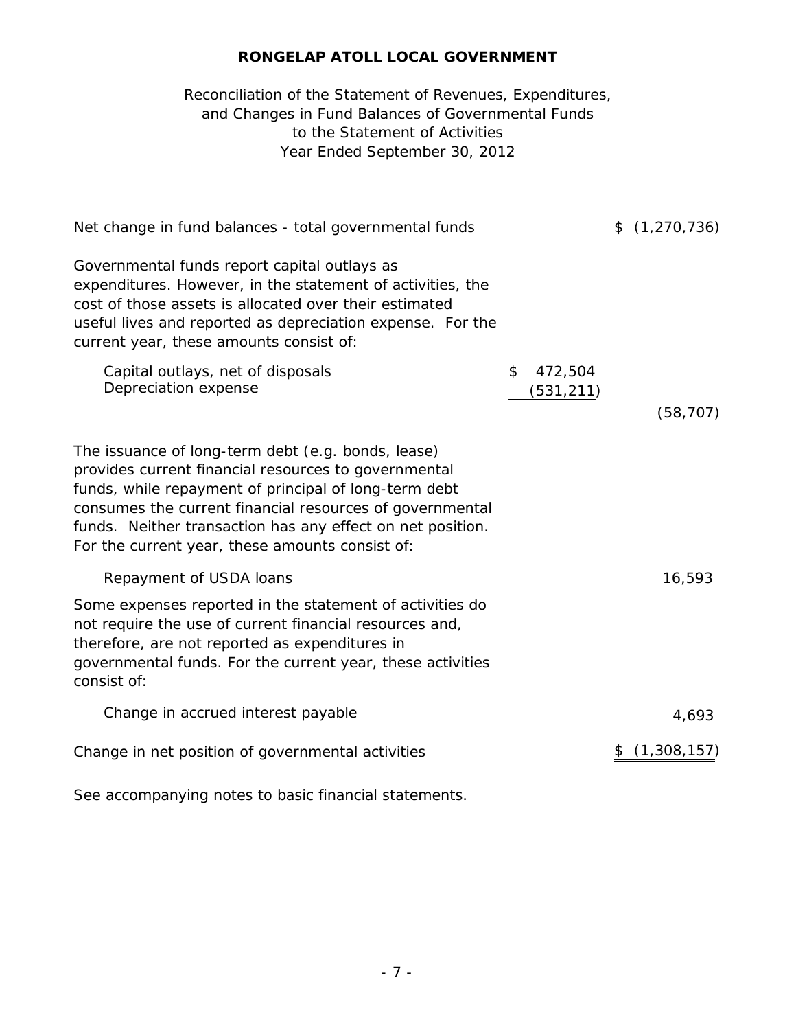# to the Statement of Activities Year Ended September 30, 2012 Reconciliation of the Statement of Revenues, Expenditures, and Changes in Fund Balances of Governmental Funds

| Net change in fund balances - total governmental funds                                                                                                                                                                                                                                                                                           |                             | \$(1,270,736) |
|--------------------------------------------------------------------------------------------------------------------------------------------------------------------------------------------------------------------------------------------------------------------------------------------------------------------------------------------------|-----------------------------|---------------|
| Governmental funds report capital outlays as<br>expenditures. However, in the statement of activities, the<br>cost of those assets is allocated over their estimated<br>useful lives and reported as depreciation expense. For the<br>current year, these amounts consist of:                                                                    |                             |               |
| Capital outlays, net of disposals<br>Depreciation expense                                                                                                                                                                                                                                                                                        | \$<br>472,504<br>(531, 211) | (58, 707)     |
| The issuance of long-term debt (e.g. bonds, lease)<br>provides current financial resources to governmental<br>funds, while repayment of principal of long-term debt<br>consumes the current financial resources of governmental<br>funds. Neither transaction has any effect on net position.<br>For the current year, these amounts consist of: |                             |               |
| Repayment of USDA loans                                                                                                                                                                                                                                                                                                                          |                             | 16,593        |
| Some expenses reported in the statement of activities do<br>not require the use of current financial resources and,<br>therefore, are not reported as expenditures in<br>governmental funds. For the current year, these activities<br>consist of:                                                                                               |                             |               |
| Change in accrued interest payable                                                                                                                                                                                                                                                                                                               |                             | 4,693         |
| Change in net position of governmental activities                                                                                                                                                                                                                                                                                                |                             | (1,308,157)   |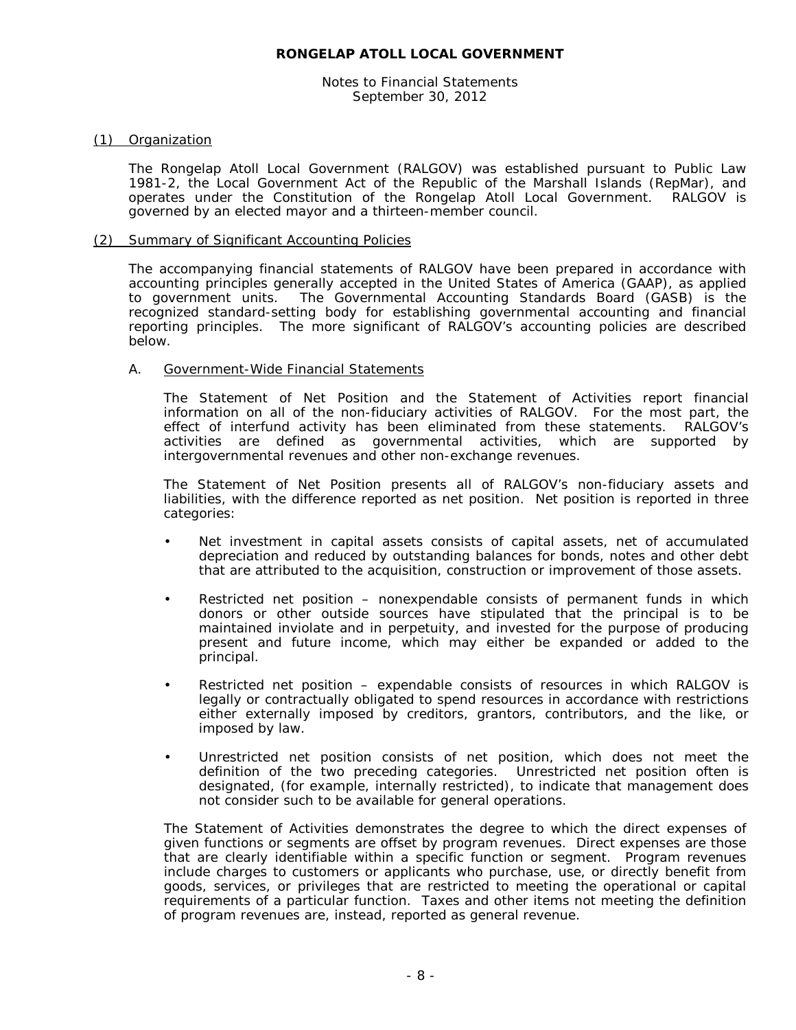Notes to Financial Statements September 30, 2012

#### (1) Organization

The Rongelap Atoll Local Government (RALGOV) was established pursuant to Public Law 1981-2, the Local Government Act of the Republic of the Marshall Islands (RepMar), and operates under the Constitution of the Rongelap Atoll Local Government. RALGOV is governed by an elected mayor and a thirteen-member council.

#### (2) Summary of Significant Accounting Policies

The accompanying financial statements of RALGOV have been prepared in accordance with accounting principles generally accepted in the United States of America (GAAP), as applied to government units. The Governmental Accounting Standards Board (GASB) is the recognized standard-setting body for establishing governmental accounting and financial reporting principles. The more significant of RALGOV's accounting policies are described below.

#### A. Government-Wide Financial Statements

The Statement of Net Position and the Statement of Activities report financial information on all of the non-fiduciary activities of RALGOV. For the most part, the effect of interfund activity has been eliminated from these statements. RALGOV's activities are defined as governmental activities, which are supported by intergovernmental revenues and other non-exchange revenues.

The Statement of Net Position presents all of RALGOV's non-fiduciary assets and liabilities, with the difference reported as net position. Net position is reported in three categories:

- Net investment in capital assets consists of capital assets, net of accumulated depreciation and reduced by outstanding balances for bonds, notes and other debt that are attributed to the acquisition, construction or improvement of those assets.
- Restricted net position nonexpendable consists of permanent funds in which donors or other outside sources have stipulated that the principal is to be maintained inviolate and in perpetuity, and invested for the purpose of producing present and future income, which may either be expanded or added to the principal.
- Restricted net position expendable consists of resources in which RALGOV is legally or contractually obligated to spend resources in accordance with restrictions either externally imposed by creditors, grantors, contributors, and the like, or imposed by law.
- Unrestricted net position consists of net position, which does not meet the definition of the two preceding categories. Unrestricted net position often is designated, (for example, internally restricted), to indicate that management does not consider such to be available for general operations.

The Statement of Activities demonstrates the degree to which the direct expenses of given functions or segments are offset by program revenues. Direct expenses are those that are clearly identifiable within a specific function or segment. Program revenues include charges to customers or applicants who purchase, use, or directly benefit from goods, services, or privileges that are restricted to meeting the operational or capital requirements of a particular function. Taxes and other items not meeting the definition of program revenues are, instead, reported as general revenue.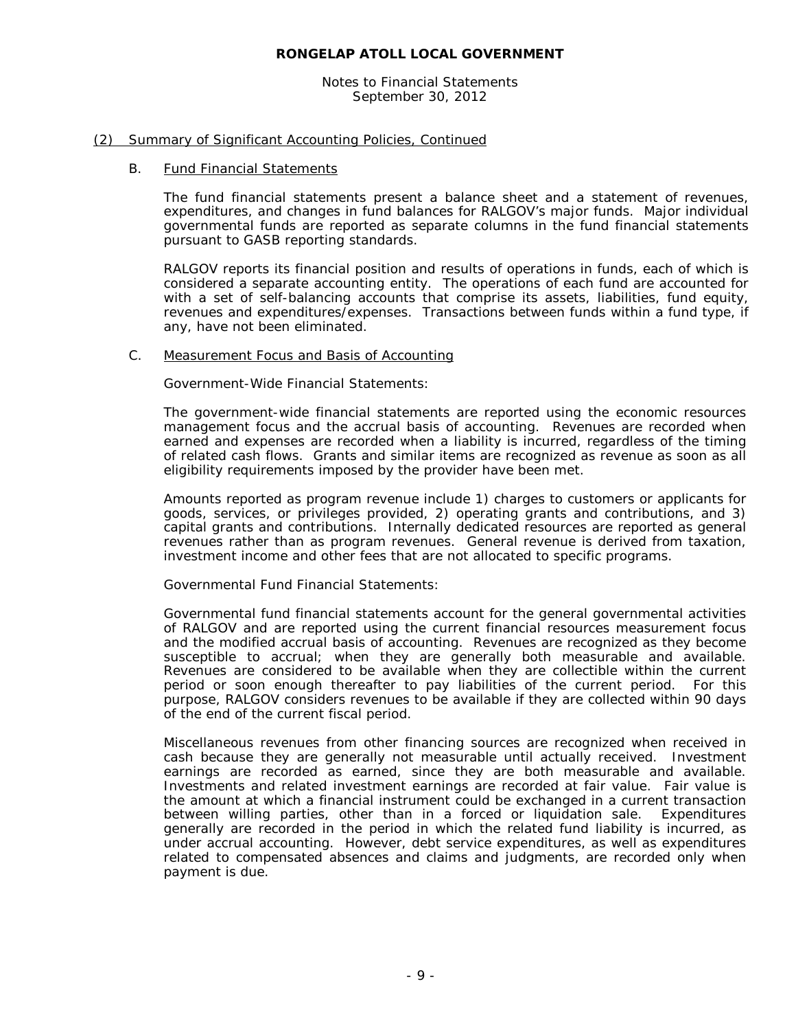Notes to Financial Statements September 30, 2012

#### (2) Summary of Significant Accounting Policies, Continued

#### B. Fund Financial Statements

The fund financial statements present a balance sheet and a statement of revenues, expenditures, and changes in fund balances for RALGOV's major funds. Major individual governmental funds are reported as separate columns in the fund financial statements pursuant to GASB reporting standards.

RALGOV reports its financial position and results of operations in funds, each of which is considered a separate accounting entity. The operations of each fund are accounted for with a set of self-balancing accounts that comprise its assets, liabilities, fund equity, revenues and expenditures/expenses. Transactions between funds within a fund type, if any, have not been eliminated.

#### C. Measurement Focus and Basis of Accounting

Government-Wide Financial Statements:

The government-wide financial statements are reported using the economic resources management focus and the accrual basis of accounting. Revenues are recorded when earned and expenses are recorded when a liability is incurred, regardless of the timing of related cash flows. Grants and similar items are recognized as revenue as soon as all eligibility requirements imposed by the provider have been met.

Amounts reported as program revenue include 1) charges to customers or applicants for goods, services, or privileges provided, 2) operating grants and contributions, and 3) capital grants and contributions. Internally dedicated resources are reported as general revenues rather than as program revenues. General revenue is derived from taxation, investment income and other fees that are not allocated to specific programs.

Governmental Fund Financial Statements:

Governmental fund financial statements account for the general governmental activities of RALGOV and are reported using the current financial resources measurement focus and the modified accrual basis of accounting. Revenues are recognized as they become susceptible to accrual; when they are generally both measurable and available. Revenues are considered to be available when they are collectible within the current period or soon enough thereafter to pay liabilities of the current period. For this purpose, RALGOV considers revenues to be available if they are collected within 90 days of the end of the current fiscal period.

Miscellaneous revenues from other financing sources are recognized when received in cash because they are generally not measurable until actually received. Investment earnings are recorded as earned, since they are both measurable and available. Investments and related investment earnings are recorded at fair value. Fair value is the amount at which a financial instrument could be exchanged in a current transaction between willing parties, other than in a forced or liquidation sale. Expenditures generally are recorded in the period in which the related fund liability is incurred, as under accrual accounting. However, debt service expenditures, as well as expenditures related to compensated absences and claims and judgments, are recorded only when payment is due.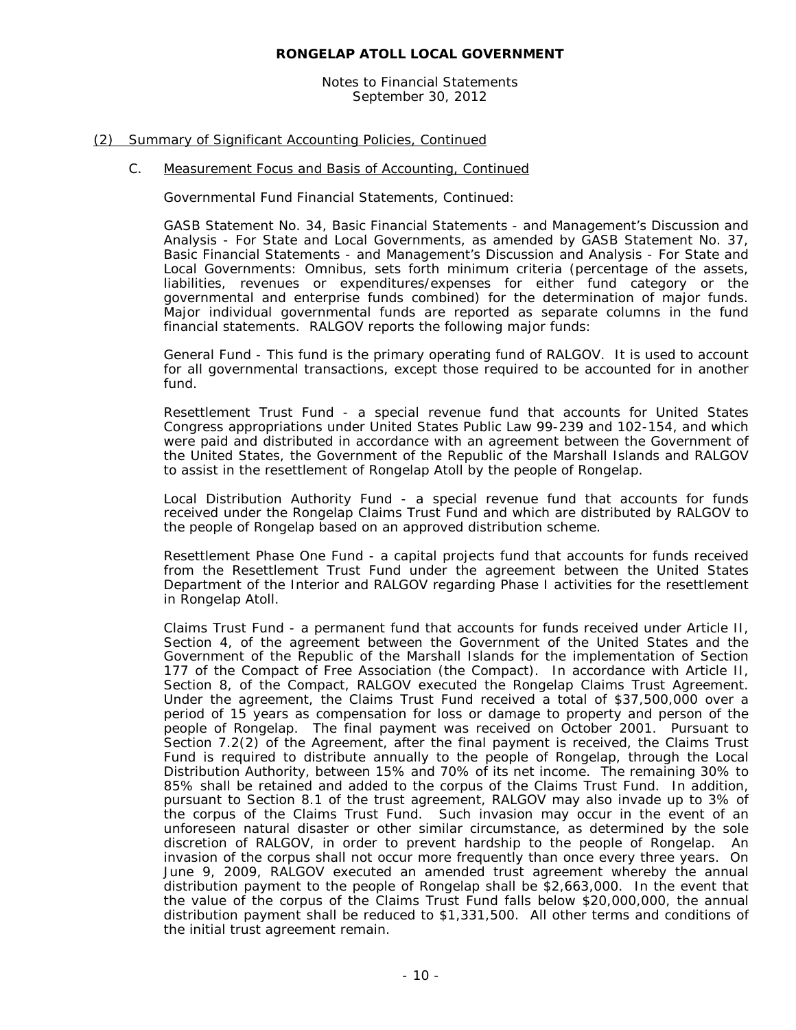Notes to Financial Statements September 30, 2012

#### (2) Summary of Significant Accounting Policies, Continued

#### C. Measurement Focus and Basis of Accounting, Continued

Governmental Fund Financial Statements, Continued:

GASB Statement No. 34, *Basic Financial Statements - and Management's Discussion and Analysis - For State and Local Governments*, as amended by GASB Statement No. 37, *Basic Financial Statements - and Management's Discussion and Analysis - For State and Local Governments*: *Omnibus*, sets forth minimum criteria (percentage of the assets, liabilities, revenues or expenditures/expenses for either fund category or the governmental and enterprise funds combined) for the determination of major funds. Major individual governmental funds are reported as separate columns in the fund financial statements. RALGOV reports the following major funds:

General Fund - This fund is the primary operating fund of RALGOV. It is used to account for all governmental transactions, except those required to be accounted for in another fund.

Resettlement Trust Fund - a special revenue fund that accounts for United States Congress appropriations under United States Public Law 99-239 and 102-154, and which were paid and distributed in accordance with an agreement between the Government of the United States, the Government of the Republic of the Marshall Islands and RALGOV to assist in the resettlement of Rongelap Atoll by the people of Rongelap.

Local Distribution Authority Fund - a special revenue fund that accounts for funds received under the Rongelap Claims Trust Fund and which are distributed by RALGOV to the people of Rongelap based on an approved distribution scheme.

Resettlement Phase One Fund - a capital projects fund that accounts for funds received from the Resettlement Trust Fund under the agreement between the United States Department of the Interior and RALGOV regarding Phase I activities for the resettlement in Rongelap Atoll.

Claims Trust Fund - a permanent fund that accounts for funds received under Article II, Section 4, of the agreement between the Government of the United States and the Government of the Republic of the Marshall Islands for the implementation of Section 177 of the Compact of Free Association (the Compact). In accordance with Article II, Section 8, of the Compact, RALGOV executed the Rongelap Claims Trust Agreement. Under the agreement, the Claims Trust Fund received a total of \$37,500,000 over a period of 15 years as compensation for loss or damage to property and person of the people of Rongelap. The final payment was received on October 2001. Pursuant to Section 7.2(2) of the Agreement, after the final payment is received, the Claims Trust Fund is required to distribute annually to the people of Rongelap, through the Local Distribution Authority, between 15% and 70% of its net income. The remaining 30% to 85% shall be retained and added to the corpus of the Claims Trust Fund. In addition, pursuant to Section 8.1 of the trust agreement, RALGOV may also invade up to 3% of the corpus of the Claims Trust Fund. Such invasion may occur in the event of an unforeseen natural disaster or other similar circumstance, as determined by the sole discretion of RALGOV, in order to prevent hardship to the people of Rongelap. An invasion of the corpus shall not occur more frequently than once every three years. On June 9, 2009, RALGOV executed an amended trust agreement whereby the annual distribution payment to the people of Rongelap shall be \$2,663,000. In the event that the value of the corpus of the Claims Trust Fund falls below \$20,000,000, the annual distribution payment shall be reduced to \$1,331,500. All other terms and conditions of the initial trust agreement remain.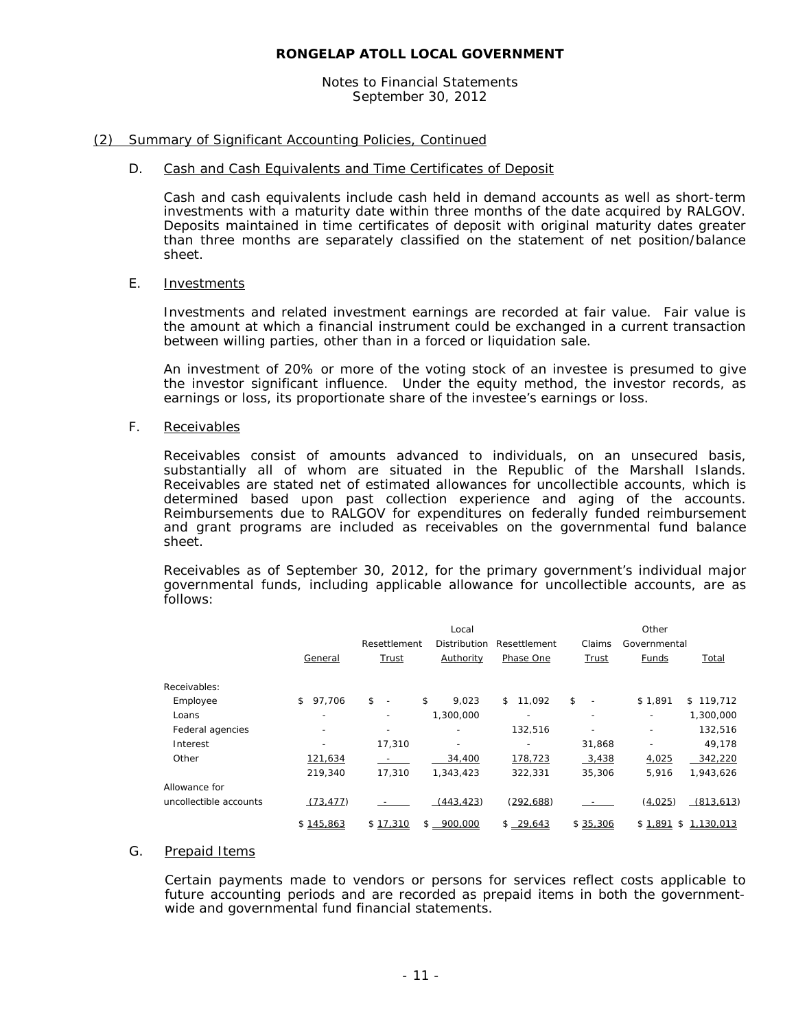Notes to Financial Statements September 30, 2012

#### (2) Summary of Significant Accounting Policies, Continued

#### D. Cash and Cash Equivalents and Time Certificates of Deposit

Cash and cash equivalents include cash held in demand accounts as well as short-term investments with a maturity date within three months of the date acquired by RALGOV. Deposits maintained in time certificates of deposit with original maturity dates greater than three months are separately classified on the statement of net position/balance sheet.

#### E. Investments

Investments and related investment earnings are recorded at fair value. Fair value is the amount at which a financial instrument could be exchanged in a current transaction between willing parties, other than in a forced or liquidation sale.

An investment of 20% or more of the voting stock of an investee is presumed to give the investor significant influence. Under the equity method, the investor records, as earnings or loss, its proportionate share of the investee's earnings or loss.

#### F. Receivables

Receivables consist of amounts advanced to individuals, on an unsecured basis, substantially all of whom are situated in the Republic of the Marshall Islands. Receivables are stated net of estimated allowances for uncollectible accounts, which is determined based upon past collection experience and aging of the accounts. Reimbursements due to RALGOV for expenditures on federally funded reimbursement and grant programs are included as receivables on the governmental fund balance sheet.

Receivables as of September 30, 2012, for the primary government's individual major governmental funds, including applicable allowance for uncollectible accounts, are as follows:

|                        |              |                                | Local                            |                           |                 | Other                    |            |
|------------------------|--------------|--------------------------------|----------------------------------|---------------------------|-----------------|--------------------------|------------|
|                        | General      | Resettlement<br>Trust          | <b>Distribution</b><br>Authority | Resettlement<br>Phase One | Claims<br>Trust | Governmental<br>Funds    | Total      |
| Receivables:           |              |                                |                                  |                           |                 |                          |            |
| Employee               | 97,706<br>\$ | \$<br>$\overline{\phantom{a}}$ | \$<br>9,023                      | \$<br>11,092              | \$              | \$1.891                  | \$119,712  |
| Loans                  |              |                                | 1,300,000                        |                           |                 |                          | 1,300,000  |
| Federal agencies       |              |                                |                                  | 132.516                   |                 | $\overline{\phantom{a}}$ | 132,516    |
| Interest               |              | 17,310                         |                                  | $\overline{\phantom{a}}$  | 31,868          |                          | 49,178     |
| Other                  | 121,634      |                                | 34,400                           | 178,723                   | 3,438           | 4,025                    | 342,220    |
|                        | 219,340      | 17,310                         | 1,343,423                        | 322,331                   | 35,306          | 5,916                    | 1,943,626  |
| Allowance for          |              |                                |                                  |                           |                 |                          |            |
| uncollectible accounts | (73, 477)    |                                | (443, 423)                       | (292, 688)                |                 | (4,025)                  | (813, 613) |
|                        | \$145.863    | \$17,310                       | \$ 900,000                       | \$29,643                  | \$35,306        | \$1,891<br>\$            | 1.130.013  |

#### G. Prepaid Items

Certain payments made to vendors or persons for services reflect costs applicable to future accounting periods and are recorded as prepaid items in both the governmentwide and governmental fund financial statements.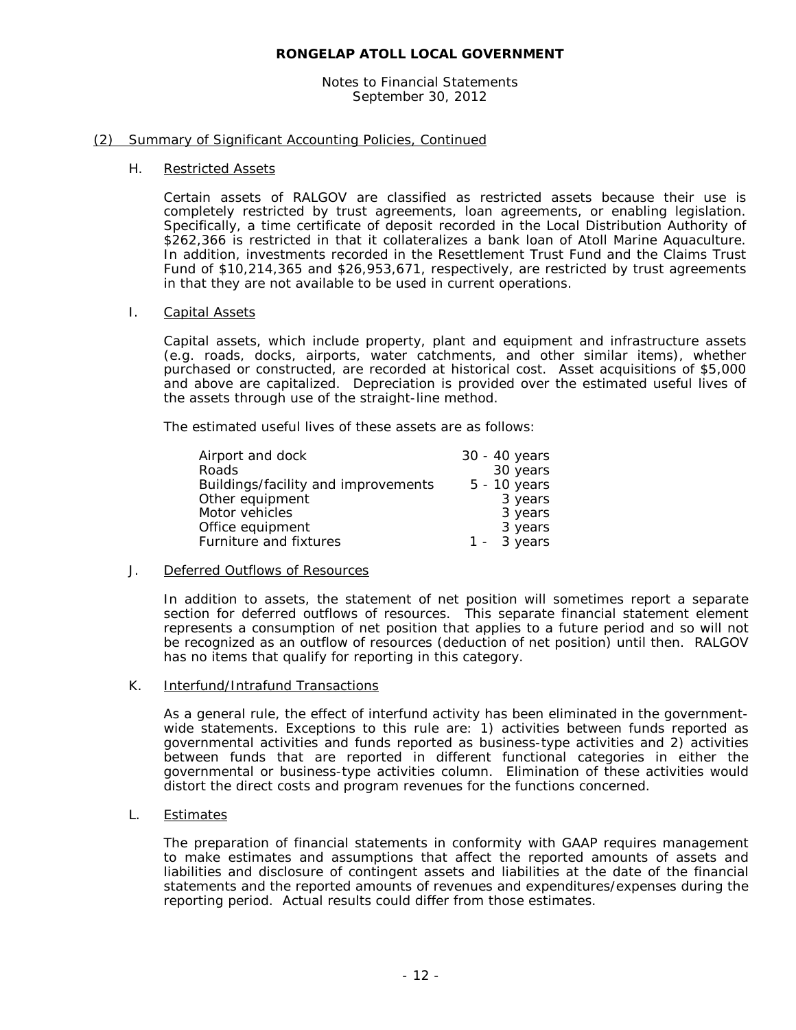Notes to Financial Statements September 30, 2012

#### (2) Summary of Significant Accounting Policies, Continued

#### H. Restricted Assets

Certain assets of RALGOV are classified as restricted assets because their use is completely restricted by trust agreements, loan agreements, or enabling legislation. Specifically, a time certificate of deposit recorded in the Local Distribution Authority of \$262,366 is restricted in that it collateralizes a bank loan of Atoll Marine Aquaculture. In addition, investments recorded in the Resettlement Trust Fund and the Claims Trust Fund of \$10,214,365 and \$26,953,671, respectively, are restricted by trust agreements in that they are not available to be used in current operations.

#### I. Capital Assets

Capital assets, which include property, plant and equipment and infrastructure assets (e.g. roads, docks, airports, water catchments, and other similar items), whether purchased or constructed, are recorded at historical cost. Asset acquisitions of \$5,000 and above are capitalized. Depreciation is provided over the estimated useful lives of the assets through use of the straight-line method.

The estimated useful lives of these assets are as follows:

| Airport and dock                    | 30 - 40 years  |
|-------------------------------------|----------------|
| Roads                               | 30 years       |
| Buildings/facility and improvements | $5 - 10$ years |
| Other equipment                     | 3 years        |
| Motor vehicles                      | 3 years        |
| Office equipment                    | 3 years        |
| Furniture and fixtures              | $1 - 3$ years  |

#### J. Deferred Outflows of Resources

In addition to assets, the statement of net position will sometimes report a separate section for deferred outflows of resources. This separate financial statement element represents a consumption of net position that applies to a future period and so will not be recognized as an outflow of resources (deduction of net position) until then. RALGOV has no items that qualify for reporting in this category.

#### K. Interfund/Intrafund Transactions

As a general rule, the effect of interfund activity has been eliminated in the governmentwide statements. Exceptions to this rule are: 1) activities between funds reported as governmental activities and funds reported as business-type activities and 2) activities between funds that are reported in different functional categories in either the governmental or business-type activities column. Elimination of these activities would distort the direct costs and program revenues for the functions concerned.

#### L. Estimates

The preparation of financial statements in conformity with GAAP requires management to make estimates and assumptions that affect the reported amounts of assets and liabilities and disclosure of contingent assets and liabilities at the date of the financial statements and the reported amounts of revenues and expenditures/expenses during the reporting period. Actual results could differ from those estimates.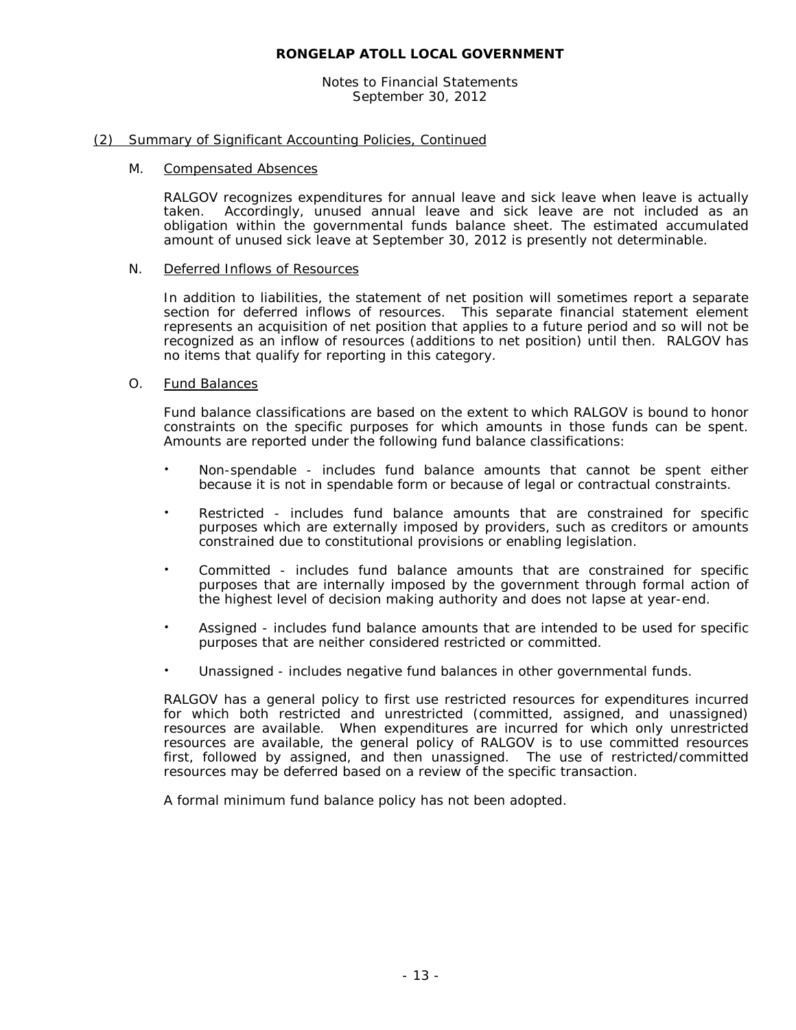Notes to Financial Statements September 30, 2012

#### (2) Summary of Significant Accounting Policies, Continued

#### M. Compensated Absences

RALGOV recognizes expenditures for annual leave and sick leave when leave is actually taken. Accordingly, unused annual leave and sick leave are not included as an obligation within the governmental funds balance sheet. The estimated accumulated amount of unused sick leave at September 30, 2012 is presently not determinable.

#### N. Deferred Inflows of Resources

In addition to liabilities, the statement of net position will sometimes report a separate section for deferred inflows of resources. This separate financial statement element represents an acquisition of net position that applies to a future period and so will not be recognized as an inflow of resources (additions to net position) until then. RALGOV has no items that qualify for reporting in this category.

#### O. Fund Balances

Fund balance classifications are based on the extent to which RALGOV is bound to honor constraints on the specific purposes for which amounts in those funds can be spent. Amounts are reported under the following fund balance classifications:

- Non-spendable includes fund balance amounts that cannot be spent either because it is not in spendable form or because of legal or contractual constraints.
- Restricted includes fund balance amounts that are constrained for specific purposes which are externally imposed by providers, such as creditors or amounts constrained due to constitutional provisions or enabling legislation.
- Committed includes fund balance amounts that are constrained for specific purposes that are internally imposed by the government through formal action of the highest level of decision making authority and does not lapse at year-end.
- Assigned includes fund balance amounts that are intended to be used for specific purposes that are neither considered restricted or committed.
- Unassigned includes negative fund balances in other governmental funds.

RALGOV has a general policy to first use restricted resources for expenditures incurred for which both restricted and unrestricted (committed, assigned, and unassigned) resources are available. When expenditures are incurred for which only unrestricted resources are available, the general policy of RALGOV is to use committed resources first, followed by assigned, and then unassigned. The use of restricted/committed resources may be deferred based on a review of the specific transaction.

A formal minimum fund balance policy has not been adopted.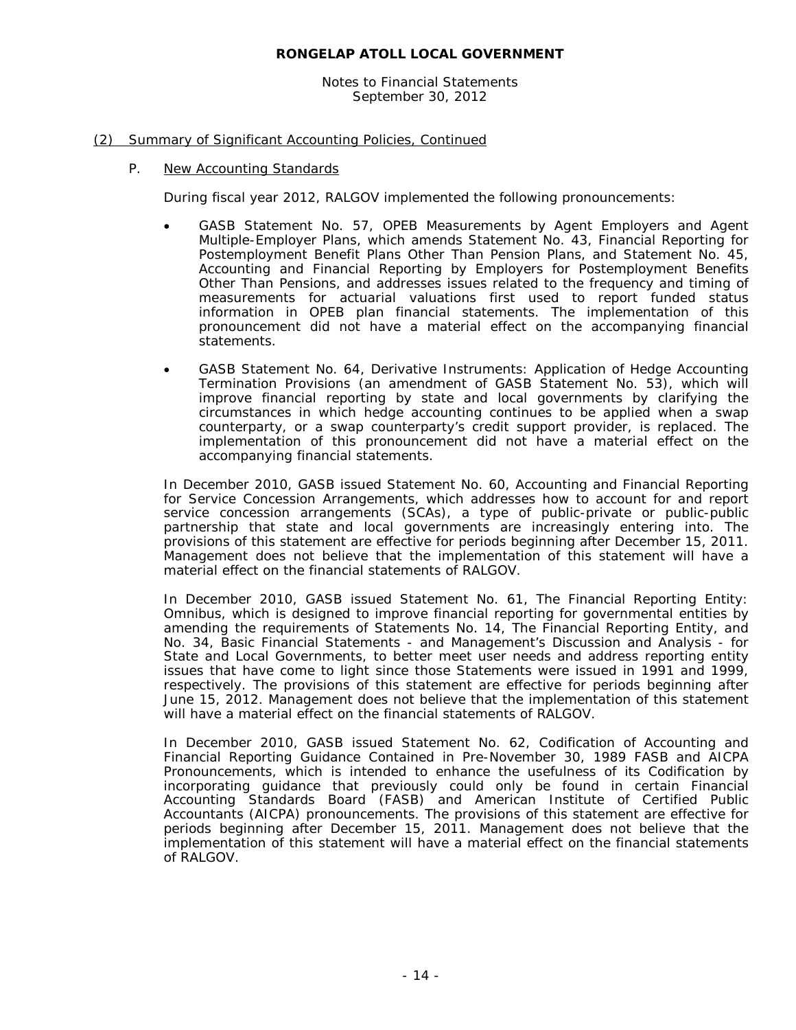Notes to Financial Statements September 30, 2012

#### (2) Summary of Significant Accounting Policies, Continued

P. New Accounting Standards

During fiscal year 2012, RALGOV implemented the following pronouncements:

- GASB Statement No. 57, *OPEB Measurements by Agent Employers and Agent Multiple-Employer Plans*, which amends Statement No. 43, *Financial Reporting for Postemployment Benefit Plans Other Than Pension Plans*, and Statement No. 45, *Accounting and Financial Reporting by Employers for Postemployment Benefits Other Than Pensions*, and addresses issues related to the frequency and timing of measurements for actuarial valuations first used to report funded status information in OPEB plan financial statements. The implementation of this pronouncement did not have a material effect on the accompanying financial statements.
- GASB Statement No. 64, *Derivative Instruments: Application of Hedge Accounting Termination Provisions* (an amendment of GASB Statement No. 53), which will improve financial reporting by state and local governments by clarifying the circumstances in which hedge accounting continues to be applied when a swap counterparty, or a swap counterparty's credit support provider, is replaced. The implementation of this pronouncement did not have a material effect on the accompanying financial statements.

In December 2010, GASB issued Statement No. 60, *Accounting and Financial Reporting for Service Concession Arrangements,* which addresses how to account for and report service concession arrangements (SCAs), a type of public-private or public-public partnership that state and local governments are increasingly entering into. The provisions of this statement are effective for periods beginning after December 15, 2011. Management does not believe that the implementation of this statement will have a material effect on the financial statements of RALGOV.

In December 2010, GASB issued Statement No. 61, *The Financial Reporting Entity: Omnibus*, which is designed to improve financial reporting for governmental entities by amending the requirements of Statements No. 14, *The Financial Reporting Entity*, and No. 34, *Basic Financial Statements - and Management's Discussion and Analysis - for State and Local Governments*, to better meet user needs and address reporting entity issues that have come to light since those Statements were issued in 1991 and 1999, respectively. The provisions of this statement are effective for periods beginning after June 15, 2012. Management does not believe that the implementation of this statement will have a material effect on the financial statements of RALGOV.

In December 2010, GASB issued Statement No. 62, *Codification of Accounting and Financial Reporting Guidance Contained in Pre-November 30, 1989 FASB and AICPA Pronouncements*, which is intended to enhance the usefulness of its Codification by incorporating guidance that previously could only be found in certain Financial Accounting Standards Board (FASB) and American Institute of Certified Public Accountants (AICPA) pronouncements. The provisions of this statement are effective for periods beginning after December 15, 2011. Management does not believe that the implementation of this statement will have a material effect on the financial statements of RALGOV.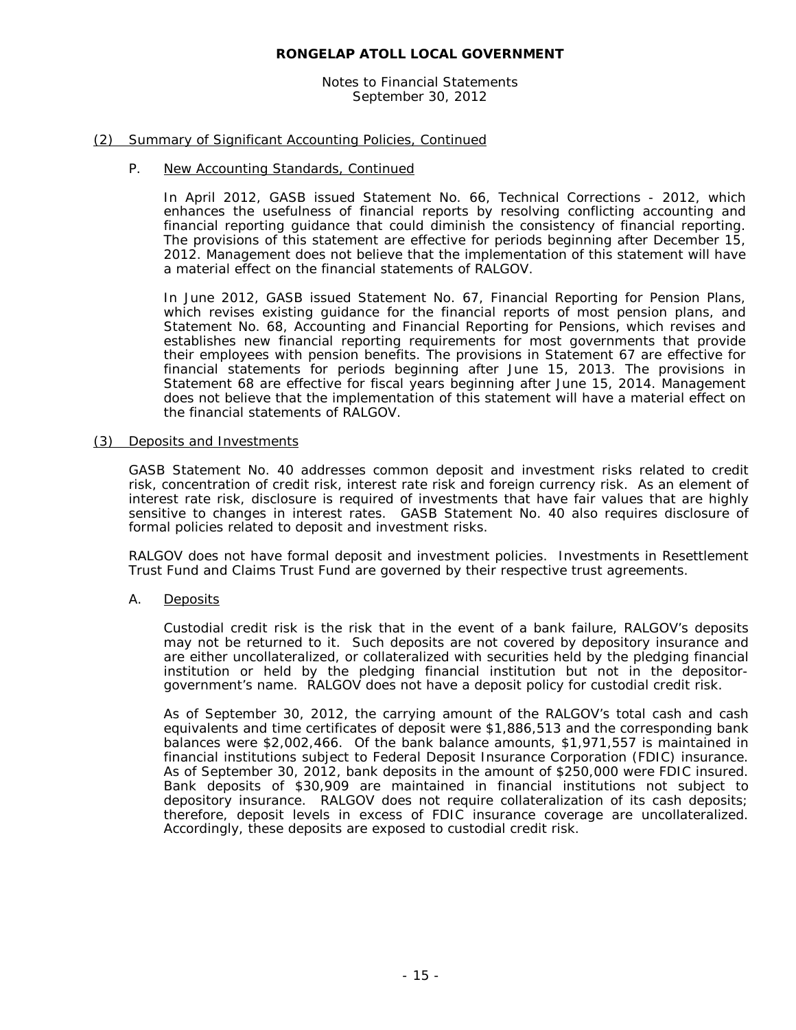Notes to Financial Statements September 30, 2012

#### (2) Summary of Significant Accounting Policies, Continued

#### P. New Accounting Standards, Continued

In April 2012, GASB issued Statement No. 66, *Technical Corrections - 2012*, which enhances the usefulness of financial reports by resolving conflicting accounting and financial reporting guidance that could diminish the consistency of financial reporting. The provisions of this statement are effective for periods beginning after December 15, 2012. Management does not believe that the implementation of this statement will have a material effect on the financial statements of RALGOV.

In June 2012, GASB issued Statement No. 67, *Financial Reporting for Pension Plans*, which revises existing guidance for the financial reports of most pension plans, and Statement No. 68, *Accounting and Financial Reporting for Pensions*, which revises and establishes new financial reporting requirements for most governments that provide their employees with pension benefits. The provisions in Statement 67 are effective for financial statements for periods beginning after June 15, 2013. The provisions in Statement 68 are effective for fiscal years beginning after June 15, 2014. Management does not believe that the implementation of this statement will have a material effect on the financial statements of RALGOV.

#### (3) Deposits and Investments

GASB Statement No. 40 addresses common deposit and investment risks related to credit risk, concentration of credit risk, interest rate risk and foreign currency risk. As an element of interest rate risk, disclosure is required of investments that have fair values that are highly sensitive to changes in interest rates. GASB Statement No. 40 also requires disclosure of formal policies related to deposit and investment risks.

RALGOV does not have formal deposit and investment policies. Investments in Resettlement Trust Fund and Claims Trust Fund are governed by their respective trust agreements.

#### A. Deposits

Custodial credit risk is the risk that in the event of a bank failure, RALGOV's deposits may not be returned to it. Such deposits are not covered by depository insurance and are either uncollateralized, or collateralized with securities held by the pledging financial institution or held by the pledging financial institution but not in the depositorgovernment's name. RALGOV does not have a deposit policy for custodial credit risk.

As of September 30, 2012, the carrying amount of the RALGOV's total cash and cash equivalents and time certificates of deposit were \$1,886,513 and the corresponding bank balances were \$2,002,466. Of the bank balance amounts, \$1,971,557 is maintained in financial institutions subject to Federal Deposit Insurance Corporation (FDIC) insurance. As of September 30, 2012, bank deposits in the amount of \$250,000 were FDIC insured. Bank deposits of \$30,909 are maintained in financial institutions not subject to depository insurance. RALGOV does not require collateralization of its cash deposits; therefore, deposit levels in excess of FDIC insurance coverage are uncollateralized. Accordingly, these deposits are exposed to custodial credit risk.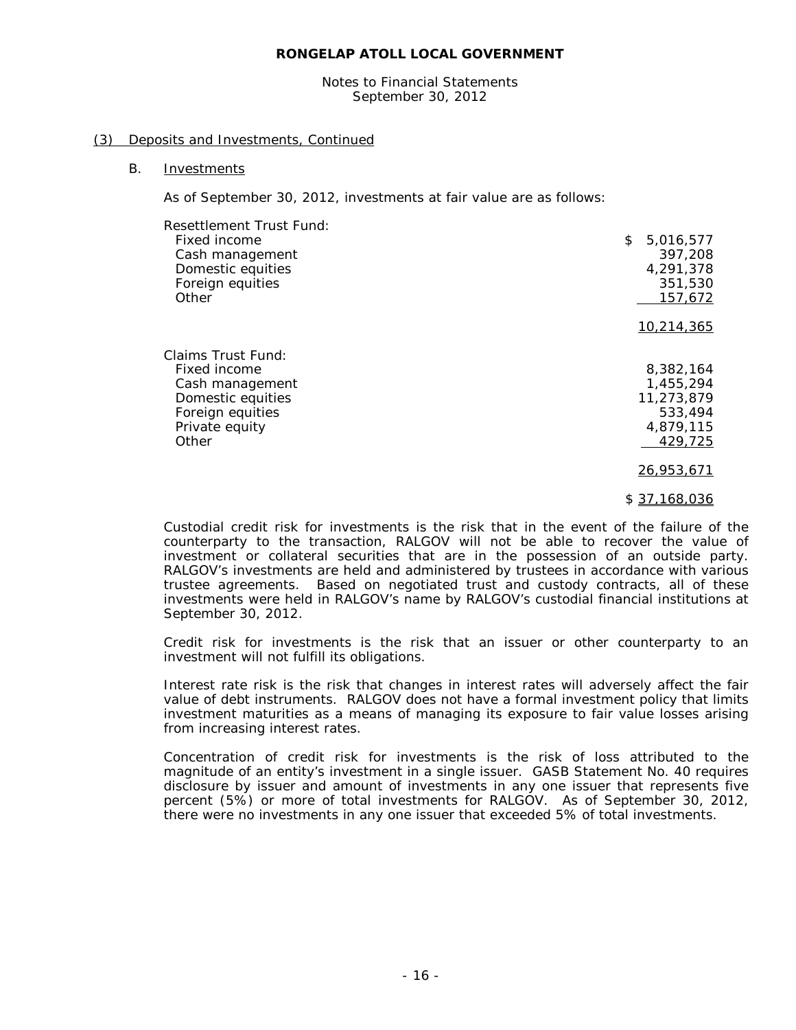Notes to Financial Statements September 30, 2012

#### (3) Deposits and Investments, Continued

#### B. Investments

As of September 30, 2012, investments at fair value are as follows:

| Resettlement Trust Fund: |                   |
|--------------------------|-------------------|
| Fixed income             | 5,016,577<br>\$   |
| Cash management          | 397,208           |
| Domestic equities        | 4,291,378         |
| Foreign equities         | 351,530           |
| Other                    | 157,672           |
|                          |                   |
|                          | <u>10,214,365</u> |
|                          |                   |
| Claims Trust Fund:       |                   |
| Fixed income             | 8,382,164         |
| Cash management          | 1,455,294         |
| Domestic equities        | 11,273,879        |
| Foreign equities         | 533,494           |
| Private equity           | 4,879,115         |
| Other                    | 429,725           |
|                          |                   |
|                          | 26,953,671        |
|                          | \$ 37,168,036     |
|                          |                   |

Custodial credit risk for investments is the risk that in the event of the failure of the counterparty to the transaction, RALGOV will not be able to recover the value of investment or collateral securities that are in the possession of an outside party. RALGOV's investments are held and administered by trustees in accordance with various trustee agreements. Based on negotiated trust and custody contracts, all of these investments were held in RALGOV's name by RALGOV's custodial financial institutions at September 30, 2012.

Credit risk for investments is the risk that an issuer or other counterparty to an investment will not fulfill its obligations.

Interest rate risk is the risk that changes in interest rates will adversely affect the fair value of debt instruments. RALGOV does not have a formal investment policy that limits investment maturities as a means of managing its exposure to fair value losses arising from increasing interest rates.

Concentration of credit risk for investments is the risk of loss attributed to the magnitude of an entity's investment in a single issuer. GASB Statement No. 40 requires disclosure by issuer and amount of investments in any one issuer that represents five percent (5%) or more of total investments for RALGOV. As of September 30, 2012, there were no investments in any one issuer that exceeded 5% of total investments.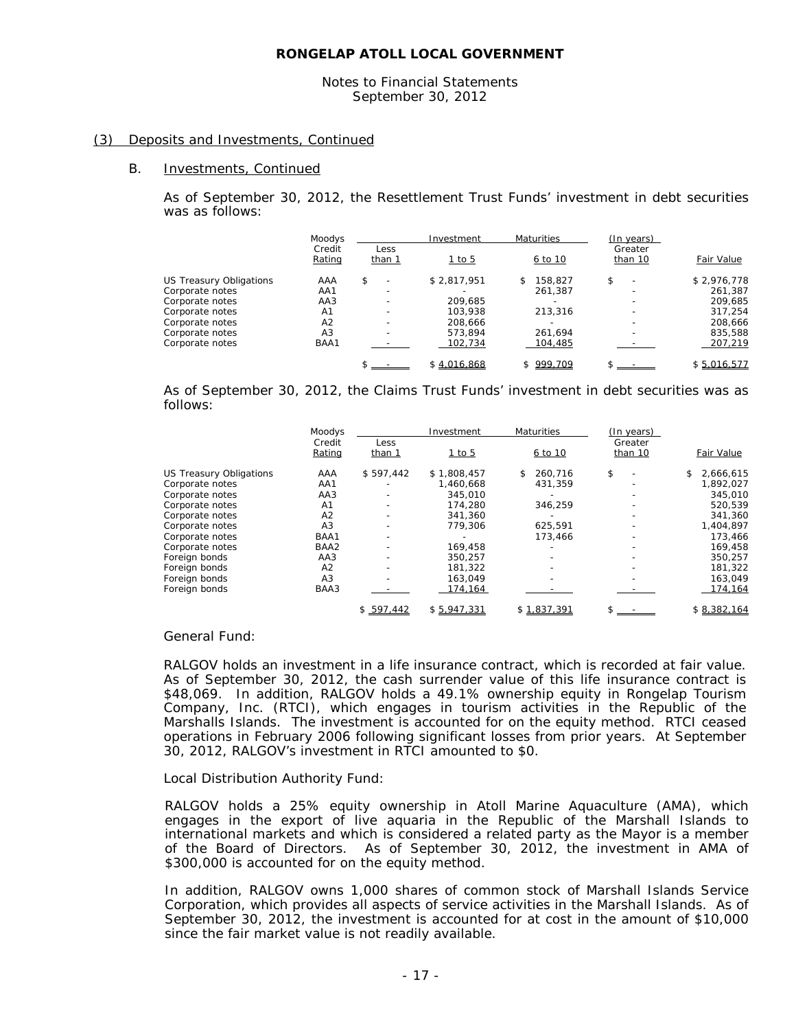#### Notes to Financial Statements September 30, 2012

#### (3) Deposits and Investments, Continued

#### B. Investments, Continued

As of September 30, 2012, the Resettlement Trust Funds' investment in debt securities was as follows:

|                         | <b>Moodvs</b>    |                          | Investment  | <b>Maturities</b>        | (In years)                     |             |
|-------------------------|------------------|--------------------------|-------------|--------------------------|--------------------------------|-------------|
|                         | Credit<br>Rating | Less<br>than 1           | 1 to 5      | 6 to 10                  | Greater<br>than 10             | Fair Value  |
| US Treasury Obligations | AAA              | \$                       | \$2,817,951 | 158.827                  | \$<br>$\overline{\phantom{a}}$ | \$2,976,778 |
| Corporate notes         | AA1              |                          |             | 261.387                  |                                | 261.387     |
| Corporate notes         | AA3              |                          | 209.685     |                          |                                | 209.685     |
| Corporate notes         | A <sub>1</sub>   |                          | 103.938     | 213.316                  |                                | 317.254     |
| Corporate notes         | A <sub>2</sub>   |                          | 208.666     | $\overline{\phantom{a}}$ |                                | 208,666     |
| Corporate notes         | A <sub>3</sub>   | $\overline{\phantom{0}}$ | 573.894     | 261.694                  |                                | 835,588     |
| Corporate notes         | BAA1             |                          | 102,734     | 104,485                  |                                | 207,219     |
|                         |                  |                          | \$4.016.868 | 999.709                  |                                | \$5.016.577 |

As of September 30, 2012, the Claims Trust Funds' investment in debt securities was as follows:

|                         | Moodys           |                | Investment  | Maturities    | (In years)         |                 |
|-------------------------|------------------|----------------|-------------|---------------|--------------------|-----------------|
|                         | Credit<br>Rating | Less<br>than 1 | $1$ to 5    | 6 to 10       | Greater<br>than 10 | Fair Value      |
| US Treasury Obligations | AAA              | \$597.442      | \$1,808,457 | 260.716<br>\$ | \$                 | 2,666,615<br>\$ |
| Corporate notes         | AA1              |                | 1.460.668   | 431.359       |                    | 1,892,027       |
| Corporate notes         | AA3              |                | 345.010     |               |                    | 345,010         |
| Corporate notes         | A <sub>1</sub>   |                | 174.280     | 346.259       |                    | 520.539         |
| Corporate notes         | A <sub>2</sub>   |                | 341.360     |               |                    | 341.360         |
| Corporate notes         | A <sub>3</sub>   |                | 779.306     | 625,591       |                    | 1,404,897       |
| Corporate notes         | BAA1             |                |             | 173.466       |                    | 173.466         |
| Corporate notes         | BAA2             |                | 169.458     |               |                    | 169,458         |
| Foreign bonds           | AA3              |                | 350.257     |               |                    | 350.257         |
| Foreign bonds           | A <sub>2</sub>   |                | 181.322     |               |                    | 181,322         |
| Foreign bonds           | A <sub>3</sub>   |                | 163.049     |               |                    | 163.049         |
| Foreign bonds           | BAA3             |                | 174,164     |               |                    | 174,164         |
|                         |                  | \$597,442      | \$5,947,331 | \$1,837,391   |                    | \$8,382,164     |

General Fund:

RALGOV holds an investment in a life insurance contract, which is recorded at fair value. As of September 30, 2012, the cash surrender value of this life insurance contract is \$48,069. In addition, RALGOV holds a 49.1% ownership equity in Rongelap Tourism Company, Inc. (RTCI), which engages in tourism activities in the Republic of the Marshalls Islands. The investment is accounted for on the equity method. RTCI ceased operations in February 2006 following significant losses from prior years. At September 30, 2012, RALGOV's investment in RTCI amounted to \$0.

#### Local Distribution Authority Fund:

RALGOV holds a 25% equity ownership in Atoll Marine Aquaculture (AMA), which engages in the export of live aquaria in the Republic of the Marshall Islands to international markets and which is considered a related party as the Mayor is a member of the Board of Directors. As of September 30, 2012, the investment in AMA of \$300,000 is accounted for on the equity method.

In addition, RALGOV owns 1,000 shares of common stock of Marshall Islands Service Corporation, which provides all aspects of service activities in the Marshall Islands. As of September 30, 2012, the investment is accounted for at cost in the amount of \$10,000 since the fair market value is not readily available.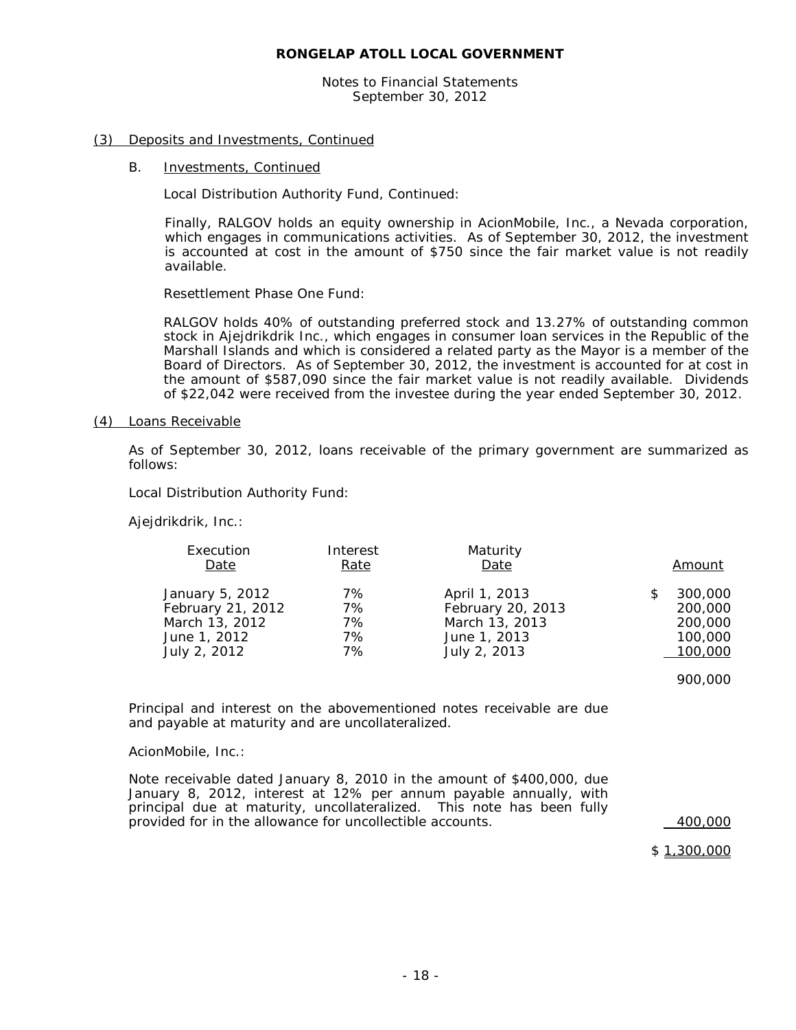Notes to Financial Statements September 30, 2012

#### (3) Deposits and Investments, Continued

#### B. Investments, Continued

Local Distribution Authority Fund, Continued:

Finally, RALGOV holds an equity ownership in AcionMobile, Inc., a Nevada corporation, which engages in communications activities. As of September 30, 2012, the investment is accounted at cost in the amount of \$750 since the fair market value is not readily available.

Resettlement Phase One Fund:

RALGOV holds 40% of outstanding preferred stock and 13.27% of outstanding common stock in Ajejdrikdrik Inc., which engages in consumer loan services in the Republic of the Marshall Islands and which is considered a related party as the Mayor is a member of the Board of Directors. As of September 30, 2012, the investment is accounted for at cost in the amount of \$587,090 since the fair market value is not readily available. Dividends of \$22,042 were received from the investee during the year ended September 30, 2012.

#### (4) Loans Receivable

As of September 30, 2012, loans receivable of the primary government are summarized as follows:

Local Distribution Authority Fund:

Ajejdrikdrik, Inc.:

| Execution<br>Date | Interest<br>Rate | Maturity<br>Date  | Amount  |
|-------------------|------------------|-------------------|---------|
| January 5, 2012   | 7%               | April 1, 2013     | 300,000 |
| February 21, 2012 | 7%               | February 20, 2013 | 200,000 |
| March 13, 2012    | 7%               | March 13, 2013    | 200,000 |
| June 1, 2012      | 7%               | June 1, 2013      | 100,000 |
| July 2, 2012      | 7%               | July 2, 2013      | 100,000 |

900,000

Principal and interest on the abovementioned notes receivable are due and payable at maturity and are uncollateralized.

#### AcionMobile, Inc.:

Note receivable dated January 8, 2010 in the amount of \$400,000, due January 8, 2012, interest at 12% per annum payable annually, with principal due at maturity, uncollateralized. This note has been fully provided for in the allowance for uncollectible accounts. 400,000

\$1,300,000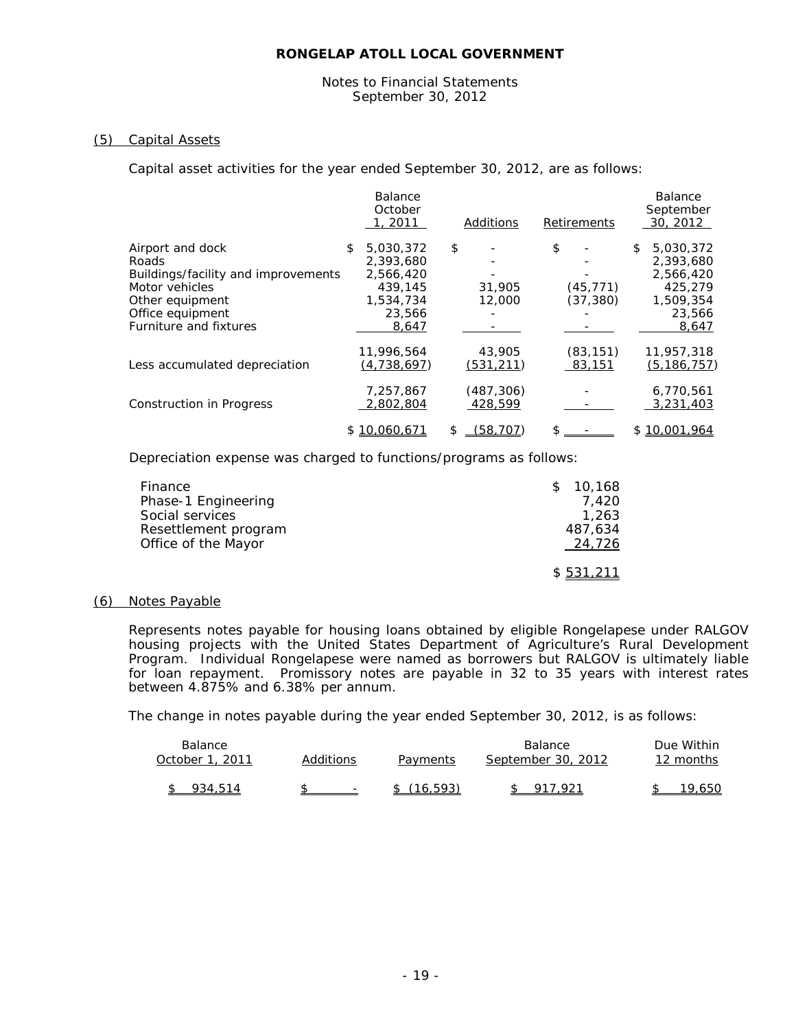#### Notes to Financial Statements September 30, 2012

#### (5) Capital Assets

Capital asset activities for the year ended September 30, 2012, are as follows:

|                                                                                                                                                     | <b>Balance</b><br>October<br>1, 2011                                                 |    | Additions                                    | Retirements                  | Balance<br>September<br>30, 2012                                                     |
|-----------------------------------------------------------------------------------------------------------------------------------------------------|--------------------------------------------------------------------------------------|----|----------------------------------------------|------------------------------|--------------------------------------------------------------------------------------|
| Airport and dock<br>Roads<br>Buildings/facility and improvements<br>Motor vehicles<br>Other equipment<br>Office equipment<br>Furniture and fixtures | \$<br>5,030,372<br>2,393,680<br>2,566,420<br>439.145<br>1,534,734<br>23,566<br>8,647 | \$ | 31,905<br>12,000                             | \$<br>(45, 771)<br>(37, 380) | \$<br>5,030,372<br>2,393,680<br>2,566,420<br>425,279<br>1,509,354<br>23,566<br>8,647 |
| Less accumulated depreciation<br>Construction in Progress                                                                                           | 11,996,564<br>(4,738,697)<br>7,257,867<br>2,802,804                                  |    | 43,905<br>(531, 211)<br>(487,306)<br>428,599 | (83, 151)<br>83,151          | 11,957,318<br>(5, 186, 757)<br>6,770,561<br>3,231,403                                |
|                                                                                                                                                     | \$10,060,671                                                                         | S. | (58,707)                                     | \$                           | \$10,001,964                                                                         |

Depreciation expense was charged to functions/programs as follows:

| Finance              | 10,168<br>S. |
|----------------------|--------------|
| Phase-1 Engineering  | 7.420        |
| Social services      | 1,263        |
| Resettlement program | 487.634      |
| Office of the Mayor  | 24,726       |
|                      | \$531,211    |

#### (6) Notes Payable

Represents notes payable for housing loans obtained by eligible Rongelapese under RALGOV housing projects with the United States Department of Agriculture's Rural Development Program. Individual Rongelapese were named as borrowers but RALGOV is ultimately liable for loan repayment. Promissory notes are payable in 32 to 35 years with interest rates between 4.875% and 6.38% per annum.

The change in notes payable during the year ended September 30, 2012, is as follows:

| <b>Balance</b><br>Additions<br>October 1, 2011 |                          | Payments   | <b>Balance</b><br>September 30, 2012 | Due Within<br>12 months |
|------------------------------------------------|--------------------------|------------|--------------------------------------|-------------------------|
| 934.514                                        | $\overline{\phantom{a}}$ | \$(16.593) |                                      | 19.650                  |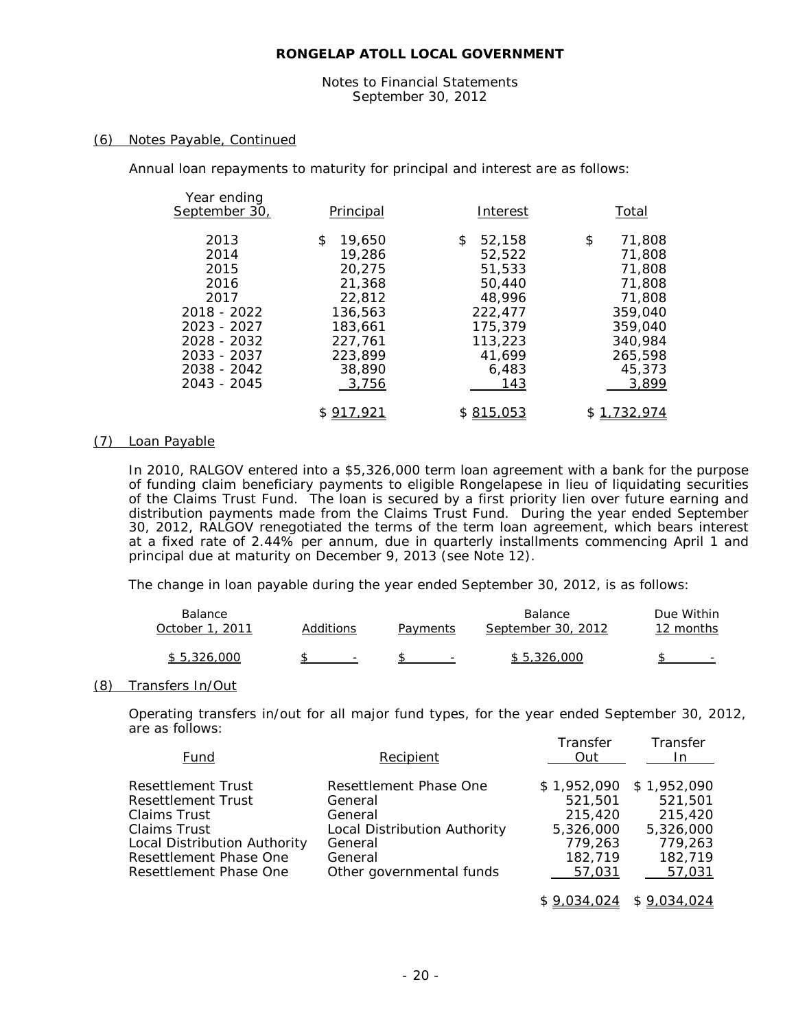#### Notes to Financial Statements September 30, 2012

#### (6) Notes Payable, Continued

Annual loan repayments to maturity for principal and interest are as follows:

| Year ending<br>September 30,                                                                                                   | Principal                                                                                                           | Interest                                                                                                        | Total                                                                                                               |
|--------------------------------------------------------------------------------------------------------------------------------|---------------------------------------------------------------------------------------------------------------------|-----------------------------------------------------------------------------------------------------------------|---------------------------------------------------------------------------------------------------------------------|
| 2013<br>2014<br>2015<br>2016<br>2017<br>2018 - 2022<br>2023 - 2027<br>2028 - 2032<br>2033 - 2037<br>2038 - 2042<br>2043 - 2045 | \$<br>19,650<br>19,286<br>20,275<br>21,368<br>22,812<br>136,563<br>183.661<br>227,761<br>223.899<br>38,890<br>3,756 | \$<br>52,158<br>52,522<br>51,533<br>50,440<br>48,996<br>222,477<br>175,379<br>113,223<br>41.699<br>6,483<br>143 | \$<br>71,808<br>71,808<br>71,808<br>71,808<br>71,808<br>359,040<br>359,040<br>340,984<br>265.598<br>45,373<br>3.899 |
|                                                                                                                                | \$ <u>917,921</u>                                                                                                   | \$815,053                                                                                                       | \$1,732,974                                                                                                         |

#### (7) Loan Payable

In 2010, RALGOV entered into a \$5,326,000 term loan agreement with a bank for the purpose of funding claim beneficiary payments to eligible Rongelapese in lieu of liquidating securities of the Claims Trust Fund. The loan is secured by a first priority lien over future earning and distribution payments made from the Claims Trust Fund. During the year ended September 30, 2012, RALGOV renegotiated the terms of the term loan agreement, which bears interest at a fixed rate of 2.44% per annum, due in quarterly installments commencing April 1 and principal due at maturity on December 9, 2013 (see Note 12).

The change in loan payable during the year ended September 30, 2012, is as follows:

| <b>Balance</b><br>October 1, 2011 | Additions | Payments | <b>Balance</b><br>September 30, 2012 | Due Within<br>12 months |
|-----------------------------------|-----------|----------|--------------------------------------|-------------------------|
| \$5.326.000                       |           | $\sim$   | \$ 5.326.000                         |                         |

#### (8) Transfers In/Out

Operating transfers in/out for all major fund types, for the year ended September 30, 2012, are as follows: Transfer Transfer

| Fund                                                                                                                                                         | Recipient                                                                                                                      | I ranster<br>Out                                                               | Transfer<br>In.                                                                |
|--------------------------------------------------------------------------------------------------------------------------------------------------------------|--------------------------------------------------------------------------------------------------------------------------------|--------------------------------------------------------------------------------|--------------------------------------------------------------------------------|
| Resettlement Trust<br>Resettlement Trust<br>Claims Trust<br>Claims Trust<br>Local Distribution Authority<br>Resettlement Phase One<br>Resettlement Phase One | Resettlement Phase One<br>General<br>General<br>Local Distribution Authority<br>General<br>General<br>Other governmental funds | \$1,952,090<br>521.501<br>215,420<br>5,326,000<br>779,263<br>182,719<br>57,031 | \$1,952,090<br>521,501<br>215,420<br>5,326,000<br>779,263<br>182,719<br>57,031 |
|                                                                                                                                                              |                                                                                                                                | \$9,034,024                                                                    | \$9,034,024                                                                    |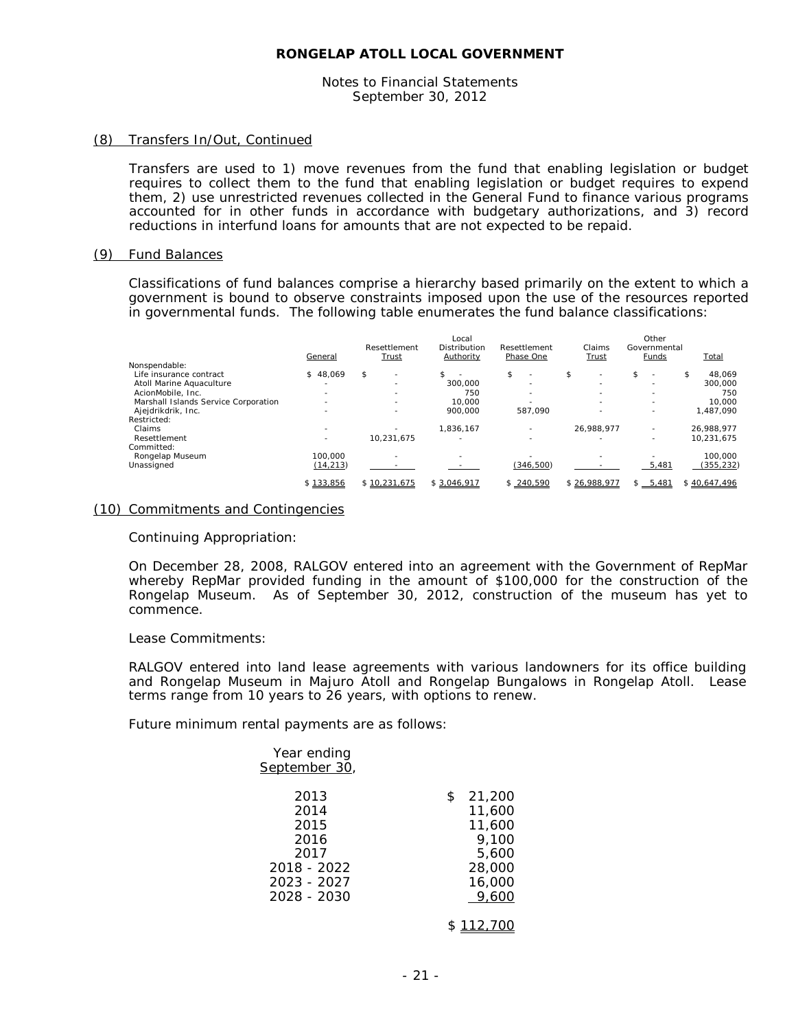#### Notes to Financial Statements September 30, 2012

#### (8) Transfers In/Out, Continued

Transfers are used to 1) move revenues from the fund that enabling legislation or budget requires to collect them to the fund that enabling legislation or budget requires to expend them, 2) use unrestricted revenues collected in the General Fund to finance various programs accounted for in other funds in accordance with budgetary authorizations, and 3) record reductions in interfund loans for amounts that are not expected to be repaid.

#### (9) Fund Balances

Classifications of fund balances comprise a hierarchy based primarily on the extent to which a government is bound to observe constraints imposed upon the use of the resources reported in governmental funds. The following table enumerates the fund balance classifications:

|                                      |           | Resettlement | Local<br>Distribution | Resettlement | Claims       | Other<br>Governmental |              |
|--------------------------------------|-----------|--------------|-----------------------|--------------|--------------|-----------------------|--------------|
|                                      | General   | Trust        | Authority             | Phase One    | Trust        | Funds                 | Total        |
| Nonspendable:                        |           |              |                       |              |              |                       |              |
| Life insurance contract              | \$48,069  | \$           | \$                    | \$<br>۰      | \$           | \$<br>۰               | 48,069<br>\$ |
| Atoll Marine Aquaculture             | $\sim$    | $\sim$       | 300,000               | ۰            | $\sim$       | ۰                     | 300.000      |
| AcionMobile, Inc.                    |           | $\sim$       | 750                   | ۰            |              | ۰                     | 750          |
| Marshall Islands Service Corporation | $\sim$    | ۰.           | 10.000                | -            |              | ۰                     | 10,000       |
| Ajejdrikdrik, Inc.                   | $\sim$    |              | 900.000               | 587.090      |              | ۰                     | 1,487,090    |
| Restricted:                          |           |              |                       |              |              |                       |              |
| Claims                               |           |              | 1.836.167             | ۰.           | 26.988.977   | ۰                     | 26,988,977   |
| Resettlement                         | ×.        | 10.231.675   | ۰                     | -            |              | ۰                     | 10.231.675   |
| Committed:                           |           |              |                       |              |              |                       |              |
| Rongelap Museum                      | 100,000   | $\sim$       | ۰                     |              |              |                       | 100.000      |
| Unassigned                           | (14, 213) |              |                       | (346, 500)   |              | 5,481                 | (355, 232)   |
|                                      | \$133.856 | \$10.231.675 | \$3.046.917           | \$240,590    | \$26.988.977 | \$5.481               | \$40.647.496 |

#### (10) Commitments and Contingencies

#### Continuing Appropriation:

On December 28, 2008, RALGOV entered into an agreement with the Government of RepMar whereby RepMar provided funding in the amount of \$100,000 for the construction of the Rongelap Museum. As of September 30, 2012, construction of the museum has yet to commence.

#### Lease Commitments:

RALGOV entered into land lease agreements with various landowners for its office building and Rongelap Museum in Majuro Atoll and Rongelap Bungalows in Rongelap Atoll. Lease terms range from 10 years to 26 years, with options to renew.

Future minimum rental payments are as follows:

| Year ending<br>September 30,                                                      |                                                                                 |
|-----------------------------------------------------------------------------------|---------------------------------------------------------------------------------|
| 2013<br>2014<br>2015<br>2016<br>2017<br>2018 - 2022<br>2023 - 2027<br>2028 - 2030 | \$<br>21,200<br>11,600<br>11,600<br>9,100<br>5,600<br>28,000<br>16,000<br>9,600 |
|                                                                                   | \$112,700                                                                       |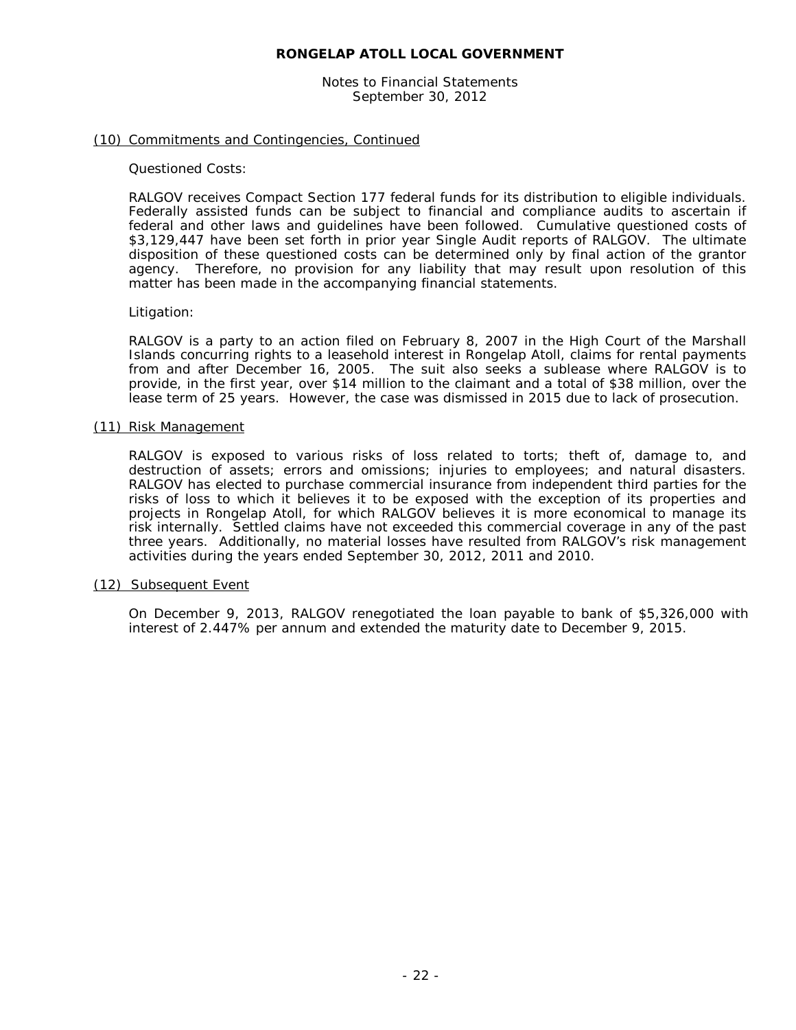Notes to Financial Statements September 30, 2012

#### (10) Commitments and Contingencies, Continued

Questioned Costs:

RALGOV receives Compact Section 177 federal funds for its distribution to eligible individuals. Federally assisted funds can be subject to financial and compliance audits to ascertain if federal and other laws and guidelines have been followed. Cumulative questioned costs of \$3,129,447 have been set forth in prior year Single Audit reports of RALGOV. The ultimate disposition of these questioned costs can be determined only by final action of the grantor agency. Therefore, no provision for any liability that may result upon resolution of this matter has been made in the accompanying financial statements.

#### Litigation:

RALGOV is a party to an action filed on February 8, 2007 in the High Court of the Marshall Islands concurring rights to a leasehold interest in Rongelap Atoll, claims for rental payments from and after December 16, 2005. The suit also seeks a sublease where RALGOV is to provide, in the first year, over \$14 million to the claimant and a total of \$38 million, over the lease term of 25 years. However, the case was dismissed in 2015 due to lack of prosecution.

#### (11) Risk Management

RALGOV is exposed to various risks of loss related to torts; theft of, damage to, and destruction of assets; errors and omissions; injuries to employees; and natural disasters. RALGOV has elected to purchase commercial insurance from independent third parties for the risks of loss to which it believes it to be exposed with the exception of its properties and projects in Rongelap Atoll, for which RALGOV believes it is more economical to manage its risk internally. Settled claims have not exceeded this commercial coverage in any of the past three years. Additionally, no material losses have resulted from RALGOV's risk management activities during the years ended September 30, 2012, 2011 and 2010.

#### (12) Subsequent Event

On December 9, 2013, RALGOV renegotiated the loan payable to bank of \$5,326,000 with interest of 2.447% per annum and extended the maturity date to December 9, 2015.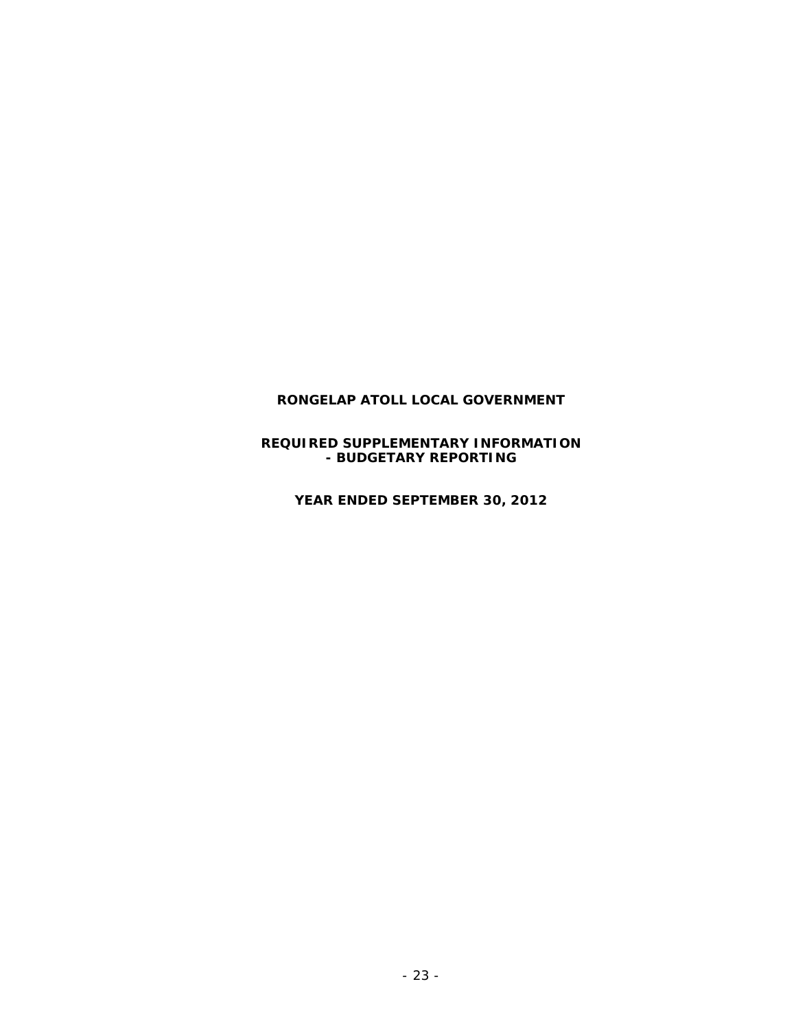#### **REQUIRED SUPPLEMENTARY INFORMATION - BUDGETARY REPORTING**

**YEAR ENDED SEPTEMBER 30, 2012**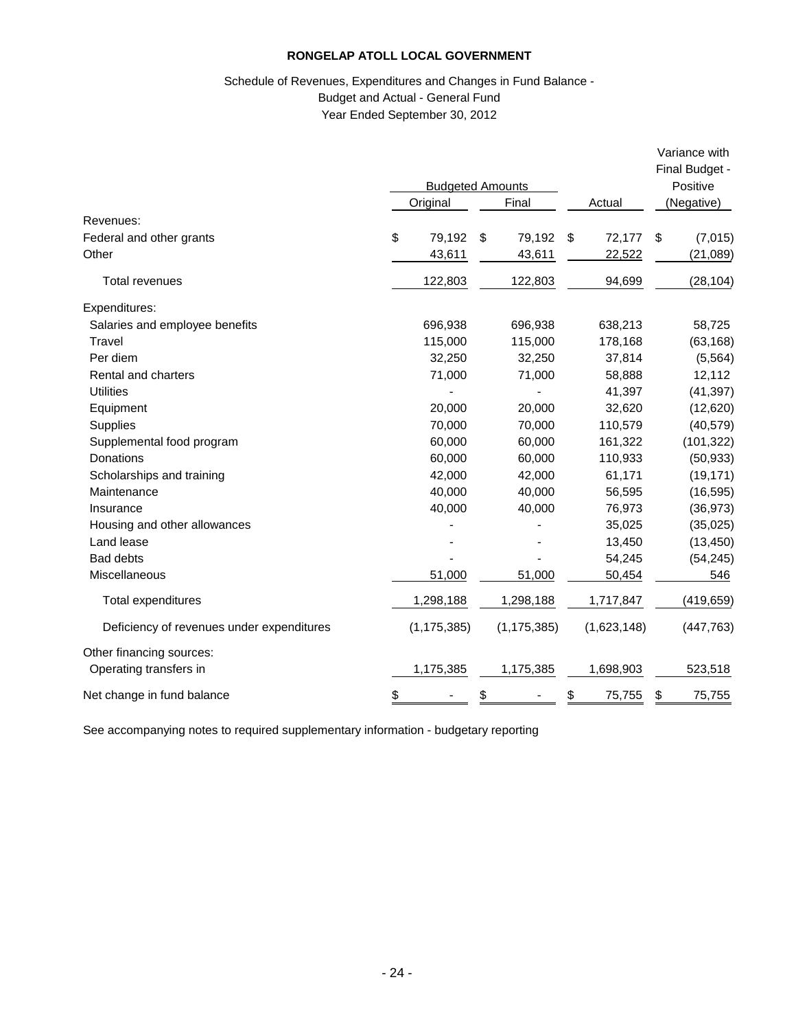# Schedule of Revenues, Expenditures and Changes in Fund Balance - Budget and Actual - General Fund

Year Ended September 30, 2012

|                                           |                         |               |              | Variance with<br>Final Budget - |
|-------------------------------------------|-------------------------|---------------|--------------|---------------------------------|
|                                           | <b>Budgeted Amounts</b> |               |              | Positive                        |
|                                           | Original                | Final         | Actual       | (Negative)                      |
| Revenues:                                 |                         |               |              |                                 |
| Federal and other grants                  | \$<br>79,192            | \$<br>79,192  | \$<br>72,177 | \$<br>(7,015)                   |
| Other                                     | 43,611                  | 43,611        | 22,522       | (21,089)                        |
| <b>Total revenues</b>                     | 122,803                 | 122,803       | 94,699       | (28, 104)                       |
| Expenditures:                             |                         |               |              |                                 |
| Salaries and employee benefits            | 696,938                 | 696,938       | 638,213      | 58,725                          |
| Travel                                    | 115,000                 | 115,000       | 178,168      | (63, 168)                       |
| Per diem                                  | 32,250                  | 32,250        | 37,814       | (5, 564)                        |
| Rental and charters                       | 71,000                  | 71,000        | 58,888       | 12,112                          |
| <b>Utilities</b>                          |                         |               | 41,397       | (41, 397)                       |
| Equipment                                 | 20,000                  | 20,000        | 32,620       | (12,620)                        |
| Supplies                                  | 70,000                  | 70,000        | 110,579      | (40, 579)                       |
| Supplemental food program                 | 60,000                  | 60,000        | 161,322      | (101, 322)                      |
| Donations                                 | 60,000                  | 60,000        | 110,933      | (50, 933)                       |
| Scholarships and training                 | 42,000                  | 42,000        | 61,171       | (19, 171)                       |
| Maintenance                               | 40,000                  | 40,000        | 56,595       | (16, 595)                       |
| Insurance                                 | 40,000                  | 40,000        | 76,973       | (36, 973)                       |
| Housing and other allowances              |                         |               | 35,025       | (35, 025)                       |
| Land lease                                |                         |               | 13,450       | (13, 450)                       |
| <b>Bad debts</b>                          |                         |               | 54,245       | (54, 245)                       |
| Miscellaneous                             | 51,000                  | 51,000        | 50,454       | 546                             |
| Total expenditures                        | 1,298,188               | 1,298,188     | 1,717,847    | (419, 659)                      |
| Deficiency of revenues under expenditures | (1, 175, 385)           | (1, 175, 385) | (1,623,148)  | (447, 763)                      |
| Other financing sources:                  |                         |               |              |                                 |
| Operating transfers in                    | 1,175,385               | 1,175,385     | 1,698,903    | 523,518                         |
| Net change in fund balance                | \$                      | \$            | \$<br>75,755 | \$<br>75,755                    |

See accompanying notes to required supplementary information - budgetary reporting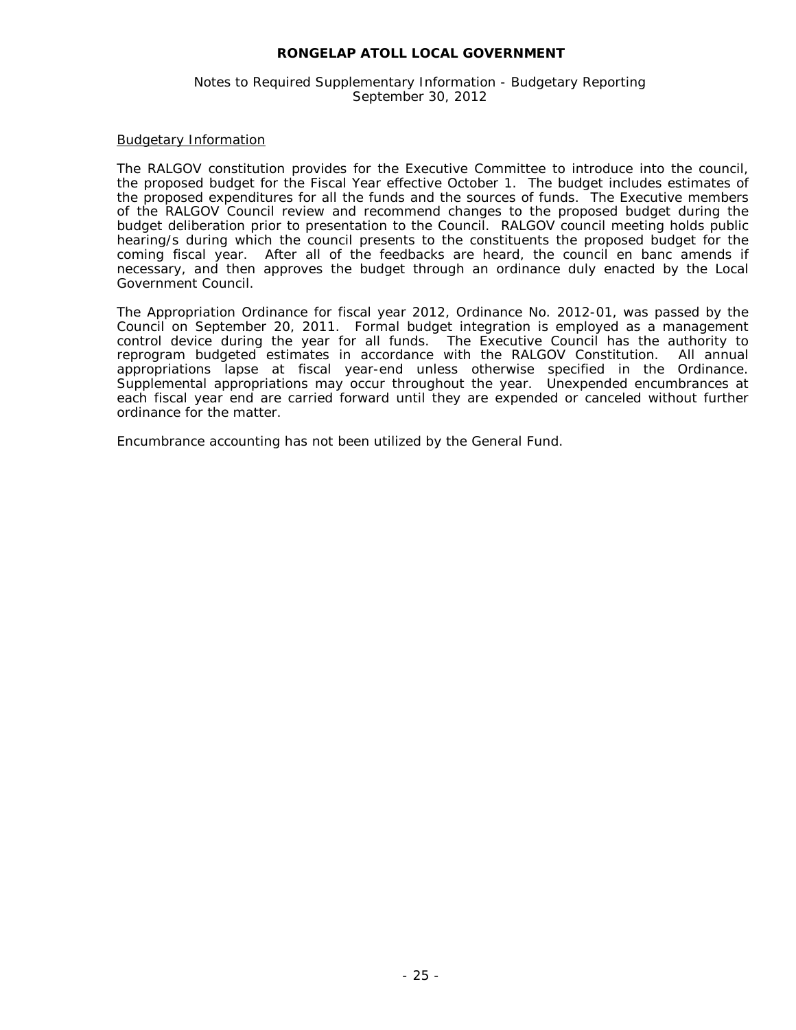#### Notes to Required Supplementary Information - Budgetary Reporting September 30, 2012

#### Budgetary Information

The RALGOV constitution provides for the Executive Committee to introduce into the council, the proposed budget for the Fiscal Year effective October 1. The budget includes estimates of the proposed expenditures for all the funds and the sources of funds. The Executive members of the RALGOV Council review and recommend changes to the proposed budget during the budget deliberation prior to presentation to the Council. RALGOV council meeting holds public hearing/s during which the council presents to the constituents the proposed budget for the coming fiscal year. After all of the feedbacks are heard, the council en banc amends if necessary, and then approves the budget through an ordinance duly enacted by the Local Government Council.

The Appropriation Ordinance for fiscal year 2012, Ordinance No. 2012-01, was passed by the Council on September 20, 2011. Formal budget integration is employed as a management control device during the year for all funds. The Executive Council has the authority to reprogram budgeted estimates in accordance with the RALGOV Constitution. All annual appropriations lapse at fiscal year-end unless otherwise specified in the Ordinance. Supplemental appropriations may occur throughout the year. Unexpended encumbrances at each fiscal year end are carried forward until they are expended or canceled without further ordinance for the matter.

Encumbrance accounting has not been utilized by the General Fund.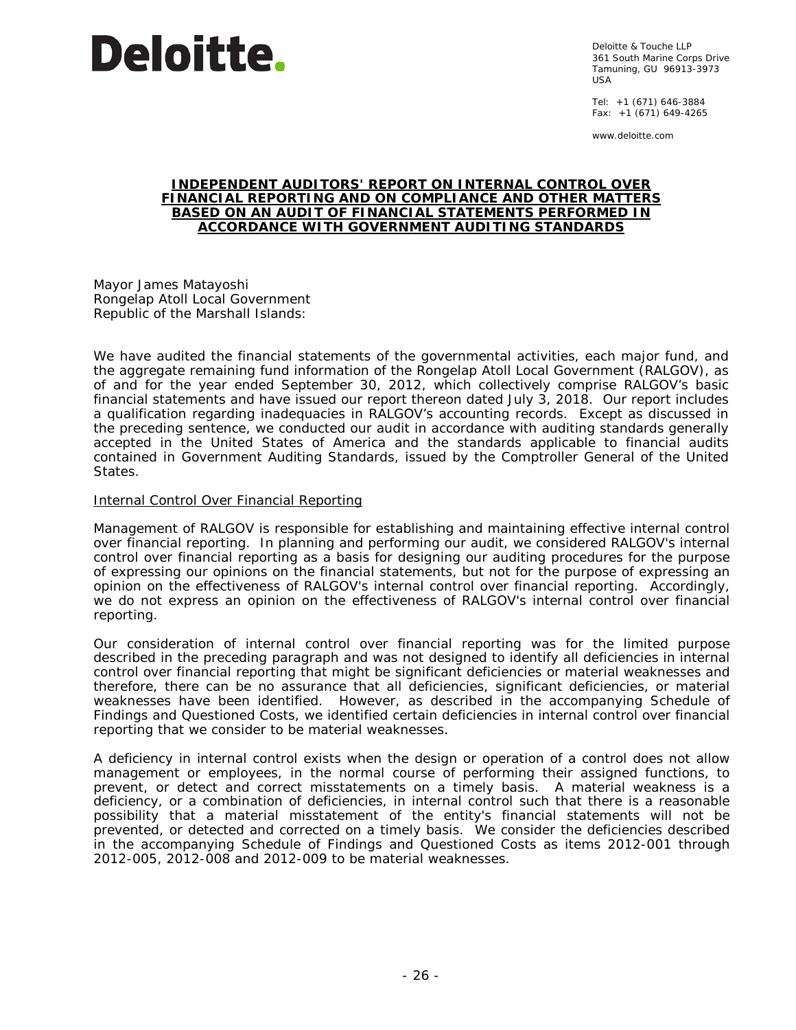

Deloitte & Touche LLP 361 South Marine Corps Drive Tamuning, GU 96913-3973 USA

Tel: +1 (671) 646-3884 Fax: +1 (671) 649-4265

www.deloitte.com

#### **INDEPENDENT AUDITORS' REPORT ON INTERNAL CONTROL OVER FINANCIAL REPORTING AND ON COMPLIANCE AND OTHER MATTERS BASED ON AN AUDIT OF FINANCIAL STATEMENTS PERFORMED IN ACCORDANCE WITH** *GOVERNMENT AUDITING STANDARDS*

Mayor James Matayoshi Rongelap Atoll Local Government Republic of the Marshall Islands:

We have audited the financial statements of the governmental activities, each major fund, and the aggregate remaining fund information of the Rongelap Atoll Local Government (RALGOV), as of and for the year ended September 30, 2012, which collectively comprise RALGOV's basic financial statements and have issued our report thereon dated July 3, 2018. Our report includes a qualification regarding inadequacies in RALGOV's accounting records. Except as discussed in the preceding sentence, we conducted our audit in accordance with auditing standards generally accepted in the United States of America and the standards applicable to financial audits contained in *Government Auditing Standards*, issued by the Comptroller General of the United States.

#### Internal Control Over Financial Reporting

Management of RALGOV is responsible for establishing and maintaining effective internal control over financial reporting. In planning and performing our audit, we considered RALGOV's internal control over financial reporting as a basis for designing our auditing procedures for the purpose of expressing our opinions on the financial statements, but not for the purpose of expressing an opinion on the effectiveness of RALGOV's internal control over financial reporting. Accordingly, we do not express an opinion on the effectiveness of RALGOV's internal control over financial reporting.

Our consideration of internal control over financial reporting was for the limited purpose described in the preceding paragraph and was not designed to identify all deficiencies in internal control over financial reporting that might be significant deficiencies or material weaknesses and therefore, there can be no assurance that all deficiencies, significant deficiencies, or material weaknesses have been identified. However, as described in the accompanying Schedule of Findings and Questioned Costs, we identified certain deficiencies in internal control over financial reporting that we consider to be material weaknesses.

A *deficiency in internal control* exists when the design or operation of a control does not allow management or employees, in the normal course of performing their assigned functions, to prevent, or detect and correct misstatements on a timely basis. A *material weakness* is a deficiency, or a combination of deficiencies, in internal control such that there is a reasonable possibility that a material misstatement of the entity's financial statements will not be prevented, or detected and corrected on a timely basis. We consider the deficiencies described in the accompanying Schedule of Findings and Questioned Costs as items 2012-001 through 2012-005, 2012-008 and 2012-009 to be material weaknesses.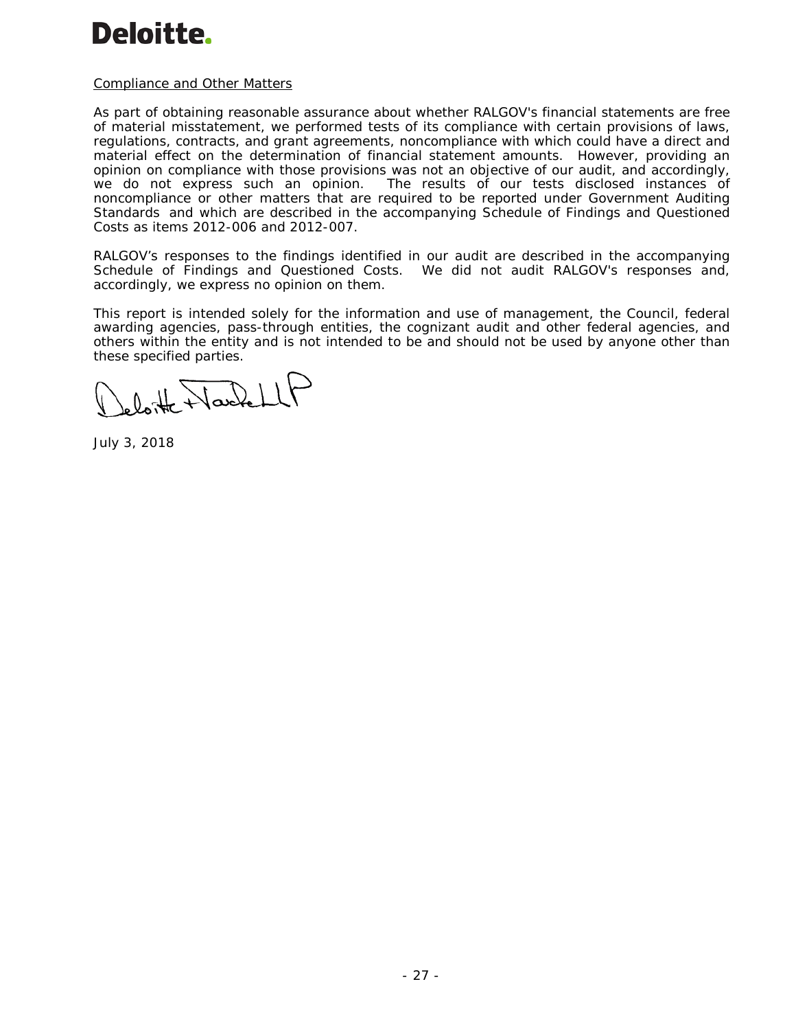#### Compliance and Other Matters

As part of obtaining reasonable assurance about whether RALGOV's financial statements are free of material misstatement, we performed tests of its compliance with certain provisions of laws, regulations, contracts, and grant agreements, noncompliance with which could have a direct and material effect on the determination of financial statement amounts. However, providing an opinion on compliance with those provisions was not an objective of our audit, and accordingly, we do not express such an opinion. The results of our tests disclosed instances of noncompliance or other matters that are required to be reported under *Government Auditing Standards* and which are described in the accompanying Schedule of Findings and Questioned Costs as items 2012-006 and 2012-007.

RALGOV's responses to the findings identified in our audit are described in the accompanying Schedule of Findings and Questioned Costs. We did not audit RALGOV's responses and, accordingly, we express no opinion on them.

This report is intended solely for the information and use of management, the Council, federal awarding agencies, pass-through entities, the cognizant audit and other federal agencies, and others within the entity and is not intended to be and should not be used by anyone other than these specified parties.

loite Wackell

July 3, 2018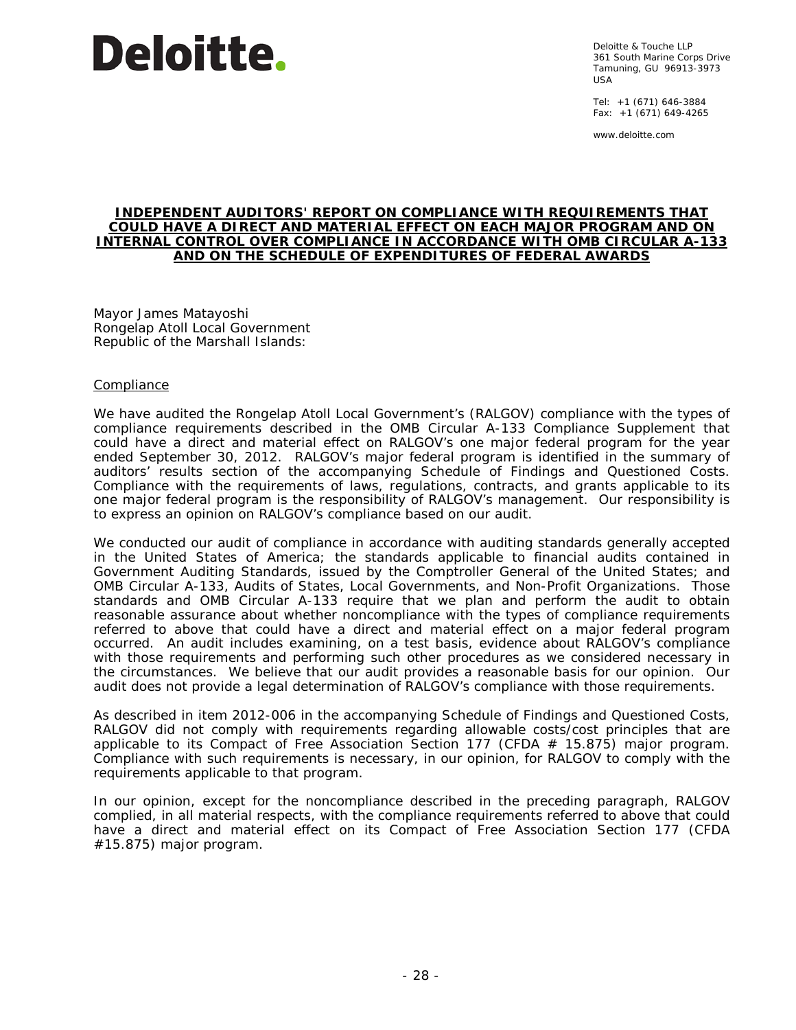Deloitte & Touche LLP 361 South Marine Corps Drive Tamuning, GU 96913-3973 USA

Tel: +1 (671) 646-3884 Fax:  $+1(671)649-4265$ 

www.deloitte.com

#### **INDEPENDENT AUDITORS' REPORT ON COMPLIANCE WITH REQUIREMENTS THAT COULD HAVE A DIRECT AND MATERIAL EFFECT ON EACH MAJOR PROGRAM AND ON INTERNAL CONTROL OVER COMPLIANCE IN ACCORDANCE WITH OMB CIRCULAR A-133 AND ON THE SCHEDULE OF EXPENDITURES OF FEDERAL AWARDS**

Mayor James Matayoshi Rongelap Atoll Local Government Republic of the Marshall Islands:

#### **Compliance**

We have audited the Rongelap Atoll Local Government's (RALGOV) compliance with the types of compliance requirements described in the *OMB Circular A-133 Compliance Supplement* that could have a direct and material effect on RALGOV's one major federal program for the year ended September 30, 2012. RALGOV's major federal program is identified in the summary of auditors' results section of the accompanying Schedule of Findings and Questioned Costs. Compliance with the requirements of laws, regulations, contracts, and grants applicable to its one major federal program is the responsibility of RALGOV's management. Our responsibility is to express an opinion on RALGOV's compliance based on our audit.

We conducted our audit of compliance in accordance with auditing standards generally accepted in the United States of America; the standards applicable to financial audits contained in *Government Auditing Standards*, issued by the Comptroller General of the United States; and OMB Circular A-133, *Audits of States, Local Governments, and Non-Profit Organizations*. Those standards and OMB Circular A-133 require that we plan and perform the audit to obtain reasonable assurance about whether noncompliance with the types of compliance requirements referred to above that could have a direct and material effect on a major federal program occurred. An audit includes examining, on a test basis, evidence about RALGOV's compliance with those requirements and performing such other procedures as we considered necessary in the circumstances. We believe that our audit provides a reasonable basis for our opinion. Our audit does not provide a legal determination of RALGOV's compliance with those requirements.

As described in item 2012-006 in the accompanying Schedule of Findings and Questioned Costs, RALGOV did not comply with requirements regarding allowable costs/cost principles that are applicable to its Compact of Free Association Section 177 (CFDA  $#$  15.875) major program. Compliance with such requirements is necessary, in our opinion, for RALGOV to comply with the requirements applicable to that program.

In our opinion, except for the noncompliance described in the preceding paragraph, RALGOV complied, in all material respects, with the compliance requirements referred to above that could have a direct and material effect on its Compact of Free Association Section 177 (CFDA #15.875) major program.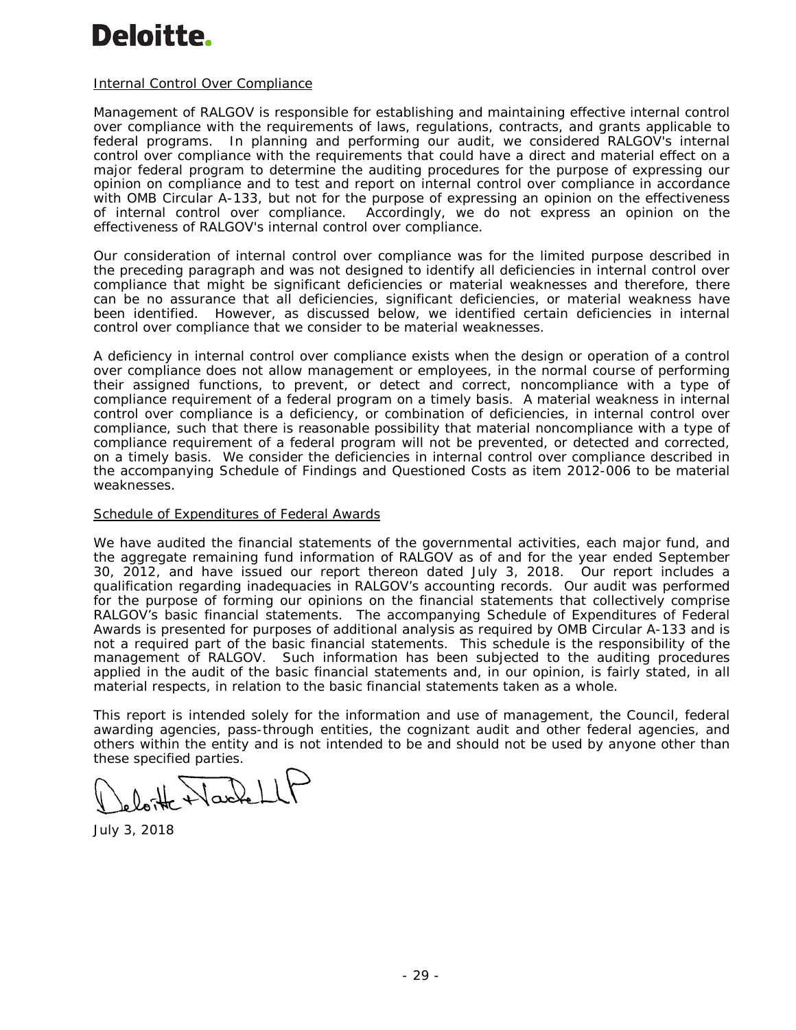### Internal Control Over Compliance

Management of RALGOV is responsible for establishing and maintaining effective internal control over compliance with the requirements of laws, regulations, contracts, and grants applicable to federal programs. In planning and performing our audit, we considered RALGOV's internal control over compliance with the requirements that could have a direct and material effect on a major federal program to determine the auditing procedures for the purpose of expressing our opinion on compliance and to test and report on internal control over compliance in accordance with OMB Circular A-133, but not for the purpose of expressing an opinion on the effectiveness of internal control over compliance. Accordingly, we do not express an opinion on the Accordingly, we do not express an opinion on the effectiveness of RALGOV's internal control over compliance.

Our consideration of internal control over compliance was for the limited purpose described in the preceding paragraph and was not designed to identify all deficiencies in internal control over compliance that might be significant deficiencies or material weaknesses and therefore, there can be no assurance that all deficiencies, significant deficiencies, or material weakness have been identified. However, as discussed below, we identified certain deficiencies in internal control over compliance that we consider to be material weaknesses.

A *deficiency in internal control over compliance* exists when the design or operation of a control over compliance does not allow management or employees, in the normal course of performing their assigned functions, to prevent, or detect and correct, noncompliance with a type of compliance requirement of a federal program on a timely basis. A *material weakness in internal control over compliance* is a deficiency, or combination of deficiencies, in internal control over compliance, such that there is reasonable possibility that material noncompliance with a type of compliance requirement of a federal program will not be prevented, or detected and corrected, on a timely basis. We consider the deficiencies in internal control over compliance described in the accompanying Schedule of Findings and Questioned Costs as item 2012-006 to be material weaknesses.

#### Schedule of Expenditures of Federal Awards

We have audited the financial statements of the governmental activities, each major fund, and the aggregate remaining fund information of RALGOV as of and for the year ended September 30, 2012, and have issued our report thereon dated July 3, 2018. Our report includes a qualification regarding inadequacies in RALGOV's accounting records. Our audit was performed for the purpose of forming our opinions on the financial statements that collectively comprise RALGOV's basic financial statements. The accompanying Schedule of Expenditures of Federal Awards is presented for purposes of additional analysis as required by OMB Circular A-133 and is not a required part of the basic financial statements. This schedule is the responsibility of the management of RALGOV. Such information has been subjected to the auditing procedures applied in the audit of the basic financial statements and, in our opinion, is fairly stated, in all material respects, in relation to the basic financial statements taken as a whole.

This report is intended solely for the information and use of management, the Council, federal awarding agencies, pass-through entities, the cognizant audit and other federal agencies, and others within the entity and is not intended to be and should not be used by anyone other than these specified parties.

Wackel

July 3, 2018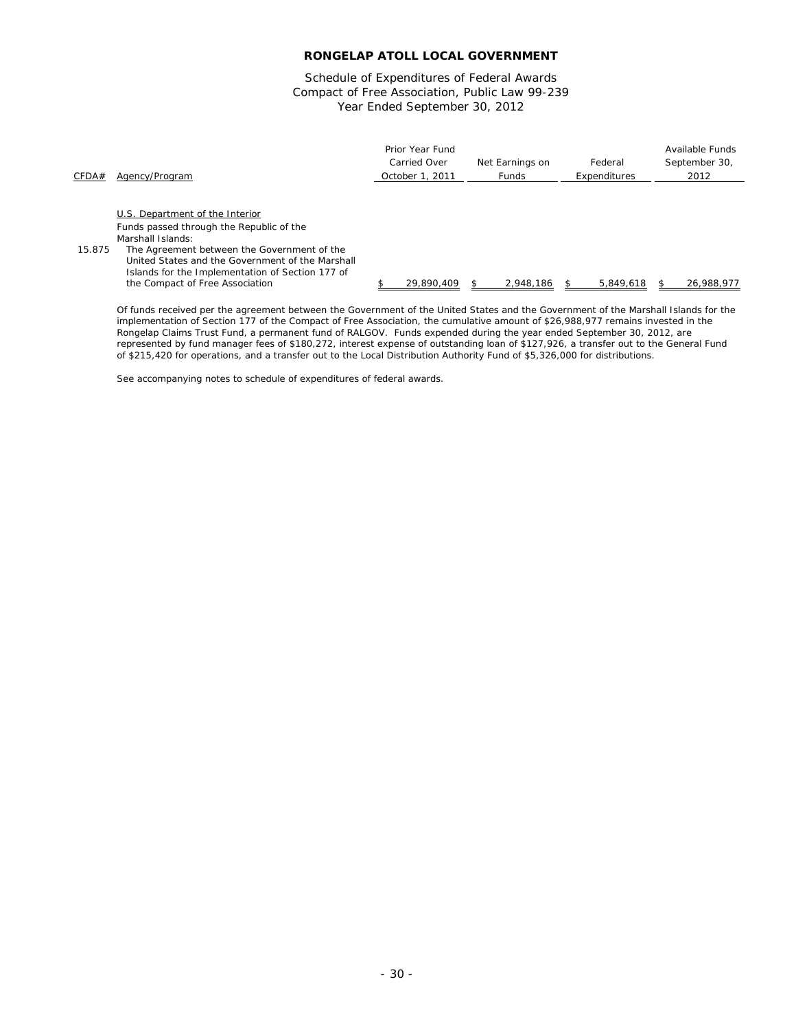Schedule of Expenditures of Federal Awards Year Ended September 30, 2012 Compact of Free Association, Public Law 99-239

|        |                                                  | Prior Year Fund |                 |              | Available Funds |
|--------|--------------------------------------------------|-----------------|-----------------|--------------|-----------------|
|        |                                                  | Carried Over    | Net Earnings on | Federal      | September 30,   |
| CFDA#  | Agency/Program                                   | October 1, 2011 | <b>Funds</b>    | Expenditures | 2012            |
|        |                                                  |                 |                 |              |                 |
|        | U.S. Department of the Interior                  |                 |                 |              |                 |
|        | Funds passed through the Republic of the         |                 |                 |              |                 |
|        | Marshall Islands:                                |                 |                 |              |                 |
| 15.875 | The Agreement between the Government of the      |                 |                 |              |                 |
|        | United States and the Government of the Marshall |                 |                 |              |                 |
|        | Islands for the Implementation of Section 177 of |                 |                 |              |                 |
|        | the Compact of Free Association                  | 29.890.409      | 2.948.186       | 5.849.618    | 26.988.977      |

Of funds received per the agreement between the Government of the United States and the Government of the Marshall Islands for the implementation of Section 177 of the Compact of Free Association, the cumulative amount of \$26,988,977 remains invested in the Rongelap Claims Trust Fund, a permanent fund of RALGOV. Funds expended during the year ended September 30, 2012, are represented by fund manager fees of \$180,272, interest expense of outstanding loan of \$127,926, a transfer out to the General Fund of \$215,420 for operations, and a transfer out to the Local Distribution Authority Fund of \$5,326,000 for distributions.

See accompanying notes to schedule of expenditures of federal awards.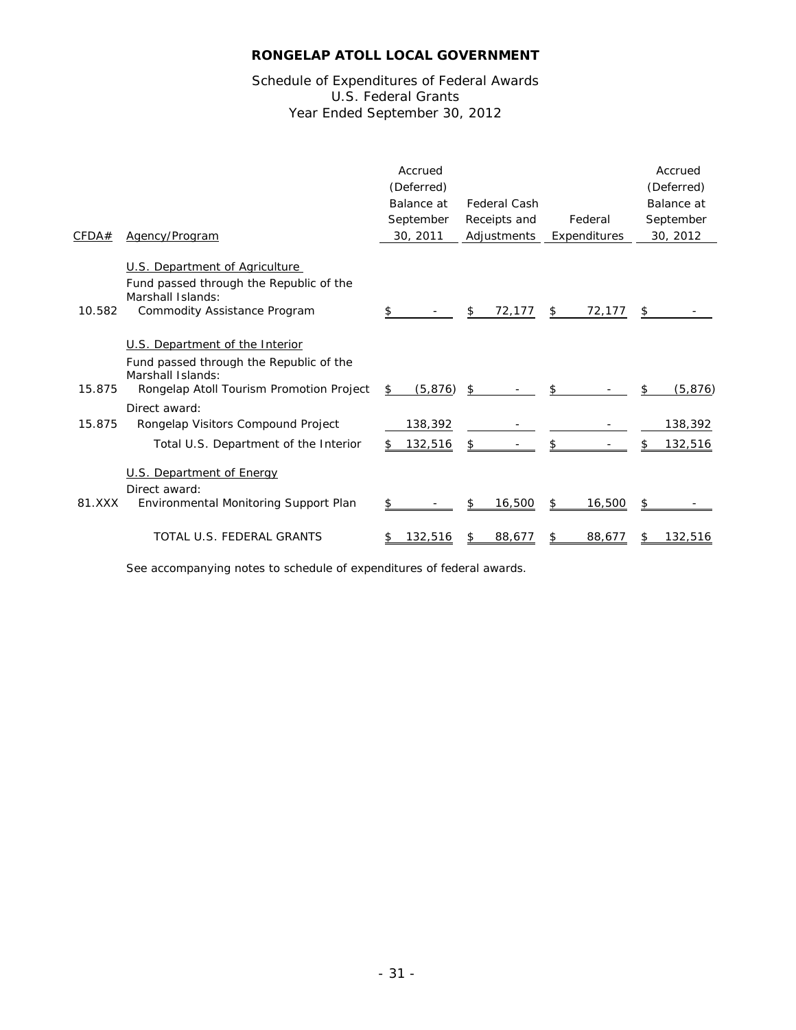## Schedule of Expenditures of Federal Awards U.S. Federal Grants Year Ended September 30, 2012

|        |                                                                                                | Accrued        |              |              | Accrued        |
|--------|------------------------------------------------------------------------------------------------|----------------|--------------|--------------|----------------|
|        |                                                                                                | (Deferred)     |              |              | (Deferred)     |
|        |                                                                                                | Balance at     | Federal Cash |              | Balance at     |
|        |                                                                                                | September      | Receipts and | Federal      | September      |
| CFDA#  | Agency/Program                                                                                 | 30, 2011       | Adjustments  | Expenditures | 30, 2012       |
|        | U.S. Department of Agriculture<br>Fund passed through the Republic of the<br>Marshall Islands: |                |              |              |                |
| 10.582 | Commodity Assistance Program                                                                   | \$             | \$<br>72,177 | 72,177<br>\$ | \$             |
|        | U.S. Department of the Interior                                                                |                |              |              |                |
|        | Fund passed through the Republic of the<br>Marshall Islands:                                   |                |              |              |                |
| 15.875 | Rongelap Atoll Tourism Promotion Project                                                       | (5, 876)<br>S. | \$           |              | (5, 876)<br>\$ |
|        | Direct award:                                                                                  |                |              |              |                |
| 15.875 | Rongelap Visitors Compound Project                                                             | 138,392        |              |              | 138,392        |
|        | Total U.S. Department of the Interior                                                          | 132,516<br>\$  | \$           | \$           | 132,516<br>\$  |
|        | U.S. Department of Energy<br>Direct award:                                                     |                |              |              |                |
| 81.XXX | Environmental Monitoring Support Plan                                                          | \$             | 16,500<br>\$ | 16,500<br>\$ | \$             |
|        | TOTAL U.S. FEDERAL GRANTS                                                                      | 132,516        | 88,677<br>S  | 88,677<br>S  | 132,516<br>\$  |

See accompanying notes to schedule of expenditures of federal awards.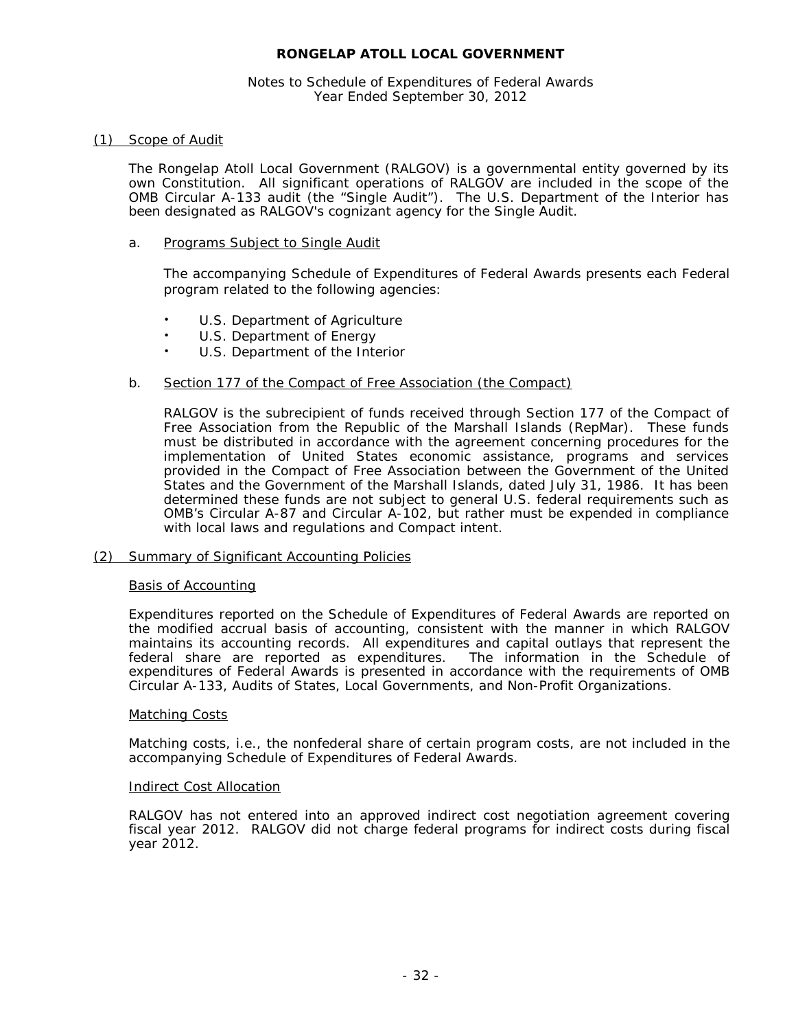#### Notes to Schedule of Expenditures of Federal Awards Year Ended September 30, 2012

#### (1) Scope of Audit

The Rongelap Atoll Local Government (RALGOV) is a governmental entity governed by its own Constitution. All significant operations of RALGOV are included in the scope of the OMB Circular A-133 audit (the "Single Audit"). The U.S. Department of the Interior has been designated as RALGOV's cognizant agency for the Single Audit.

#### a. Programs Subject to Single Audit

The accompanying Schedule of Expenditures of Federal Awards presents each Federal program related to the following agencies:

- U.S. Department of Agriculture
- U.S. Department of Energy
- U.S. Department of the Interior

#### b. Section 177 of the Compact of Free Association (the Compact)

RALGOV is the subrecipient of funds received through Section 177 of the Compact of Free Association from the Republic of the Marshall Islands (RepMar). These funds must be distributed in accordance with the agreement concerning procedures for the implementation of United States economic assistance, programs and services provided in the Compact of Free Association between the Government of the United States and the Government of the Marshall Islands, dated July 31, 1986. It has been determined these funds are not subject to general U.S. federal requirements such as OMB's Circular A-87 and Circular A-102, but rather must be expended in compliance with local laws and regulations and Compact intent.

#### (2) Summary of Significant Accounting Policies

#### Basis of Accounting

Expenditures reported on the Schedule of Expenditures of Federal Awards are reported on the modified accrual basis of accounting, consistent with the manner in which RALGOV maintains its accounting records. All expenditures and capital outlays that represent the federal share are reported as expenditures. The information in the Schedule of expenditures of Federal Awards is presented in accordance with the requirements of OMB Circular A-133, *Audits of States, Local Governments, and Non-Profit Organizations*.

#### Matching Costs

Matching costs, i.e., the nonfederal share of certain program costs, are not included in the accompanying Schedule of Expenditures of Federal Awards.

#### Indirect Cost Allocation

RALGOV has not entered into an approved indirect cost negotiation agreement covering fiscal year 2012. RALGOV did not charge federal programs for indirect costs during fiscal year 2012.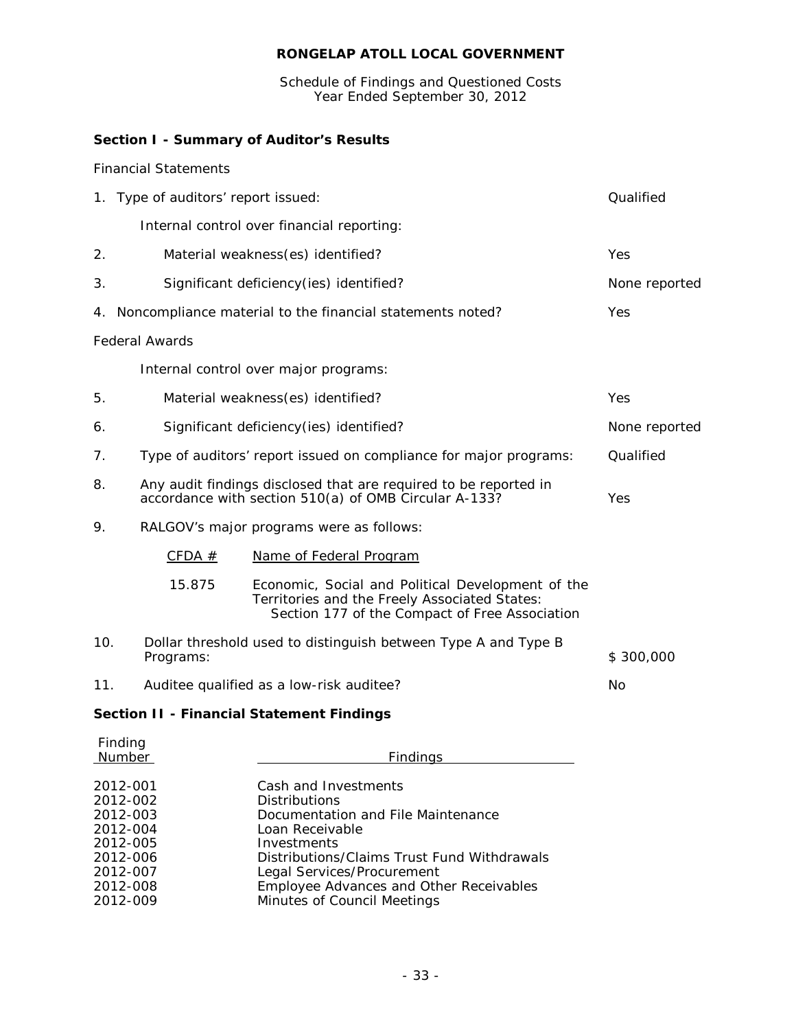Schedule of Findings and Questioned Costs Year Ended September 30, 2012

# **Section I - Summary of Auditor's Results**

## *Financial Statements*

|     |                       | 1. Type of auditors' report issued:                                                                                                                  |               |  |  |  |  |
|-----|-----------------------|------------------------------------------------------------------------------------------------------------------------------------------------------|---------------|--|--|--|--|
|     |                       | Internal control over financial reporting:                                                                                                           |               |  |  |  |  |
| 2.  |                       | Material weakness(es) identified?                                                                                                                    | Yes           |  |  |  |  |
| 3.  |                       | Significant deficiency(ies) identified?                                                                                                              | None reported |  |  |  |  |
|     |                       | 4. Noncompliance material to the financial statements noted?                                                                                         | Yes           |  |  |  |  |
|     | <b>Federal Awards</b> |                                                                                                                                                      |               |  |  |  |  |
|     |                       | Internal control over major programs:                                                                                                                |               |  |  |  |  |
| 5.  |                       | Material weakness(es) identified?                                                                                                                    | Yes           |  |  |  |  |
| 6.  |                       | Significant deficiency(ies) identified?<br>None reported                                                                                             |               |  |  |  |  |
| 7.  |                       | Type of auditors' report issued on compliance for major programs:                                                                                    |               |  |  |  |  |
| 8.  |                       | Any audit findings disclosed that are required to be reported in<br>accordance with section 510(a) of OMB Circular A-133?                            | Yes           |  |  |  |  |
| 9.  |                       | RALGOV's major programs were as follows:                                                                                                             |               |  |  |  |  |
|     | CFDA $#$              | Name of Federal Program                                                                                                                              |               |  |  |  |  |
|     | 15.875                | Economic, Social and Political Development of the<br>Territories and the Freely Associated States:<br>Section 177 of the Compact of Free Association |               |  |  |  |  |
| 10. | Programs:             | Dollar threshold used to distinguish between Type A and Type B                                                                                       |               |  |  |  |  |
| 11. |                       | Auditee qualified as a low-risk auditee?<br>No                                                                                                       |               |  |  |  |  |

# **Section II - Financial Statement Findings**

| Finding<br>Number | <b>Findings</b>                             |
|-------------------|---------------------------------------------|
| 2012-001          | Cash and Investments                        |
| 2012-002          | <b>Distributions</b>                        |
| 2012-003          | Documentation and File Maintenance          |
| 2012-004          | Loan Receivable                             |
| 2012-005          | Investments                                 |
| 2012-006          | Distributions/Claims Trust Fund Withdrawals |
| 2012-007          | Legal Services/Procurement                  |
| 2012-008          | Employee Advances and Other Receivables     |
| 2012-009          | Minutes of Council Meetings                 |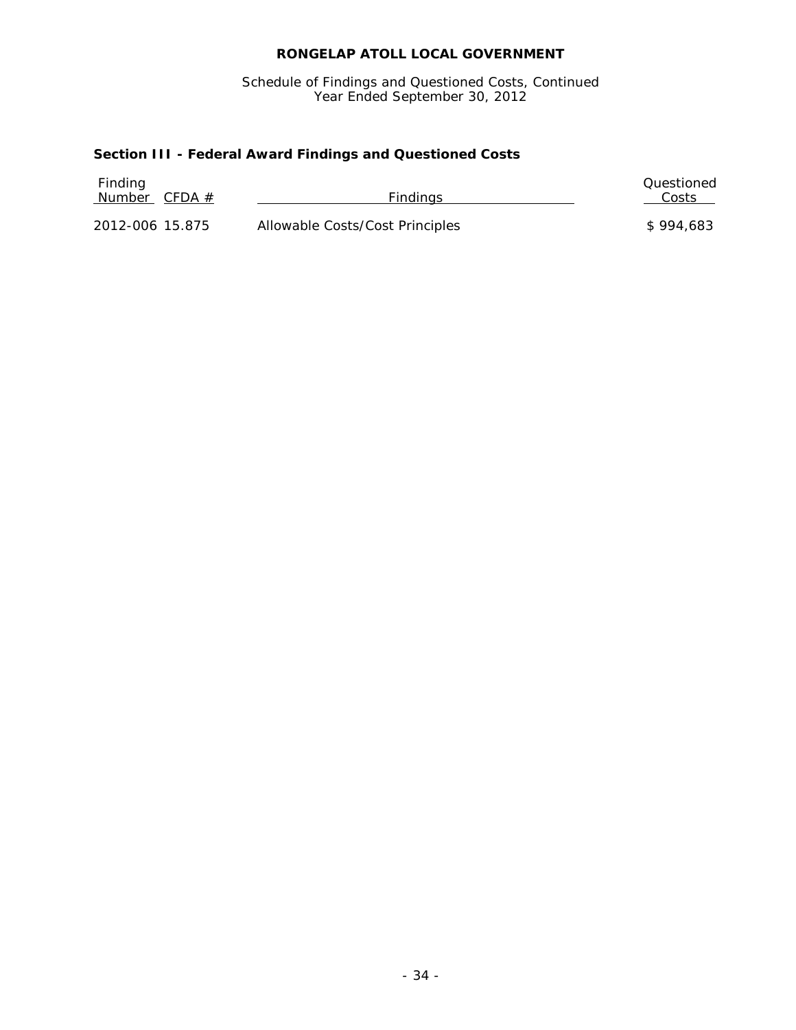Schedule of Findings and Questioned Costs, Continued Year Ended September 30, 2012

# **Section III - Federal Award Findings and Questioned Costs**

| Finding<br>Number | CFDA# | Findinas                        | Questioned<br>Costs |
|-------------------|-------|---------------------------------|---------------------|
| 2012-006 15.875   |       | Allowable Costs/Cost Principles | \$994.683           |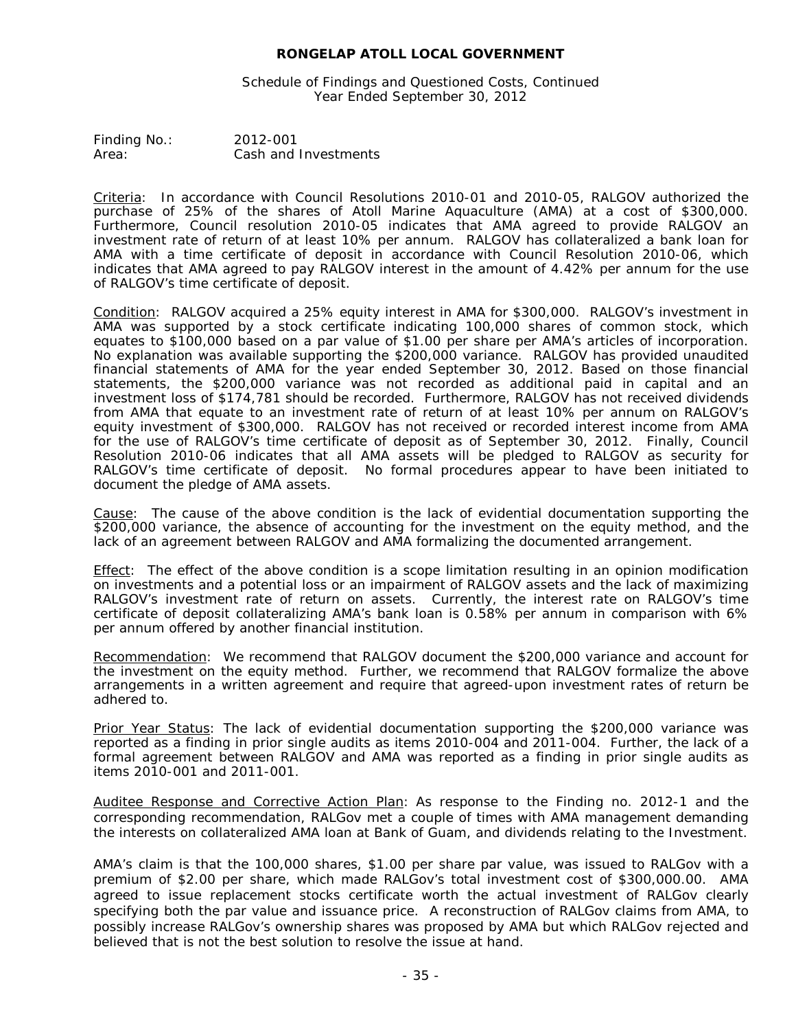Schedule of Findings and Questioned Costs, Continued Year Ended September 30, 2012

Finding No.: 2012-001 Area: Cash and Investments

Criteria: In accordance with Council Resolutions 2010-01 and 2010-05, RALGOV authorized the purchase of 25% of the shares of Atoll Marine Aquaculture (AMA) at a cost of \$300,000. Furthermore, Council resolution 2010-05 indicates that AMA agreed to provide RALGOV an investment rate of return of at least 10% per annum. RALGOV has collateralized a bank loan for AMA with a time certificate of deposit in accordance with Council Resolution 2010-06, which indicates that AMA agreed to pay RALGOV interest in the amount of 4.42% per annum for the use of RALGOV's time certificate of deposit.

Condition: RALGOV acquired a 25% equity interest in AMA for \$300,000. RALGOV's investment in AMA was supported by a stock certificate indicating 100,000 shares of common stock, which equates to \$100,000 based on a par value of \$1.00 per share per AMA's articles of incorporation. No explanation was available supporting the \$200,000 variance. RALGOV has provided unaudited financial statements of AMA for the year ended September 30, 2012. Based on those financial statements, the \$200,000 variance was not recorded as additional paid in capital and an investment loss of \$174,781 should be recorded. Furthermore, RALGOV has not received dividends from AMA that equate to an investment rate of return of at least 10% per annum on RALGOV's equity investment of \$300,000. RALGOV has not received or recorded interest income from AMA for the use of RALGOV's time certificate of deposit as of September 30, 2012. Finally, Council Resolution 2010-06 indicates that all AMA assets will be pledged to RALGOV as security for RALGOV's time certificate of deposit. No formal procedures appear to have been initiated to document the pledge of AMA assets.

Cause: The cause of the above condition is the lack of evidential documentation supporting the \$200,000 variance, the absence of accounting for the investment on the equity method, and the lack of an agreement between RALGOV and AMA formalizing the documented arrangement.

Effect: The effect of the above condition is a scope limitation resulting in an opinion modification on investments and a potential loss or an impairment of RALGOV assets and the lack of maximizing RALGOV's investment rate of return on assets. Currently, the interest rate on RALGOV's time certificate of deposit collateralizing AMA's bank loan is 0.58% per annum in comparison with 6% per annum offered by another financial institution.

Recommendation: We recommend that RALGOV document the \$200,000 variance and account for the investment on the equity method. Further, we recommend that RALGOV formalize the above arrangements in a written agreement and require that agreed-upon investment rates of return be adhered to.

Prior Year Status: The lack of evidential documentation supporting the \$200,000 variance was reported as a finding in prior single audits as items 2010-004 and 2011-004. Further, the lack of a formal agreement between RALGOV and AMA was reported as a finding in prior single audits as items 2010-001 and 2011-001.

Auditee Response and Corrective Action Plan: As response to the Finding no. 2012-1 and the corresponding recommendation, RALGov met a couple of times with AMA management demanding the interests on collateralized AMA loan at Bank of Guam, and dividends relating to the Investment.

AMA's claim is that the 100,000 shares, \$1.00 per share par value, was issued to RALGov with a premium of \$2.00 per share, which made RALGov's total investment cost of \$300,000.00. AMA agreed to issue replacement stocks certificate worth the actual investment of RALGov clearly specifying both the par value and issuance price. A reconstruction of RALGov claims from AMA, to possibly increase RALGov's ownership shares was proposed by AMA but which RALGov rejected and believed that is not the best solution to resolve the issue at hand.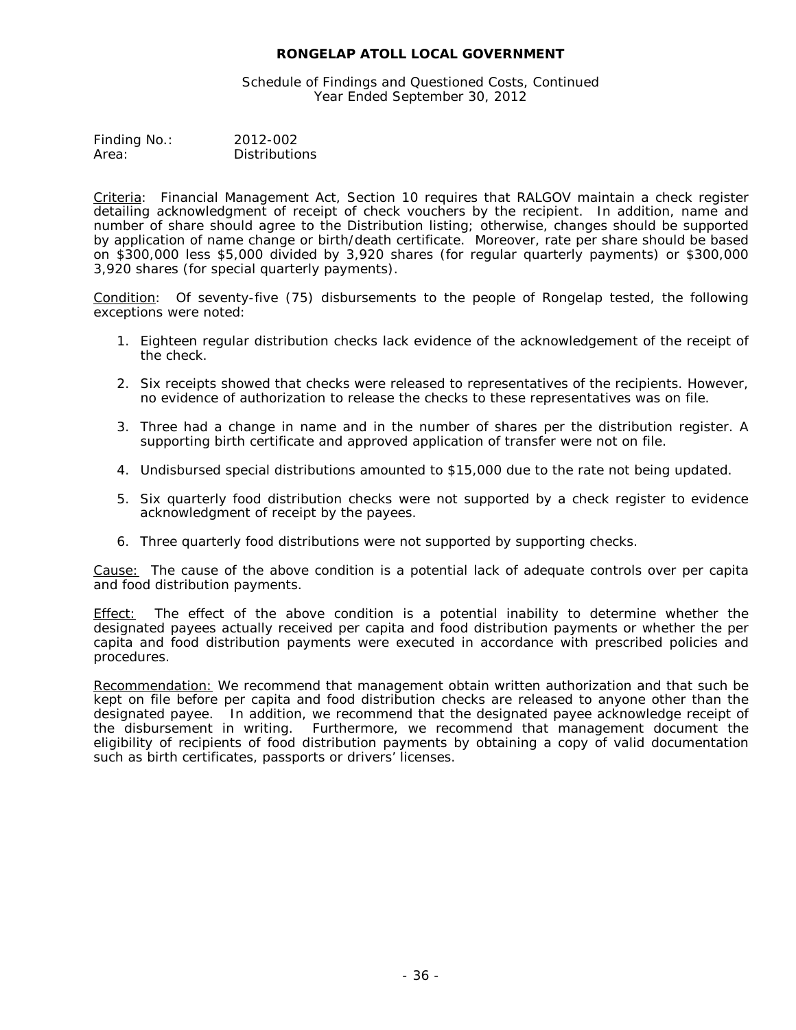Schedule of Findings and Questioned Costs, Continued Year Ended September 30, 2012

| Finding No.: | 2012-002             |
|--------------|----------------------|
| Area:        | <b>Distributions</b> |

Criteria: Financial Management Act, Section 10 requires that RALGOV maintain a check register detailing acknowledgment of receipt of check vouchers by the recipient. In addition, name and number of share should agree to the Distribution listing; otherwise, changes should be supported by application of name change or birth/death certificate. Moreover, rate per share should be based on \$300,000 less \$5,000 divided by 3,920 shares (for regular quarterly payments) or \$300,000 3,920 shares (for special quarterly payments).

Condition: Of seventy-five (75) disbursements to the people of Rongelap tested, the following exceptions were noted:

- 1. Eighteen regular distribution checks lack evidence of the acknowledgement of the receipt of the check.
- 2. Six receipts showed that checks were released to representatives of the recipients. However, no evidence of authorization to release the checks to these representatives was on file.
- 3. Three had a change in name and in the number of shares per the distribution register. A supporting birth certificate and approved application of transfer were not on file.
- 4. Undisbursed special distributions amounted to \$15,000 due to the rate not being updated.
- 5. Six quarterly food distribution checks were not supported by a check register to evidence acknowledgment of receipt by the payees.
- 6. Three quarterly food distributions were not supported by supporting checks.

Cause: The cause of the above condition is a potential lack of adequate controls over per capita and food distribution payments.

Effect: The effect of the above condition is a potential inability to determine whether the designated payees actually received per capita and food distribution payments or whether the per capita and food distribution payments were executed in accordance with prescribed policies and procedures.

Recommendation: We recommend that management obtain written authorization and that such be kept on file before per capita and food distribution checks are released to anyone other than the designated payee. In addition, we recommend that the designated payee acknowledge receipt of the disbursement in writing. Furthermore, we recommend that management document the eligibility of recipients of food distribution payments by obtaining a copy of valid documentation such as birth certificates, passports or drivers' licenses.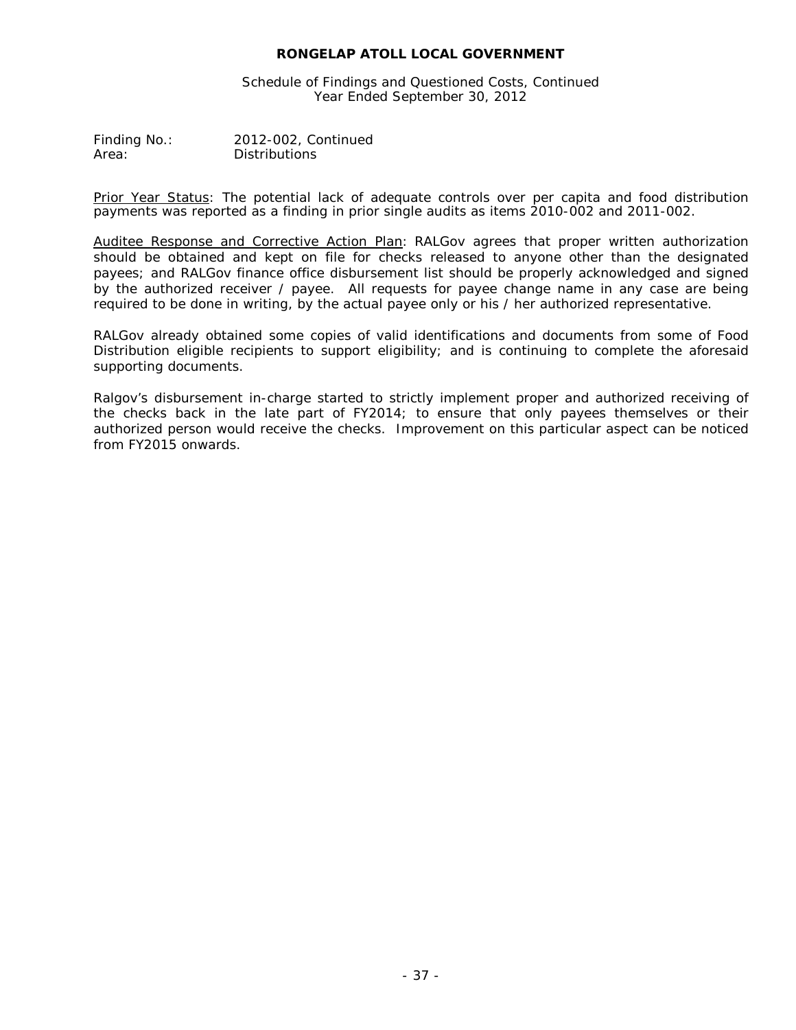Schedule of Findings and Questioned Costs, Continued Year Ended September 30, 2012

Finding No.: 2012-002, Continued Area: Distributions

Prior Year Status: The potential lack of adequate controls over per capita and food distribution payments was reported as a finding in prior single audits as items 2010-002 and 2011-002.

Auditee Response and Corrective Action Plan: RALGov agrees that proper written authorization should be obtained and kept on file for checks released to anyone other than the designated payees; and RALGov finance office disbursement list should be properly acknowledged and signed by the authorized receiver / payee. All requests for payee change name in any case are being required to be done in writing, by the actual payee only or his / her authorized representative.

RALGov already obtained some copies of valid identifications and documents from some of Food Distribution eligible recipients to support eligibility; and is continuing to complete the aforesaid supporting documents.

Ralgov's disbursement in-charge started to strictly implement proper and authorized receiving of the checks back in the late part of FY2014; to ensure that only payees themselves or their authorized person would receive the checks. Improvement on this particular aspect can be noticed from FY2015 onwards.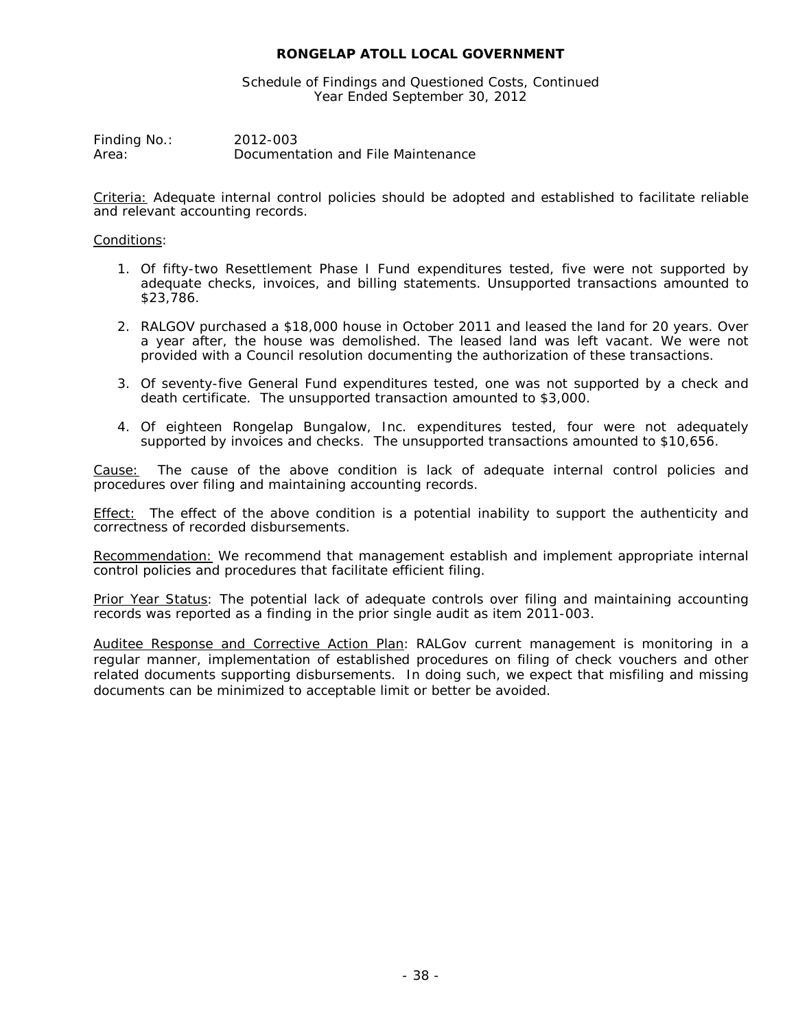Schedule of Findings and Questioned Costs, Continued Year Ended September 30, 2012

Finding No.: 2012-003 Area: Documentation and File Maintenance

Criteria: Adequate internal control policies should be adopted and established to facilitate reliable and relevant accounting records.

#### Conditions:

- 1. Of fifty-two Resettlement Phase I Fund expenditures tested, five were not supported by adequate checks, invoices, and billing statements. Unsupported transactions amounted to \$23,786.
- 2. RALGOV purchased a \$18,000 house in October 2011 and leased the land for 20 years. Over a year after, the house was demolished. The leased land was left vacant. We were not provided with a Council resolution documenting the authorization of these transactions.
- 3. Of seventy-five General Fund expenditures tested, one was not supported by a check and death certificate. The unsupported transaction amounted to \$3,000.
- 4. Of eighteen Rongelap Bungalow, Inc. expenditures tested, four were not adequately supported by invoices and checks. The unsupported transactions amounted to \$10,656.

Cause: The cause of the above condition is lack of adequate internal control policies and procedures over filing and maintaining accounting records.

Effect: The effect of the above condition is a potential inability to support the authenticity and correctness of recorded disbursements.

Recommendation: We recommend that management establish and implement appropriate internal control policies and procedures that facilitate efficient filing.

Prior Year Status: The potential lack of adequate controls over filing and maintaining accounting records was reported as a finding in the prior single audit as item 2011-003.

Auditee Response and Corrective Action Plan: RALGov current management is monitoring in a regular manner, implementation of established procedures on filing of check vouchers and other related documents supporting disbursements. In doing such, we expect that misfiling and missing documents can be minimized to acceptable limit or better be avoided.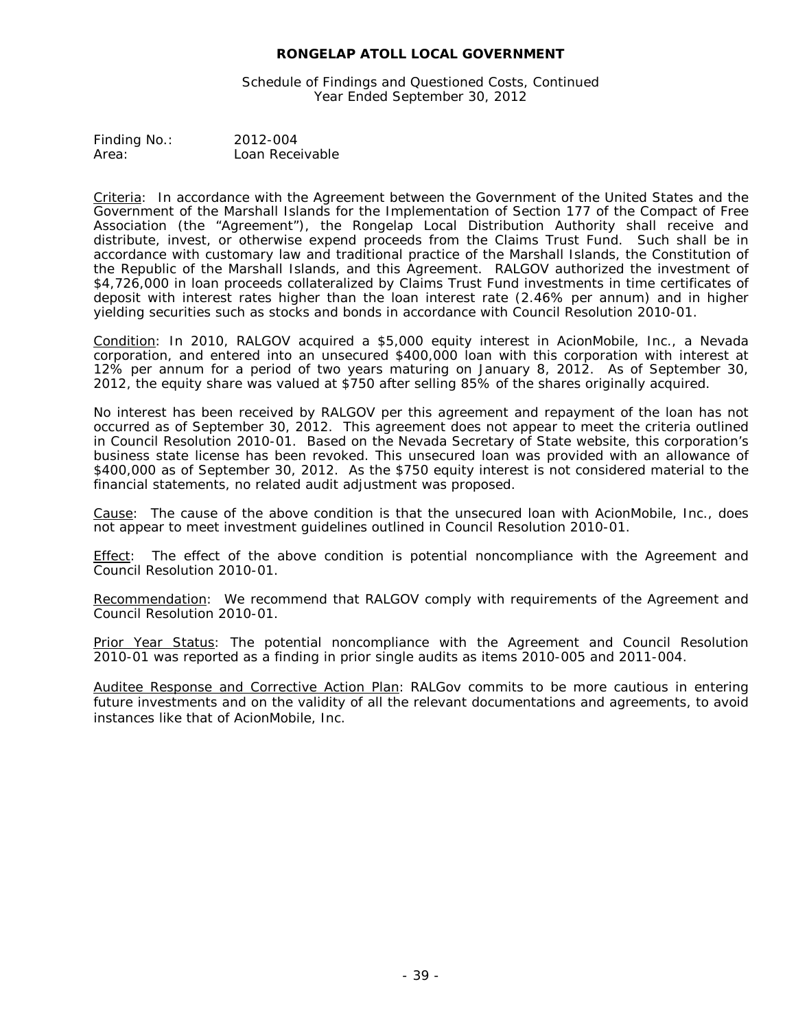Schedule of Findings and Questioned Costs, Continued Year Ended September 30, 2012

Finding No.: 2012-004 Area: Loan Receivable

Criteria: In accordance with the Agreement between the Government of the United States and the Government of the Marshall Islands for the Implementation of Section 177 of the Compact of Free Association (the "Agreement"), the Rongelap Local Distribution Authority shall receive and distribute, invest, or otherwise expend proceeds from the Claims Trust Fund. Such shall be in accordance with customary law and traditional practice of the Marshall Islands, the Constitution of the Republic of the Marshall Islands, and this Agreement. RALGOV authorized the investment of \$4,726,000 in loan proceeds collateralized by Claims Trust Fund investments in time certificates of deposit with interest rates higher than the loan interest rate (2.46% per annum) and in higher yielding securities such as stocks and bonds in accordance with Council Resolution 2010-01.

Condition: In 2010, RALGOV acquired a \$5,000 equity interest in AcionMobile, Inc., a Nevada corporation, and entered into an unsecured \$400,000 loan with this corporation with interest at 12% per annum for a period of two years maturing on January 8, 2012. As of September 30, 2012, the equity share was valued at \$750 after selling 85% of the shares originally acquired.

No interest has been received by RALGOV per this agreement and repayment of the loan has not occurred as of September 30, 2012. This agreement does not appear to meet the criteria outlined in Council Resolution 2010-01. Based on the Nevada Secretary of State website, this corporation's business state license has been revoked. This unsecured loan was provided with an allowance of \$400,000 as of September 30, 2012. As the \$750 equity interest is not considered material to the financial statements, no related audit adjustment was proposed.

Cause: The cause of the above condition is that the unsecured loan with AcionMobile, Inc., does not appear to meet investment guidelines outlined in Council Resolution 2010-01.

Effect: The effect of the above condition is potential noncompliance with the Agreement and Council Resolution 2010-01.

Recommendation: We recommend that RALGOV comply with requirements of the Agreement and Council Resolution 2010-01.

Prior Year Status: The potential noncompliance with the Agreement and Council Resolution 2010-01 was reported as a finding in prior single audits as items 2010-005 and 2011-004.

Auditee Response and Corrective Action Plan: RALGov commits to be more cautious in entering future investments and on the validity of all the relevant documentations and agreements, to avoid instances like that of AcionMobile, Inc.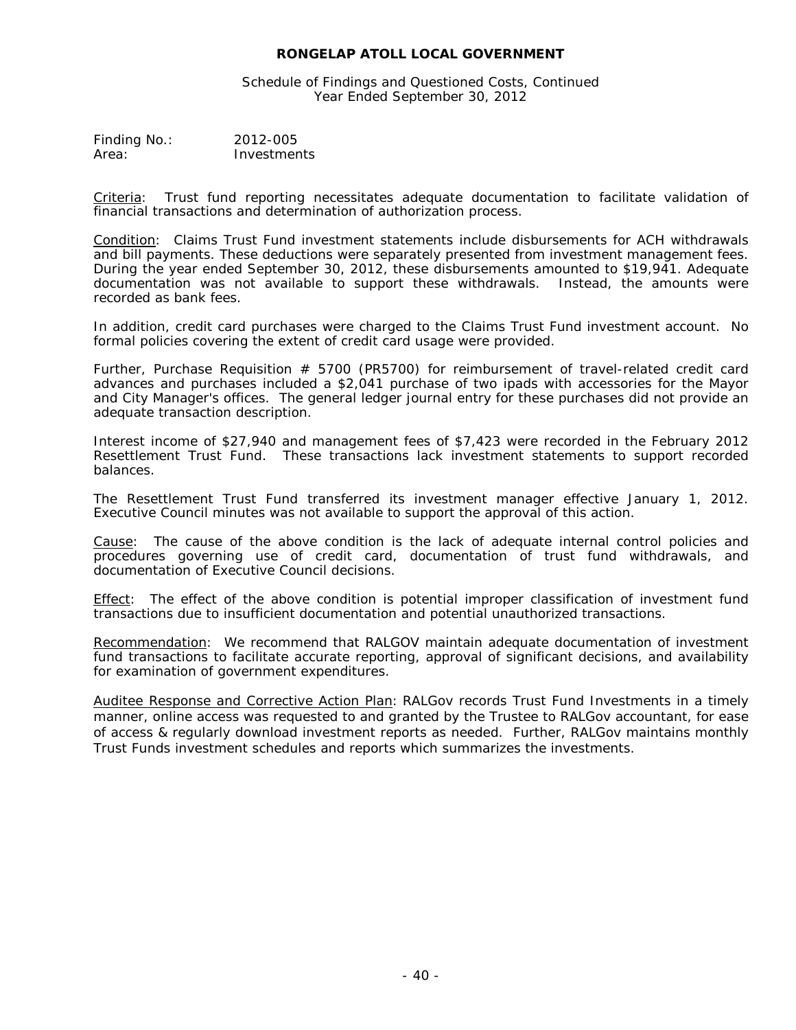Schedule of Findings and Questioned Costs, Continued Year Ended September 30, 2012

Finding No.: 2012-005 Area: Investments

Criteria: Trust fund reporting necessitates adequate documentation to facilitate validation of financial transactions and determination of authorization process.

Condition: Claims Trust Fund investment statements include disbursements for ACH withdrawals and bill payments. These deductions were separately presented from investment management fees. During the year ended September 30, 2012, these disbursements amounted to \$19,941. Adequate documentation was not available to support these withdrawals. Instead, the amounts were recorded as bank fees.

In addition, credit card purchases were charged to the Claims Trust Fund investment account. No formal policies covering the extent of credit card usage were provided.

Further, Purchase Requisition  $# 5700$  (PR5700) for reimbursement of travel-related credit card advances and purchases included a \$2,041 purchase of two ipads with accessories for the Mayor and City Manager's offices. The general ledger journal entry for these purchases did not provide an adequate transaction description.

Interest income of \$27,940 and management fees of \$7,423 were recorded in the February 2012 Resettlement Trust Fund. These transactions lack investment statements to support recorded balances.

The Resettlement Trust Fund transferred its investment manager effective January 1, 2012. Executive Council minutes was not available to support the approval of this action.

Cause: The cause of the above condition is the lack of adequate internal control policies and procedures governing use of credit card, documentation of trust fund withdrawals, and documentation of Executive Council decisions.

Effect: The effect of the above condition is potential improper classification of investment fund transactions due to insufficient documentation and potential unauthorized transactions.

Recommendation: We recommend that RALGOV maintain adequate documentation of investment fund transactions to facilitate accurate reporting, approval of significant decisions, and availability for examination of government expenditures.

Auditee Response and Corrective Action Plan: RALGov records Trust Fund Investments in a timely manner, online access was requested to and granted by the Trustee to RALGov accountant, for ease of access & regularly download investment reports as needed. Further, RALGov maintains monthly Trust Funds investment schedules and reports which summarizes the investments.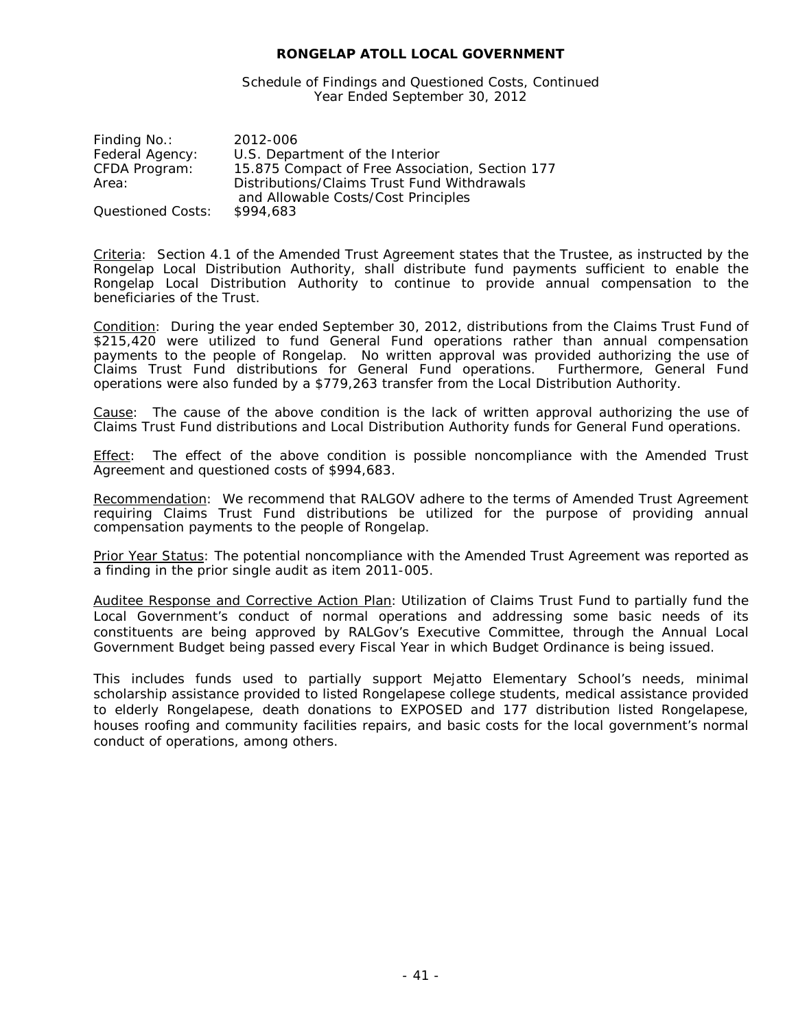Schedule of Findings and Questioned Costs, Continued Year Ended September 30, 2012

| Finding No.:      | 2012-006                                                                           |
|-------------------|------------------------------------------------------------------------------------|
| Federal Agency:   | U.S. Department of the Interior                                                    |
| CFDA Program:     | 15.875 Compact of Free Association, Section 177                                    |
| Area:             | Distributions/Claims Trust Fund Withdrawals<br>and Allowable Costs/Cost Principles |
| Questioned Costs: | \$994,683                                                                          |

Criteria: Section 4.1 of the Amended Trust Agreement states that the Trustee, as instructed by the Rongelap Local Distribution Authority, shall distribute fund payments sufficient to enable the Rongelap Local Distribution Authority to continue to provide annual compensation to the beneficiaries of the Trust.

Condition: During the year ended September 30, 2012, distributions from the Claims Trust Fund of \$215,420 were utilized to fund General Fund operations rather than annual compensation payments to the people of Rongelap. No written approval was provided authorizing the use of Claims Trust Fund distributions for General Fund operations. Furthermore, General Fund operations were also funded by a \$779,263 transfer from the Local Distribution Authority.

Cause: The cause of the above condition is the lack of written approval authorizing the use of Claims Trust Fund distributions and Local Distribution Authority funds for General Fund operations.

Effect: The effect of the above condition is possible noncompliance with the Amended Trust Agreement and questioned costs of \$994,683.

Recommendation: We recommend that RALGOV adhere to the terms of Amended Trust Agreement requiring Claims Trust Fund distributions be utilized for the purpose of providing annual compensation payments to the people of Rongelap.

Prior Year Status: The potential noncompliance with the Amended Trust Agreement was reported as a finding in the prior single audit as item 2011-005.

Auditee Response and Corrective Action Plan: Utilization of Claims Trust Fund to partially fund the Local Government's conduct of normal operations and addressing some basic needs of its constituents are being approved by RALGov's Executive Committee, through the Annual Local Government Budget being passed every Fiscal Year in which Budget Ordinance is being issued.

This includes funds used to partially support Mejatto Elementary School's needs, minimal scholarship assistance provided to listed Rongelapese college students, medical assistance provided to elderly Rongelapese, death donations to EXPOSED and 177 distribution listed Rongelapese, houses roofing and community facilities repairs, and basic costs for the local government's normal conduct of operations, among others.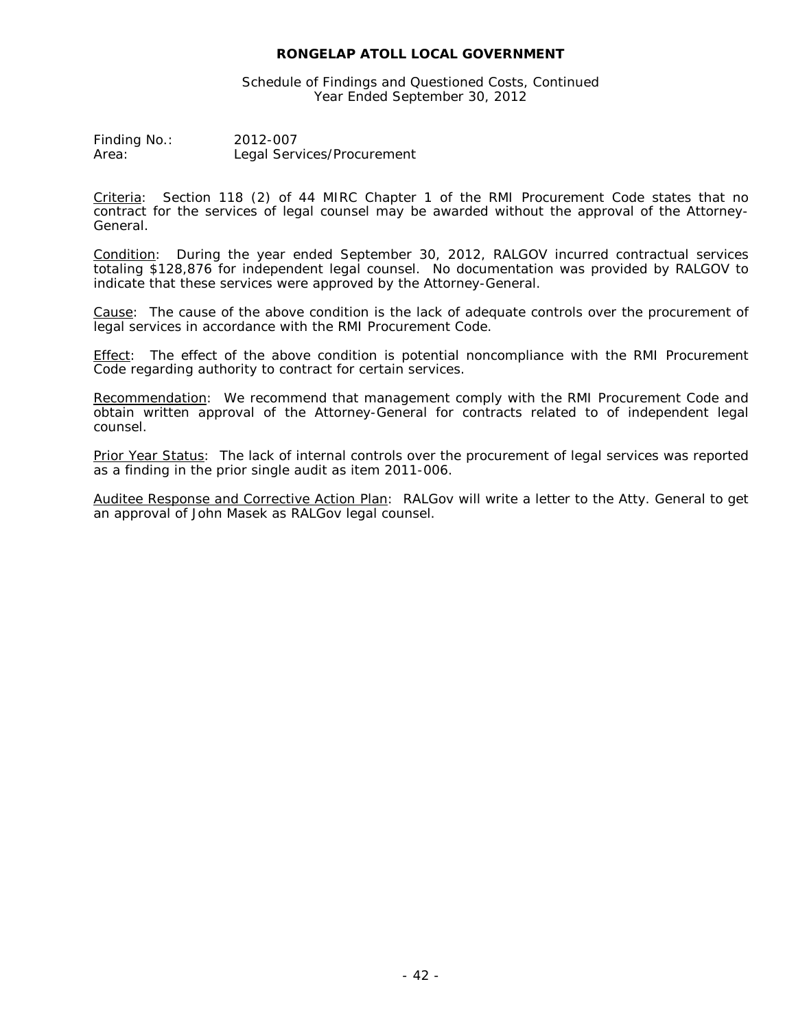Schedule of Findings and Questioned Costs, Continued Year Ended September 30, 2012

Finding No.: 2012-007 Area: Legal Services/Procurement

Criteria: Section 118 (2) of 44 MIRC Chapter 1 of the RMI Procurement Code states that no contract for the services of legal counsel may be awarded without the approval of the Attorney-General.

Condition: During the year ended September 30, 2012, RALGOV incurred contractual services totaling \$128,876 for independent legal counsel. No documentation was provided by RALGOV to indicate that these services were approved by the Attorney-General.

Cause: The cause of the above condition is the lack of adequate controls over the procurement of legal services in accordance with the RMI Procurement Code.

Effect: The effect of the above condition is potential noncompliance with the RMI Procurement Code regarding authority to contract for certain services.

Recommendation: We recommend that management comply with the RMI Procurement Code and obtain written approval of the Attorney-General for contracts related to of independent legal counsel.

Prior Year Status: The lack of internal controls over the procurement of legal services was reported as a finding in the prior single audit as item 2011-006.

Auditee Response and Corrective Action Plan: RALGov will write a letter to the Atty. General to get an approval of John Masek as RALGov legal counsel.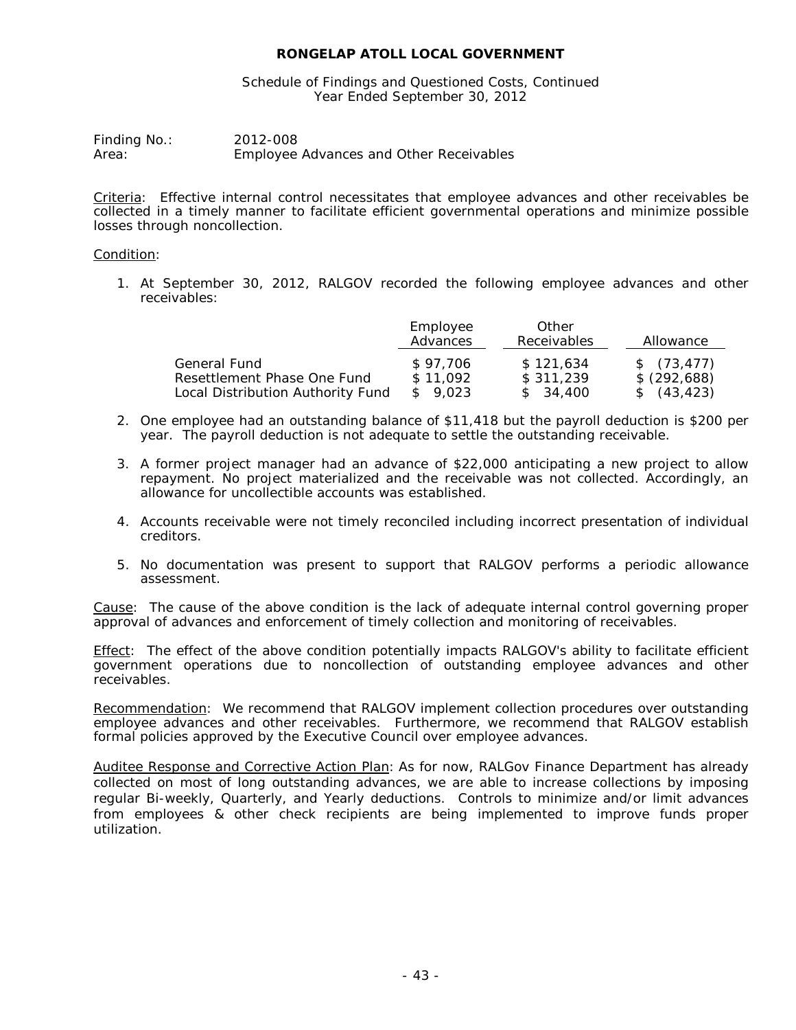Schedule of Findings and Questioned Costs, Continued Year Ended September 30, 2012

Finding No.: 2012-008 Area: Employee Advances and Other Receivables

Criteria: Effective internal control necessitates that employee advances and other receivables be collected in a timely manner to facilitate efficient governmental operations and minimize possible losses through noncollection.

#### Condition:

1. At September 30, 2012, RALGOV recorded the following employee advances and other receivables:

|                                   | Employee<br>Advances | Other<br>Receivables | Allowance    |
|-----------------------------------|----------------------|----------------------|--------------|
| General Fund                      | \$97.706             | \$121.634            | \$(73, 477)  |
| Resettlement Phase One Fund       | \$11.092             | \$311.239            | \$ (292,688) |
| Local Distribution Authority Fund | \$9.023              | \$ 34,400            | \$ (43, 423) |

- 2. One employee had an outstanding balance of \$11,418 but the payroll deduction is \$200 per year. The payroll deduction is not adequate to settle the outstanding receivable.
- 3. A former project manager had an advance of \$22,000 anticipating a new project to allow repayment. No project materialized and the receivable was not collected. Accordingly, an allowance for uncollectible accounts was established.
- 4. Accounts receivable were not timely reconciled including incorrect presentation of individual creditors.
- 5. No documentation was present to support that RALGOV performs a periodic allowance assessment.

Cause: The cause of the above condition is the lack of adequate internal control governing proper approval of advances and enforcement of timely collection and monitoring of receivables.

Effect: The effect of the above condition potentially impacts RALGOV's ability to facilitate efficient government operations due to noncollection of outstanding employee advances and other receivables.

Recommendation: We recommend that RALGOV implement collection procedures over outstanding employee advances and other receivables. Furthermore, we recommend that RALGOV establish formal policies approved by the Executive Council over employee advances.

Auditee Response and Corrective Action Plan: As for now, RALGov Finance Department has already collected on most of long outstanding advances, we are able to increase collections by imposing regular Bi-weekly, Quarterly, and Yearly deductions. Controls to minimize and/or limit advances from employees & other check recipients are being implemented to improve funds proper utilization.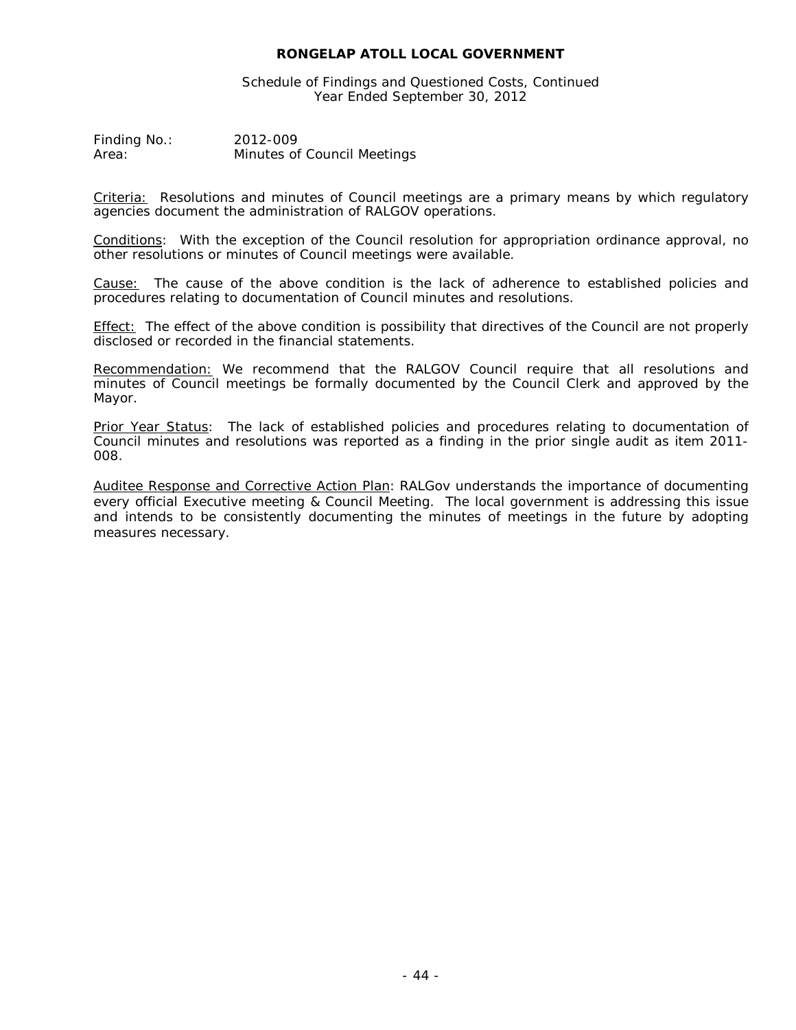Schedule of Findings and Questioned Costs, Continued Year Ended September 30, 2012

Finding No.: 2012-009 Area: Minutes of Council Meetings

Criteria: Resolutions and minutes of Council meetings are a primary means by which regulatory agencies document the administration of RALGOV operations.

Conditions: With the exception of the Council resolution for appropriation ordinance approval, no other resolutions or minutes of Council meetings were available.

Cause: The cause of the above condition is the lack of adherence to established policies and procedures relating to documentation of Council minutes and resolutions.

**Effect:** The effect of the above condition is possibility that directives of the Council are not properly disclosed or recorded in the financial statements.

Recommendation: We recommend that the RALGOV Council require that all resolutions and minutes of Council meetings be formally documented by the Council Clerk and approved by the Mayor.

Prior Year Status: The lack of established policies and procedures relating to documentation of Council minutes and resolutions was reported as a finding in the prior single audit as item 2011- 008.

Auditee Response and Corrective Action Plan: RALGov understands the importance of documenting every official Executive meeting & Council Meeting. The local government is addressing this issue and intends to be consistently documenting the minutes of meetings in the future by adopting measures necessary.